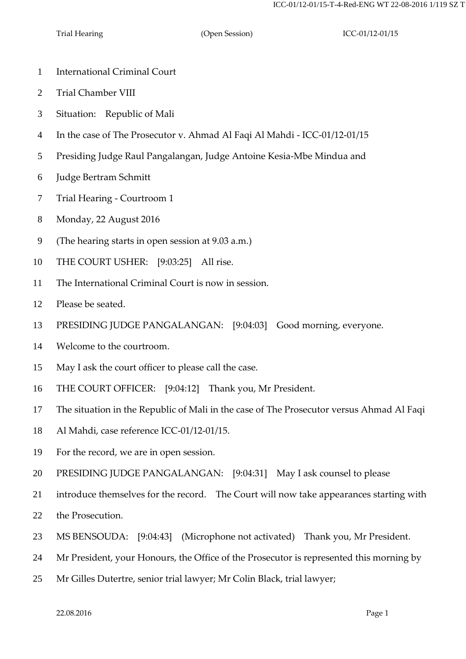- International Criminal Court
- Trial Chamber VIII
- Situation: Republic of Mali
- In the case of The Prosecutor v. Ahmad Al Faqi Al Mahdi ICC-01/12-01/15
- Presiding Judge Raul Pangalangan, Judge Antoine Kesia-Mbe Mindua and
- Judge Bertram Schmitt
- Trial Hearing Courtroom 1
- Monday, 22 August 2016
- (The hearing starts in open session at 9.03 a.m.)
- THE COURT USHER: [9:03:25] All rise.
- The International Criminal Court is now in session.
- Please be seated.
- PRESIDING JUDGE PANGALANGAN: [9:04:03] Good morning, everyone.
- Welcome to the courtroom.
- May I ask the court officer to please call the case.
- THE COURT OFFICER: [9:04:12] Thank you, Mr President.
- The situation in the Republic of Mali in the case of The Prosecutor versus Ahmad Al Faqi
- Al Mahdi, case reference ICC-01/12-01/15.
- For the record, we are in open session.
- PRESIDING JUDGE PANGALANGAN: [9:04:31] May I ask counsel to please
- introduce themselves for the record. The Court will now take appearances starting with
- the Prosecution.
- MS BENSOUDA: [9:04:43] (Microphone not activated) Thank you, Mr President.
- Mr President, your Honours, the Office of the Prosecutor is represented this morning by
- Mr Gilles Dutertre, senior trial lawyer; Mr Colin Black, trial lawyer;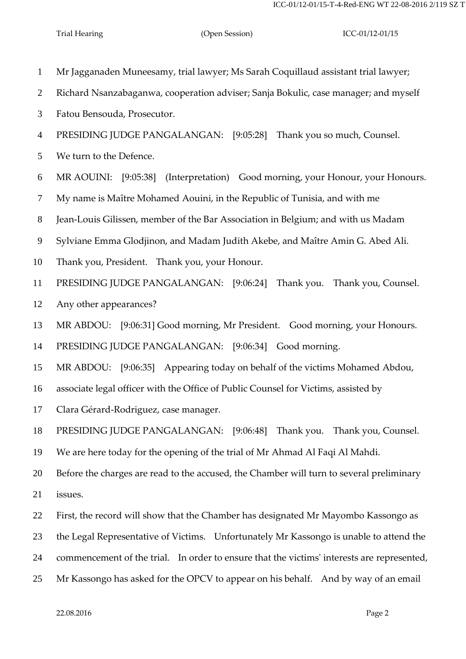Mr Jagganaden Muneesamy, trial lawyer; Ms Sarah Coquillaud assistant trial lawyer; Richard Nsanzabaganwa, cooperation adviser; Sanja Bokulic, case manager; and myself Fatou Bensouda, Prosecutor. PRESIDING JUDGE PANGALANGAN: [9:05:28] Thank you so much, Counsel. We turn to the Defence. MR AOUINI: [9:05:38] (Interpretation) Good morning, your Honour, your Honours. My name is Maître Mohamed Aouini, in the Republic of Tunisia, and with me Jean-Louis Gilissen, member of the Bar Association in Belgium; and with us Madam Sylviane Emma Glodjinon, and Madam Judith Akebe, and Maître Amin G. Abed Ali. Thank you, President. Thank you, your Honour. PRESIDING JUDGE PANGALANGAN: [9:06:24] Thank you. Thank you, Counsel. Any other appearances? MR ABDOU: [9:06:31] Good morning, Mr President. Good morning, your Honours. PRESIDING JUDGE PANGALANGAN: [9:06:34] Good morning. MR ABDOU: [9:06:35] Appearing today on behalf of the victims Mohamed Abdou, associate legal officer with the Office of Public Counsel for Victims, assisted by Clara Gérard-Rodriguez, case manager. PRESIDING JUDGE PANGALANGAN: [9:06:48] Thank you. Thank you, Counsel. We are here today for the opening of the trial of Mr Ahmad Al Faqi Al Mahdi. Before the charges are read to the accused, the Chamber will turn to several preliminary issues. First, the record will show that the Chamber has designated Mr Mayombo Kassongo as the Legal Representative of Victims. Unfortunately Mr Kassongo is unable to attend the commencement of the trial. In order to ensure that the victims' interests are represented, Mr Kassongo has asked for the OPCV to appear on his behalf. And by way of an email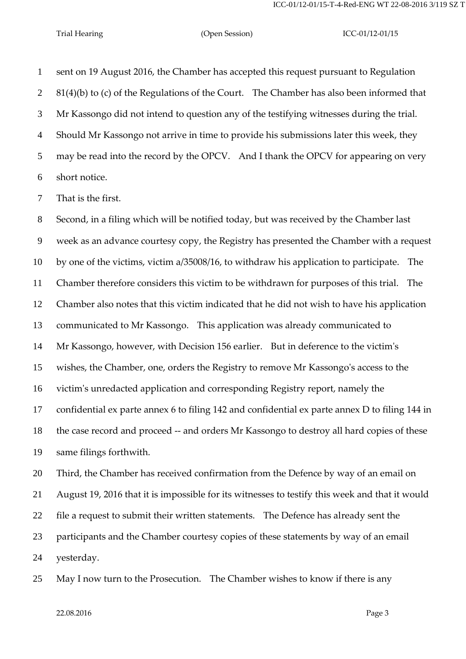sent on 19 August 2016, the Chamber has accepted this request pursuant to Regulation 81(4)(b) to (c) of the Regulations of the Court. The Chamber has also been informed that Mr Kassongo did not intend to question any of the testifying witnesses during the trial. Should Mr Kassongo not arrive in time to provide his submissions later this week, they may be read into the record by the OPCV. And I thank the OPCV for appearing on very short notice.

That is the first.

 Second, in a filing which will be notified today, but was received by the Chamber last week as an advance courtesy copy, the Registry has presented the Chamber with a request by one of the victims, victim a/35008/16, to withdraw his application to participate. The Chamber therefore considers this victim to be withdrawn for purposes of this trial. The Chamber also notes that this victim indicated that he did not wish to have his application communicated to Mr Kassongo. This application was already communicated to Mr Kassongo, however, with Decision 156 earlier. But in deference to the victim's wishes, the Chamber, one, orders the Registry to remove Mr Kassongo's access to the victim's unredacted application and corresponding Registry report, namely the confidential ex parte annex 6 to filing 142 and confidential ex parte annex D to filing 144 in the case record and proceed -- and orders Mr Kassongo to destroy all hard copies of these same filings forthwith.

 Third, the Chamber has received confirmation from the Defence by way of an email on August 19, 2016 that it is impossible for its witnesses to testify this week and that it would file a request to submit their written statements. The Defence has already sent the participants and the Chamber courtesy copies of these statements by way of an email yesterday.

May I now turn to the Prosecution. The Chamber wishes to know if there is any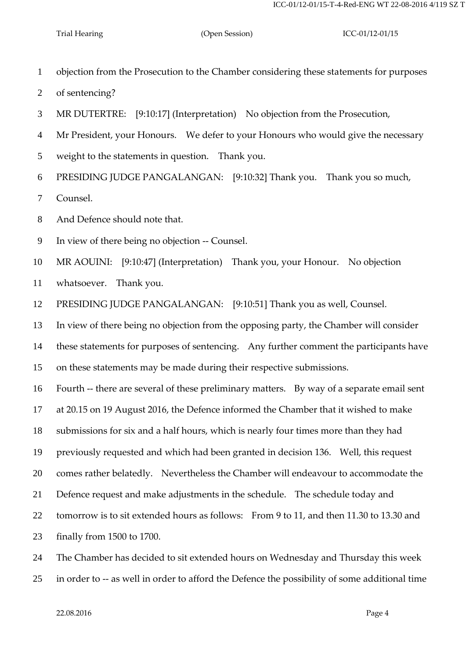objection from the Prosecution to the Chamber considering these statements for purposes

- of sentencing?
- MR DUTERTRE: [9:10:17] (Interpretation) No objection from the Prosecution,
- Mr President, your Honours. We defer to your Honours who would give the necessary
- weight to the statements in question. Thank you.

PRESIDING JUDGE PANGALANGAN: [9:10:32] Thank you. Thank you so much,

Counsel.

And Defence should note that.

In view of there being no objection -- Counsel.

MR AOUINI: [9:10:47] (Interpretation) Thank you, your Honour. No objection

whatsoever. Thank you.

PRESIDING JUDGE PANGALANGAN: [9:10:51] Thank you as well, Counsel.

In view of there being no objection from the opposing party, the Chamber will consider

these statements for purposes of sentencing. Any further comment the participants have

on these statements may be made during their respective submissions.

Fourth -- there are several of these preliminary matters. By way of a separate email sent

at 20.15 on 19 August 2016, the Defence informed the Chamber that it wished to make

submissions for six and a half hours, which is nearly four times more than they had

previously requested and which had been granted in decision 136. Well, this request

comes rather belatedly. Nevertheless the Chamber will endeavour to accommodate the

Defence request and make adjustments in the schedule. The schedule today and

tomorrow is to sit extended hours as follows: From 9 to 11, and then 11.30 to 13.30 and

finally from 1500 to 1700.

The Chamber has decided to sit extended hours on Wednesday and Thursday this week

in order to -- as well in order to afford the Defence the possibility of some additional time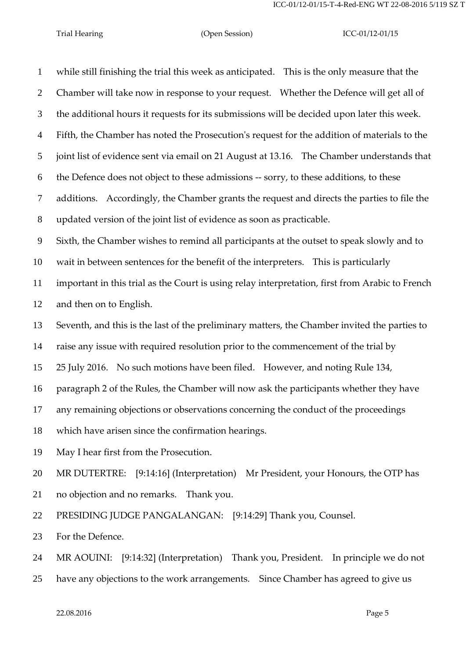| $\mathbf{1}$   | while still finishing the trial this week as anticipated. This is the only measure that the     |
|----------------|-------------------------------------------------------------------------------------------------|
| $\overline{2}$ | Chamber will take now in response to your request. Whether the Defence will get all of          |
| 3              | the additional hours it requests for its submissions will be decided upon later this week.      |
| $\overline{4}$ | Fifth, the Chamber has noted the Prosecution's request for the addition of materials to the     |
| 5              | joint list of evidence sent via email on 21 August at 13.16. The Chamber understands that       |
| 6              | the Defence does not object to these admissions -- sorry, to these additions, to these          |
| $\overline{7}$ | additions. Accordingly, the Chamber grants the request and directs the parties to file the      |
| $8\,$          | updated version of the joint list of evidence as soon as practicable.                           |
| 9              | Sixth, the Chamber wishes to remind all participants at the outset to speak slowly and to       |
| 10             | wait in between sentences for the benefit of the interpreters. This is particularly             |
| 11             | important in this trial as the Court is using relay interpretation, first from Arabic to French |
| 12             | and then on to English.                                                                         |
| 13             | Seventh, and this is the last of the preliminary matters, the Chamber invited the parties to    |
| 14             | raise any issue with required resolution prior to the commencement of the trial by              |
| 15             | 25 July 2016. No such motions have been filed. However, and noting Rule 134,                    |
| 16             | paragraph 2 of the Rules, the Chamber will now ask the participants whether they have           |
| 17             | any remaining objections or observations concerning the conduct of the proceedings              |
| 18             | which have arisen since the confirmation hearings.                                              |
| 19             | May I hear first from the Prosecution.                                                          |
| 20             | MR DUTERTRE: [9:14:16] (Interpretation) Mr President, your Honours, the OTP has                 |
| 21             | no objection and no remarks. Thank you.                                                         |
| 22             | PRESIDING JUDGE PANGALANGAN: [9:14:29] Thank you, Counsel.                                      |
| 23             | For the Defence.                                                                                |
| 24             | MR AOUINI: [9:14:32] (Interpretation) Thank you, President. In principle we do not              |

have any objections to the work arrangements. Since Chamber has agreed to give us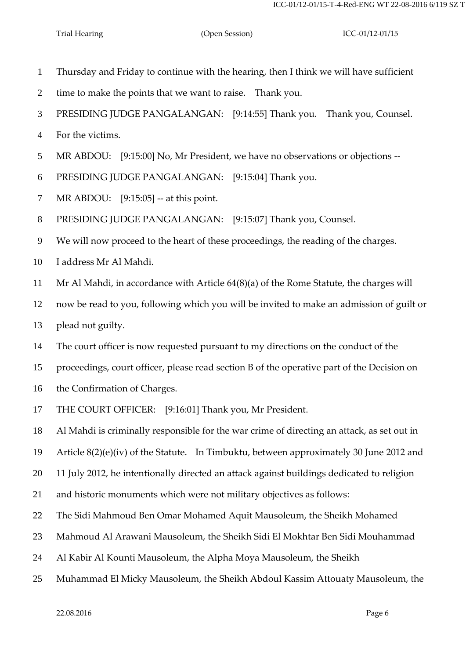- Thursday and Friday to continue with the hearing, then I think we will have sufficient
- time to make the points that we want to raise. Thank you.
- PRESIDING JUDGE PANGALANGAN: [9:14:55] Thank you. Thank you, Counsel.
- For the victims.
- MR ABDOU: [9:15:00] No, Mr President, we have no observations or objections --
- PRESIDING JUDGE PANGALANGAN: [9:15:04] Thank you.
- MR ABDOU: [9:15:05] -- at this point.
- PRESIDING JUDGE PANGALANGAN: [9:15:07] Thank you, Counsel.
- We will now proceed to the heart of these proceedings, the reading of the charges.
- I address Mr Al Mahdi.
- Mr Al Mahdi, in accordance with Article 64(8)(a) of the Rome Statute, the charges will
- now be read to you, following which you will be invited to make an admission of guilt or
- plead not guilty.
- The court officer is now requested pursuant to my directions on the conduct of the
- proceedings, court officer, please read section B of the operative part of the Decision on
- the Confirmation of Charges.
- THE COURT OFFICER: [9:16:01] Thank you, Mr President.
- Al Mahdi is criminally responsible for the war crime of directing an attack, as set out in
- Article 8(2)(e)(iv) of the Statute. In Timbuktu, between approximately 30 June 2012 and
- 11 July 2012, he intentionally directed an attack against buildings dedicated to religion
- and historic monuments which were not military objectives as follows:
- The Sidi Mahmoud Ben Omar Mohamed Aquit Mausoleum, the Sheikh Mohamed
- Mahmoud Al Arawani Mausoleum, the Sheikh Sidi El Mokhtar Ben Sidi Mouhammad
- Al Kabir Al Kounti Mausoleum, the Alpha Moya Mausoleum, the Sheikh
- Muhammad El Micky Mausoleum, the Sheikh Abdoul Kassim Attouaty Mausoleum, the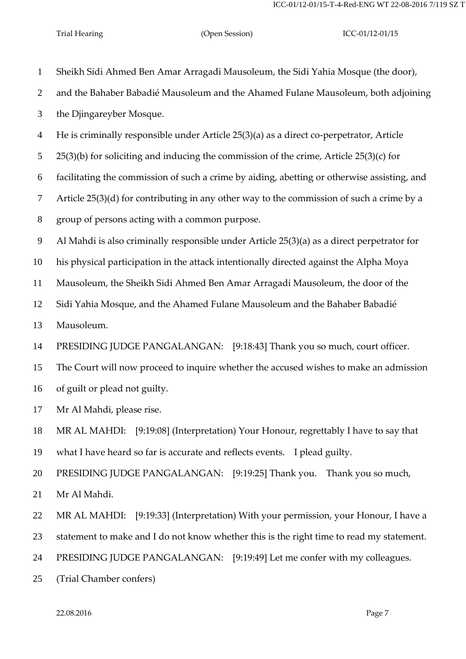| $\mathbf{1}$   | Sheikh Sidi Ahmed Ben Amar Arragadi Mausoleum, the Sidi Yahia Mosque (the door),            |
|----------------|---------------------------------------------------------------------------------------------|
| $\overline{2}$ | and the Bahaber Babadié Mausoleum and the Ahamed Fulane Mausoleum, both adjoining           |
| 3              | the Djingareyber Mosque.                                                                    |
| $\overline{4}$ | He is criminally responsible under Article 25(3)(a) as a direct co-perpetrator, Article     |
| 5              | $25(3)(b)$ for soliciting and inducing the commission of the crime, Article $25(3)(c)$ for  |
| 6              | facilitating the commission of such a crime by aiding, abetting or otherwise assisting, and |
| $\tau$         | Article $25(3)(d)$ for contributing in any other way to the commission of such a crime by a |
| 8              | group of persons acting with a common purpose.                                              |
| 9              | Al Mahdi is also criminally responsible under Article 25(3)(a) as a direct perpetrator for  |
| 10             | his physical participation in the attack intentionally directed against the Alpha Moya      |
| 11             | Mausoleum, the Sheikh Sidi Ahmed Ben Amar Arragadi Mausoleum, the door of the               |
| 12             | Sidi Yahia Mosque, and the Ahamed Fulane Mausoleum and the Bahaber Babadié                  |
| 13             | Mausoleum.                                                                                  |
| 14             | PRESIDING JUDGE PANGALANGAN: [9:18:43] Thank you so much, court officer.                    |
| 15             | The Court will now proceed to inquire whether the accused wishes to make an admission       |
| 16             | of guilt or plead not guilty.                                                               |
| 17             | Mr Al Mahdi, please rise.                                                                   |
| 18             | MR AL MAHDI: [9:19:08] (Interpretation) Your Honour, regrettably I have to say that         |
| 19             | what I have heard so far is accurate and reflects events. I plead guilty.                   |
| 20             | PRESIDING JUDGE PANGALANGAN: [9:19:25] Thank you. Thank you so much,                        |
| 21             | Mr Al Mahdi.                                                                                |
| 22             | MR AL MAHDI: [9:19:33] (Interpretation) With your permission, your Honour, I have a         |
| 23             | statement to make and I do not know whether this is the right time to read my statement.    |
| 24             | PRESIDING JUDGE PANGALANGAN: [9:19:49] Let me confer with my colleagues.                    |
| 25             | (Trial Chamber confers)                                                                     |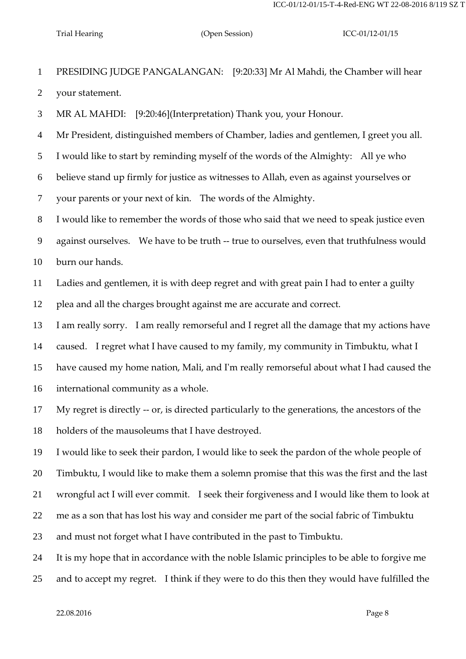PRESIDING JUDGE PANGALANGAN: [9:20:33] Mr Al Mahdi, the Chamber will hear your statement.

MR AL MAHDI: [9:20:46](Interpretation) Thank you, your Honour.

Mr President, distinguished members of Chamber, ladies and gentlemen, I greet you all.

I would like to start by reminding myself of the words of the Almighty: All ye who

believe stand up firmly for justice as witnesses to Allah, even as against yourselves or

your parents or your next of kin. The words of the Almighty.

I would like to remember the words of those who said that we need to speak justice even

against ourselves. We have to be truth -- true to ourselves, even that truthfulness would

burn our hands.

 Ladies and gentlemen, it is with deep regret and with great pain I had to enter a guilty plea and all the charges brought against me are accurate and correct.

I am really sorry. I am really remorseful and I regret all the damage that my actions have

caused. I regret what I have caused to my family, my community in Timbuktu, what I

have caused my home nation, Mali, and I'm really remorseful about what I had caused the

international community as a whole.

 My regret is directly -- or, is directed particularly to the generations, the ancestors of the holders of the mausoleums that I have destroyed.

I would like to seek their pardon, I would like to seek the pardon of the whole people of

Timbuktu, I would like to make them a solemn promise that this was the first and the last

wrongful act I will ever commit. I seek their forgiveness and I would like them to look at

me as a son that has lost his way and consider me part of the social fabric of Timbuktu

and must not forget what I have contributed in the past to Timbuktu.

It is my hope that in accordance with the noble Islamic principles to be able to forgive me

and to accept my regret. I think if they were to do this then they would have fulfilled the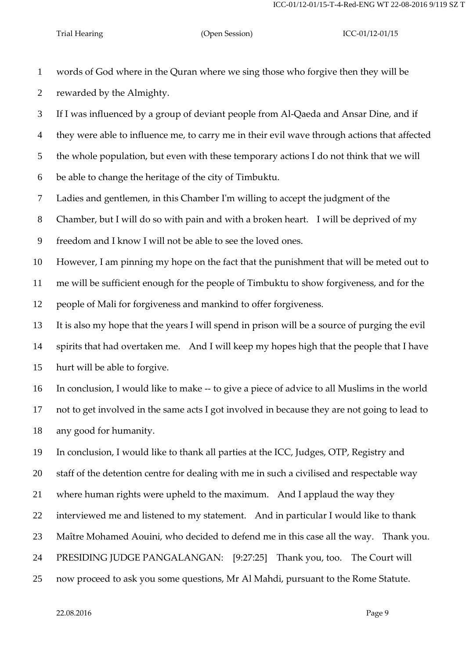words of God where in the Quran where we sing those who forgive then they will be rewarded by the Almighty.

 If I was influenced by a group of deviant people from Al-Qaeda and Ansar Dine, and if they were able to influence me, to carry me in their evil wave through actions that affected

the whole population, but even with these temporary actions I do not think that we will

be able to change the heritage of the city of Timbuktu.

Ladies and gentlemen, in this Chamber I'm willing to accept the judgment of the

Chamber, but I will do so with pain and with a broken heart. I will be deprived of my

freedom and I know I will not be able to see the loved ones.

 However, I am pinning my hope on the fact that the punishment that will be meted out to me will be sufficient enough for the people of Timbuktu to show forgiveness, and for the people of Mali for forgiveness and mankind to offer forgiveness.

 It is also my hope that the years I will spend in prison will be a source of purging the evil spirits that had overtaken me. And I will keep my hopes high that the people that I have hurt will be able to forgive.

 In conclusion, I would like to make -- to give a piece of advice to all Muslims in the world not to get involved in the same acts I got involved in because they are not going to lead to any good for humanity.

In conclusion, I would like to thank all parties at the ICC, Judges, OTP, Registry and

staff of the detention centre for dealing with me in such a civilised and respectable way

where human rights were upheld to the maximum. And I applaud the way they

interviewed me and listened to my statement. And in particular I would like to thank

Maître Mohamed Aouini, who decided to defend me in this case all the way. Thank you.

PRESIDING JUDGE PANGALANGAN: [9:27:25] Thank you, too. The Court will

now proceed to ask you some questions, Mr Al Mahdi, pursuant to the Rome Statute.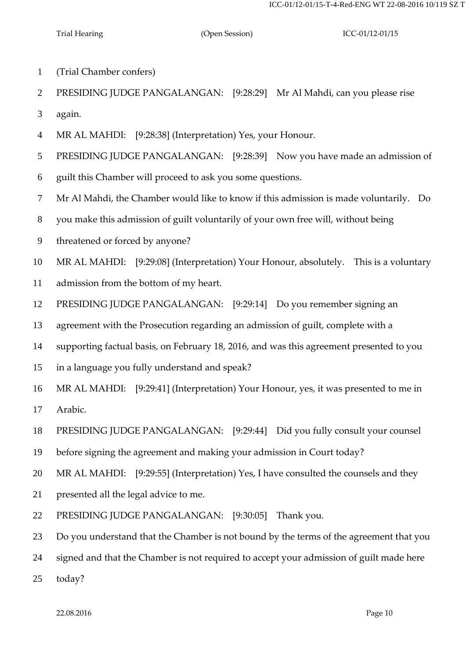- (Trial Chamber confers)
- PRESIDING JUDGE PANGALANGAN: [9:28:29] Mr Al Mahdi, can you please rise again.
- MR AL MAHDI: [9:28:38] (Interpretation) Yes, your Honour.
- PRESIDING JUDGE PANGALANGAN: [9:28:39] Now you have made an admission of
- guilt this Chamber will proceed to ask you some questions.
- Mr Al Mahdi, the Chamber would like to know if this admission is made voluntarily. Do
- you make this admission of guilt voluntarily of your own free will, without being
- threatened or forced by anyone?
- MR AL MAHDI: [9:29:08] (Interpretation) Your Honour, absolutely. This is a voluntary
- admission from the bottom of my heart.
- PRESIDING JUDGE PANGALANGAN: [9:29:14] Do you remember signing an
- agreement with the Prosecution regarding an admission of guilt, complete with a
- supporting factual basis, on February 18, 2016, and was this agreement presented to you
- in a language you fully understand and speak?
- MR AL MAHDI: [9:29:41] (Interpretation) Your Honour, yes, it was presented to me in Arabic.
- PRESIDING JUDGE PANGALANGAN: [9:29:44] Did you fully consult your counsel
- before signing the agreement and making your admission in Court today?
- MR AL MAHDI: [9:29:55] (Interpretation) Yes, I have consulted the counsels and they
- presented all the legal advice to me.
- PRESIDING JUDGE PANGALANGAN: [9:30:05] Thank you.
- Do you understand that the Chamber is not bound by the terms of the agreement that you
- signed and that the Chamber is not required to accept your admission of guilt made here

today?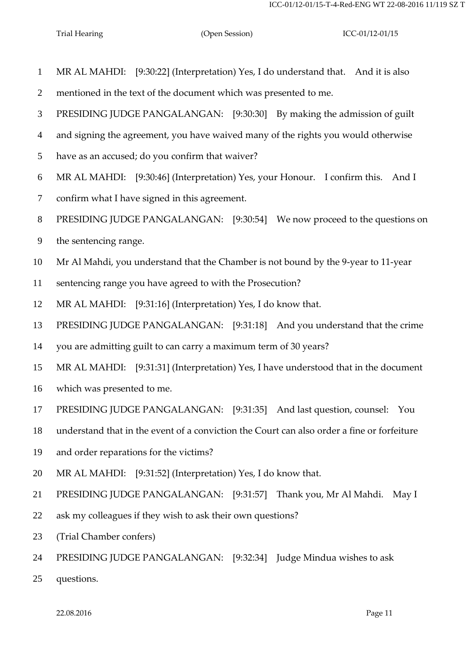| $\mathbf{1}$   | MR AL MAHDI: [9:30:22] (Interpretation) Yes, I do understand that. And it is also          |
|----------------|--------------------------------------------------------------------------------------------|
| $\overline{2}$ | mentioned in the text of the document which was presented to me.                           |
| 3              | PRESIDING JUDGE PANGALANGAN: [9:30:30] By making the admission of guilt                    |
| $\overline{4}$ | and signing the agreement, you have waived many of the rights you would otherwise          |
| 5              | have as an accused; do you confirm that waiver?                                            |
| 6              | MR AL MAHDI: [9:30:46] (Interpretation) Yes, your Honour. I confirm this.<br>And I         |
| $\tau$         | confirm what I have signed in this agreement.                                              |
| 8              | PRESIDING JUDGE PANGALANGAN: [9:30:54] We now proceed to the questions on                  |
| $\overline{9}$ | the sentencing range.                                                                      |
| 10             | Mr Al Mahdi, you understand that the Chamber is not bound by the 9-year to 11-year         |
| 11             | sentencing range you have agreed to with the Prosecution?                                  |
| 12             | MR AL MAHDI: [9:31:16] (Interpretation) Yes, I do know that.                               |
| 13             | PRESIDING JUDGE PANGALANGAN: [9:31:18] And you understand that the crime                   |
| 14             | you are admitting guilt to can carry a maximum term of 30 years?                           |
| 15             | MR AL MAHDI: [9:31:31] (Interpretation) Yes, I have understood that in the document        |
| 16             | which was presented to me.                                                                 |
| 17             | PRESIDING JUDGE PANGALANGAN: [9:31:35] And last question, counsel: You                     |
| 18             | understand that in the event of a conviction the Court can also order a fine or forfeiture |
| 19             | and order reparations for the victims?                                                     |
| 20             | MR AL MAHDI: [9:31:52] (Interpretation) Yes, I do know that.                               |
| 21             | PRESIDING JUDGE PANGALANGAN: [9:31:57] Thank you, Mr Al Mahdi. May I                       |
| 22             | ask my colleagues if they wish to ask their own questions?                                 |
| 23             | (Trial Chamber confers)                                                                    |
| 24             | PRESIDING JUDGE PANGALANGAN: [9:32:34] Judge Mindua wishes to ask                          |
| 25             | questions.                                                                                 |
|                |                                                                                            |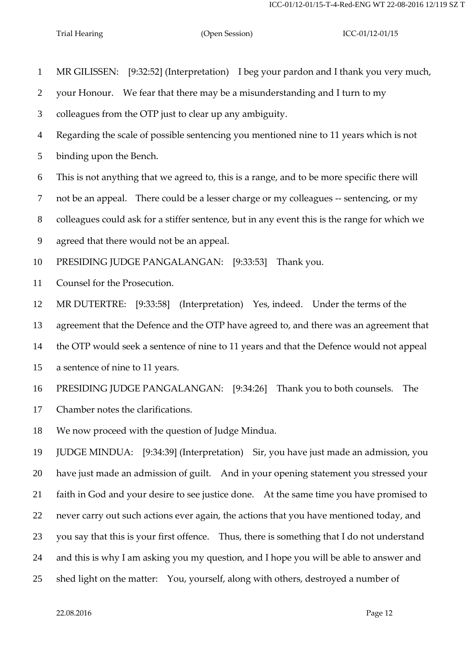MR GILISSEN: [9:32:52] (Interpretation) I beg your pardon and I thank you very much,

your Honour. We fear that there may be a misunderstanding and I turn to my

colleagues from the OTP just to clear up any ambiguity.

Regarding the scale of possible sentencing you mentioned nine to 11 years which is not

binding upon the Bench.

This is not anything that we agreed to, this is a range, and to be more specific there will

not be an appeal. There could be a lesser charge or my colleagues -- sentencing, or my

colleagues could ask for a stiffer sentence, but in any event this is the range for which we

agreed that there would not be an appeal.

PRESIDING JUDGE PANGALANGAN: [9:33:53] Thank you.

Counsel for the Prosecution.

MR DUTERTRE: [9:33:58] (Interpretation) Yes, indeed. Under the terms of the

agreement that the Defence and the OTP have agreed to, and there was an agreement that

the OTP would seek a sentence of nine to 11 years and that the Defence would not appeal

a sentence of nine to 11 years.

PRESIDING JUDGE PANGALANGAN: [9:34:26] Thank you to both counsels. The

Chamber notes the clarifications.

We now proceed with the question of Judge Mindua.

 JUDGE MINDUA: [9:34:39] (Interpretation) Sir, you have just made an admission, you have just made an admission of guilt. And in your opening statement you stressed your faith in God and your desire to see justice done. At the same time you have promised to never carry out such actions ever again, the actions that you have mentioned today, and you say that this is your first offence. Thus, there is something that I do not understand and this is why I am asking you my question, and I hope you will be able to answer and shed light on the matter: You, yourself, along with others, destroyed a number of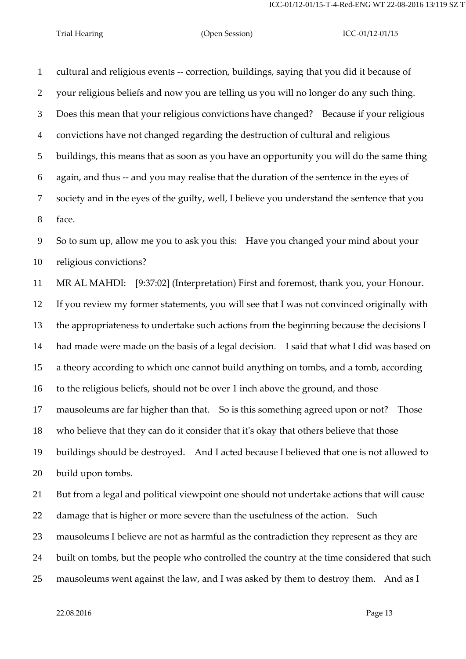cultural and religious events -- correction, buildings, saying that you did it because of your religious beliefs and now you are telling us you will no longer do any such thing. Does this mean that your religious convictions have changed? Because if your religious convictions have not changed regarding the destruction of cultural and religious buildings, this means that as soon as you have an opportunity you will do the same thing again, and thus -- and you may realise that the duration of the sentence in the eyes of society and in the eyes of the guilty, well, I believe you understand the sentence that you face.

 So to sum up, allow me you to ask you this: Have you changed your mind about your religious convictions?

 MR AL MAHDI: [9:37:02] (Interpretation) First and foremost, thank you, your Honour. If you review my former statements, you will see that I was not convinced originally with the appropriateness to undertake such actions from the beginning because the decisions I had made were made on the basis of a legal decision. I said that what I did was based on a theory according to which one cannot build anything on tombs, and a tomb, according to the religious beliefs, should not be over 1 inch above the ground, and those mausoleums are far higher than that. So is this something agreed upon or not? Those who believe that they can do it consider that it's okay that others believe that those buildings should be destroyed. And I acted because I believed that one is not allowed to build upon tombs. But from a legal and political viewpoint one should not undertake actions that will cause damage that is higher or more severe than the usefulness of the action. Such

mausoleums I believe are not as harmful as the contradiction they represent as they are

24 built on tombs, but the people who controlled the country at the time considered that such

mausoleums went against the law, and I was asked by them to destroy them. And as I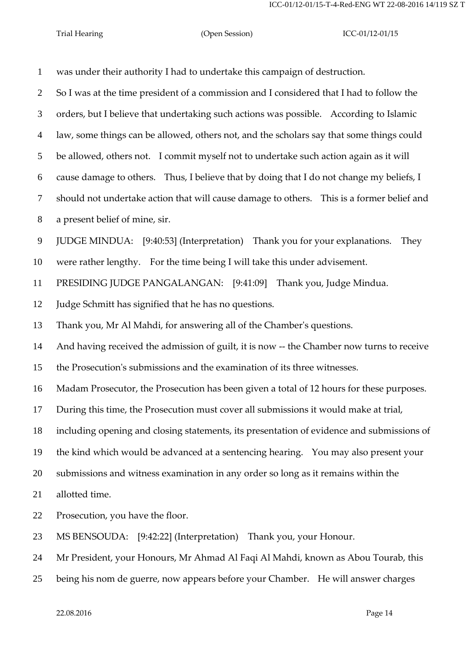was under their authority I had to undertake this campaign of destruction. So I was at the time president of a commission and I considered that I had to follow the orders, but I believe that undertaking such actions was possible. According to Islamic law, some things can be allowed, others not, and the scholars say that some things could be allowed, others not. I commit myself not to undertake such action again as it will cause damage to others. Thus, I believe that by doing that I do not change my beliefs, I should not undertake action that will cause damage to others. This is a former belief and a present belief of mine, sir. JUDGE MINDUA: [9:40:53] (Interpretation) Thank you for your explanations. They were rather lengthy. For the time being I will take this under advisement. PRESIDING JUDGE PANGALANGAN: [9:41:09] Thank you, Judge Mindua. Judge Schmitt has signified that he has no questions. Thank you, Mr Al Mahdi, for answering all of the Chamber's questions. And having received the admission of guilt, it is now -- the Chamber now turns to receive the Prosecution's submissions and the examination of its three witnesses. Madam Prosecutor, the Prosecution has been given a total of 12 hours for these purposes. During this time, the Prosecution must cover all submissions it would make at trial, including opening and closing statements, its presentation of evidence and submissions of the kind which would be advanced at a sentencing hearing. You may also present your submissions and witness examination in any order so long as it remains within the allotted time. Prosecution, you have the floor. MS BENSOUDA: [9:42:22] (Interpretation) Thank you, your Honour. Mr President, your Honours, Mr Ahmad Al Faqi Al Mahdi, known as Abou Tourab, this being his nom de guerre, now appears before your Chamber. He will answer charges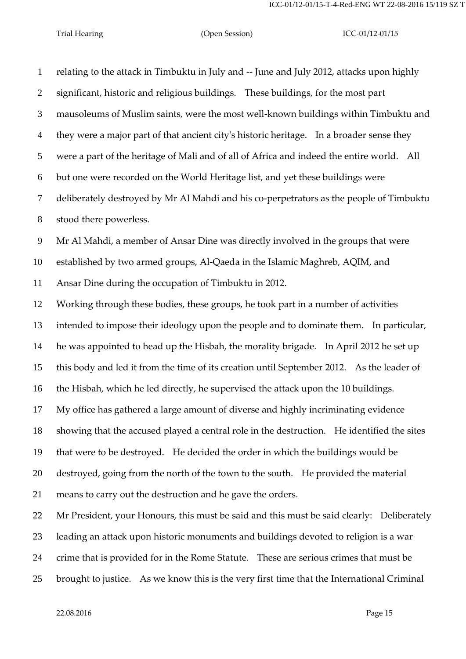relating to the attack in Timbuktu in July and -- June and July 2012, attacks upon highly significant, historic and religious buildings. These buildings, for the most part mausoleums of Muslim saints, were the most well-known buildings within Timbuktu and they were a major part of that ancient city's historic heritage. In a broader sense they were a part of the heritage of Mali and of all of Africa and indeed the entire world. All but one were recorded on the World Heritage list, and yet these buildings were deliberately destroyed by Mr Al Mahdi and his co-perpetrators as the people of Timbuktu stood there powerless. Mr Al Mahdi, a member of Ansar Dine was directly involved in the groups that were established by two armed groups, Al-Qaeda in the Islamic Maghreb, AQIM, and Ansar Dine during the occupation of Timbuktu in 2012. Working through these bodies, these groups, he took part in a number of activities intended to impose their ideology upon the people and to dominate them. In particular, he was appointed to head up the Hisbah, the morality brigade. In April 2012 he set up this body and led it from the time of its creation until September 2012. As the leader of the Hisbah, which he led directly, he supervised the attack upon the 10 buildings. My office has gathered a large amount of diverse and highly incriminating evidence showing that the accused played a central role in the destruction. He identified the sites that were to be destroyed. He decided the order in which the buildings would be destroyed, going from the north of the town to the south. He provided the material means to carry out the destruction and he gave the orders. Mr President, your Honours, this must be said and this must be said clearly: Deliberately leading an attack upon historic monuments and buildings devoted to religion is a war crime that is provided for in the Rome Statute. These are serious crimes that must be brought to justice. As we know this is the very first time that the International Criminal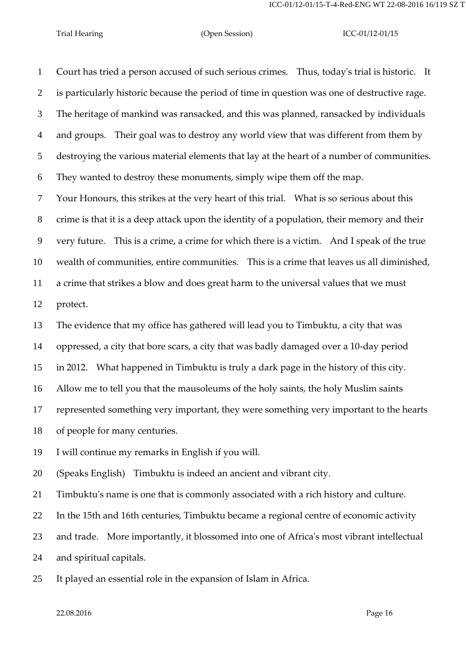Court has tried a person accused of such serious crimes. Thus, today's trial is historic. It is particularly historic because the period of time in question was one of destructive rage. The heritage of mankind was ransacked, and this was planned, ransacked by individuals and groups. Their goal was to destroy any world view that was different from them by destroying the various material elements that lay at the heart of a number of communities. They wanted to destroy these monuments, simply wipe them off the map.

 Your Honours, this strikes at the very heart of this trial. What is so serious about this crime is that it is a deep attack upon the identity of a population, their memory and their very future. This is a crime, a crime for which there is a victim. And I speak of the true wealth of communities, entire communities. This is a crime that leaves us all diminished, a crime that strikes a blow and does great harm to the universal values that we must protect.

The evidence that my office has gathered will lead you to Timbuktu, a city that was

oppressed, a city that bore scars, a city that was badly damaged over a 10-day period

in 2012. What happened in Timbuktu is truly a dark page in the history of this city.

Allow me to tell you that the mausoleums of the holy saints, the holy Muslim saints

represented something very important, they were something very important to the hearts

of people for many centuries.

I will continue my remarks in English if you will.

(Speaks English) Timbuktu is indeed an ancient and vibrant city.

Timbuktu's name is one that is commonly associated with a rich history and culture.

In the 15th and 16th centuries, Timbuktu became a regional centre of economic activity

and trade. More importantly, it blossomed into one of Africa's most vibrant intellectual

and spiritual capitals.

It played an essential role in the expansion of Islam in Africa.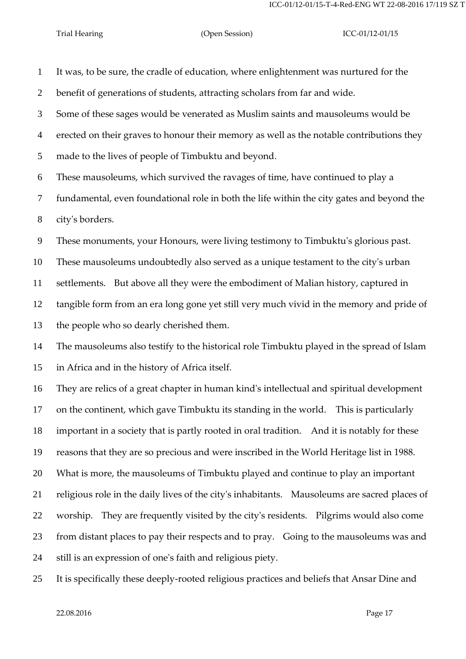It was, to be sure, the cradle of education, where enlightenment was nurtured for the benefit of generations of students, attracting scholars from far and wide. Some of these sages would be venerated as Muslim saints and mausoleums would be erected on their graves to honour their memory as well as the notable contributions they made to the lives of people of Timbuktu and beyond. These mausoleums, which survived the ravages of time, have continued to play a fundamental, even foundational role in both the life within the city gates and beyond the city's borders. These monuments, your Honours, were living testimony to Timbuktu's glorious past. These mausoleums undoubtedly also served as a unique testament to the city's urban settlements. But above all they were the embodiment of Malian history, captured in tangible form from an era long gone yet still very much vivid in the memory and pride of the people who so dearly cherished them. The mausoleums also testify to the historical role Timbuktu played in the spread of Islam in Africa and in the history of Africa itself. They are relics of a great chapter in human kind's intellectual and spiritual development on the continent, which gave Timbuktu its standing in the world. This is particularly important in a society that is partly rooted in oral tradition. And it is notably for these reasons that they are so precious and were inscribed in the World Heritage list in 1988. What is more, the mausoleums of Timbuktu played and continue to play an important religious role in the daily lives of the city's inhabitants. Mausoleums are sacred places of worship. They are frequently visited by the city's residents. Pilgrims would also come from distant places to pay their respects and to pray. Going to the mausoleums was and still is an expression of one's faith and religious piety.

It is specifically these deeply-rooted religious practices and beliefs that Ansar Dine and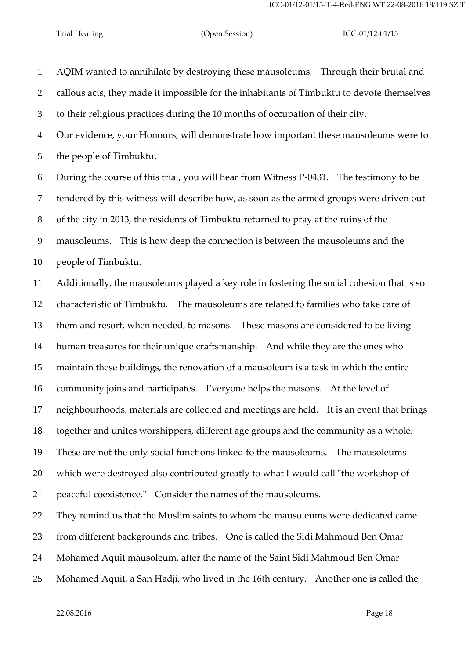AQIM wanted to annihilate by destroying these mausoleums. Through their brutal and callous acts, they made it impossible for the inhabitants of Timbuktu to devote themselves to their religious practices during the 10 months of occupation of their city. Our evidence, your Honours, will demonstrate how important these mausoleums were to the people of Timbuktu. During the course of this trial, you will hear from Witness P-0431. The testimony to be tendered by this witness will describe how, as soon as the armed groups were driven out of the city in 2013, the residents of Timbuktu returned to pray at the ruins of the mausoleums. This is how deep the connection is between the mausoleums and the people of Timbuktu. Additionally, the mausoleums played a key role in fostering the social cohesion that is so

 characteristic of Timbuktu. The mausoleums are related to families who take care of them and resort, when needed, to masons. These masons are considered to be living human treasures for their unique craftsmanship. And while they are the ones who maintain these buildings, the renovation of a mausoleum is a task in which the entire community joins and participates. Everyone helps the masons. At the level of neighbourhoods, materials are collected and meetings are held. It is an event that brings together and unites worshippers, different age groups and the community as a whole. These are not the only social functions linked to the mausoleums. The mausoleums which were destroyed also contributed greatly to what I would call "the workshop of peaceful coexistence." Consider the names of the mausoleums. They remind us that the Muslim saints to whom the mausoleums were dedicated came

from different backgrounds and tribes. One is called the Sidi Mahmoud Ben Omar

- Mohamed Aquit mausoleum, after the name of the Saint Sidi Mahmoud Ben Omar
- Mohamed Aquit, a San Hadji, who lived in the 16th century. Another one is called the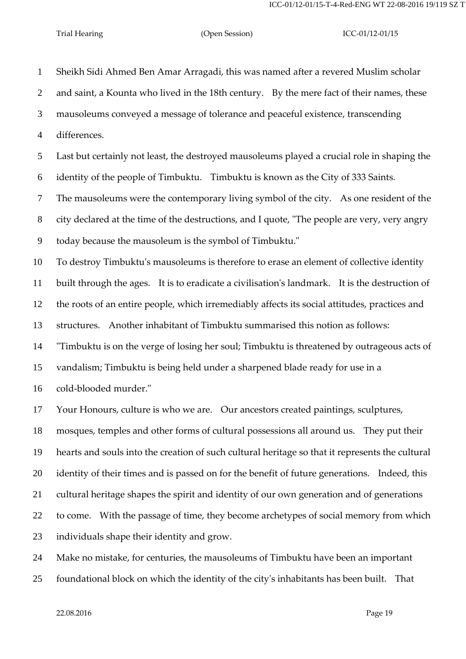Sheikh Sidi Ahmed Ben Amar Arragadi, this was named after a revered Muslim scholar and saint, a Kounta who lived in the 18th century. By the mere fact of their names, these mausoleums conveyed a message of tolerance and peaceful existence, transcending differences. Last but certainly not least, the destroyed mausoleums played a crucial role in shaping the identity of the people of Timbuktu. Timbuktu is known as the City of 333 Saints. The mausoleums were the contemporary living symbol of the city. As one resident of the city declared at the time of the destructions, and I quote, "The people are very, very angry today because the mausoleum is the symbol of Timbuktu." To destroy Timbuktu's mausoleums is therefore to erase an element of collective identity built through the ages. It is to eradicate a civilisation's landmark. It is the destruction of the roots of an entire people, which irremediably affects its social attitudes, practices and structures. Another inhabitant of Timbuktu summarised this notion as follows: "Timbuktu is on the verge of losing her soul; Timbuktu is threatened by outrageous acts of vandalism; Timbuktu is being held under a sharpened blade ready for use in a cold-blooded murder." Your Honours, culture is who we are. Our ancestors created paintings, sculptures, mosques, temples and other forms of cultural possessions all around us. They put their hearts and souls into the creation of such cultural heritage so that it represents the cultural 20 identity of their times and is passed on for the benefit of future generations. Indeed, this cultural heritage shapes the spirit and identity of our own generation and of generations to come. With the passage of time, they become archetypes of social memory from which individuals shape their identity and grow.

Make no mistake, for centuries, the mausoleums of Timbuktu have been an important

foundational block on which the identity of the city's inhabitants has been built. That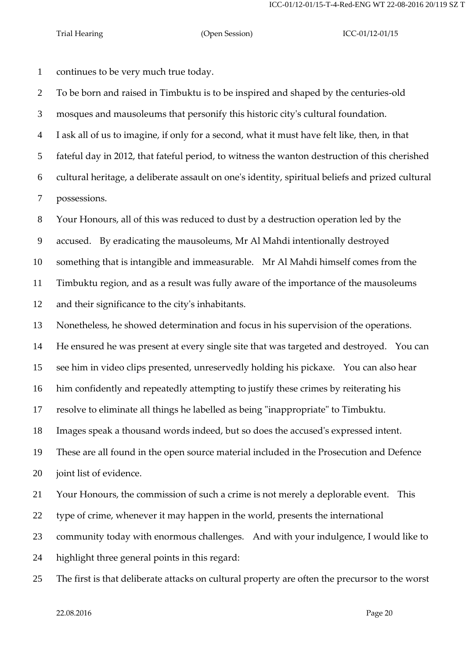continues to be very much true today.

To be born and raised in Timbuktu is to be inspired and shaped by the centuries-old

mosques and mausoleums that personify this historic city's cultural foundation.

I ask all of us to imagine, if only for a second, what it must have felt like, then, in that

fateful day in 2012, that fateful period, to witness the wanton destruction of this cherished

 cultural heritage, a deliberate assault on one's identity, spiritual beliefs and prized cultural possessions.

Your Honours, all of this was reduced to dust by a destruction operation led by the

accused. By eradicating the mausoleums, Mr Al Mahdi intentionally destroyed

something that is intangible and immeasurable. Mr Al Mahdi himself comes from the

Timbuktu region, and as a result was fully aware of the importance of the mausoleums

and their significance to the city's inhabitants.

Nonetheless, he showed determination and focus in his supervision of the operations.

He ensured he was present at every single site that was targeted and destroyed. You can

see him in video clips presented, unreservedly holding his pickaxe. You can also hear

him confidently and repeatedly attempting to justify these crimes by reiterating his

resolve to eliminate all things he labelled as being "inappropriate" to Timbuktu.

Images speak a thousand words indeed, but so does the accused's expressed intent.

 These are all found in the open source material included in the Prosecution and Defence joint list of evidence.

Your Honours, the commission of such a crime is not merely a deplorable event. This

type of crime, whenever it may happen in the world, presents the international

community today with enormous challenges. And with your indulgence, I would like to

highlight three general points in this regard:

The first is that deliberate attacks on cultural property are often the precursor to the worst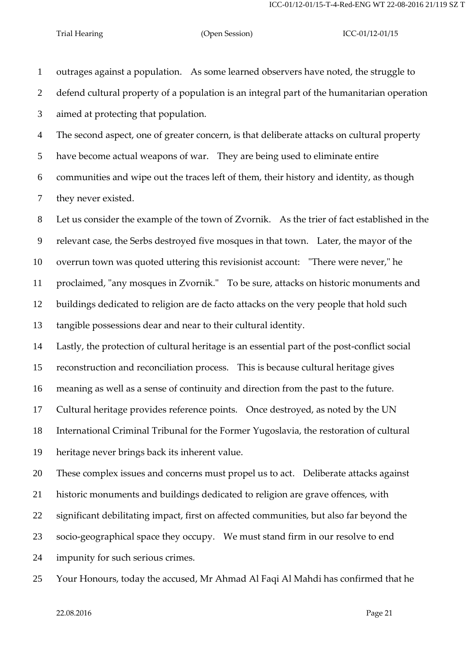outrages against a population. As some learned observers have noted, the struggle to defend cultural property of a population is an integral part of the humanitarian operation aimed at protecting that population.

The second aspect, one of greater concern, is that deliberate attacks on cultural property

have become actual weapons of war. They are being used to eliminate entire

communities and wipe out the traces left of them, their history and identity, as though

they never existed.

Let us consider the example of the town of Zvornik. As the trier of fact established in the

relevant case, the Serbs destroyed five mosques in that town. Later, the mayor of the

overrun town was quoted uttering this revisionist account: "There were never," he

proclaimed, "any mosques in Zvornik." To be sure, attacks on historic monuments and

buildings dedicated to religion are de facto attacks on the very people that hold such

tangible possessions dear and near to their cultural identity.

Lastly, the protection of cultural heritage is an essential part of the post-conflict social

reconstruction and reconciliation process. This is because cultural heritage gives

meaning as well as a sense of continuity and direction from the past to the future.

Cultural heritage provides reference points. Once destroyed, as noted by the UN

International Criminal Tribunal for the Former Yugoslavia, the restoration of cultural

heritage never brings back its inherent value.

These complex issues and concerns must propel us to act. Deliberate attacks against

historic monuments and buildings dedicated to religion are grave offences, with

significant debilitating impact, first on affected communities, but also far beyond the

socio-geographical space they occupy. We must stand firm in our resolve to end

- impunity for such serious crimes.
- Your Honours, today the accused, Mr Ahmad Al Faqi Al Mahdi has confirmed that he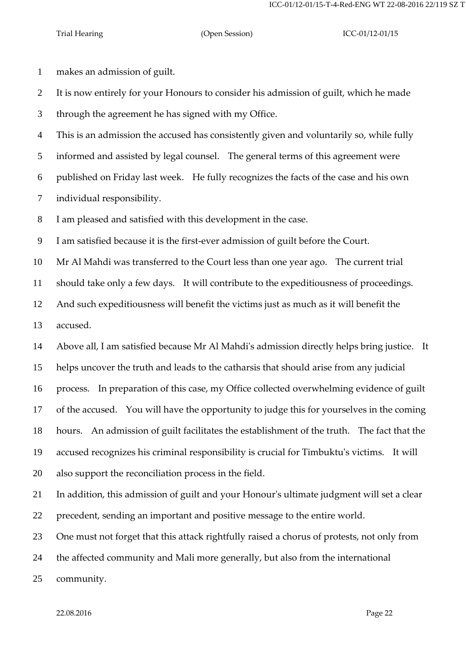makes an admission of guilt.

 It is now entirely for your Honours to consider his admission of guilt, which he made through the agreement he has signed with my Office.

 This is an admission the accused has consistently given and voluntarily so, while fully informed and assisted by legal counsel. The general terms of this agreement were published on Friday last week. He fully recognizes the facts of the case and his own individual responsibility.

I am pleased and satisfied with this development in the case.

I am satisfied because it is the first-ever admission of guilt before the Court.

Mr Al Mahdi was transferred to the Court less than one year ago. The current trial

should take only a few days. It will contribute to the expeditiousness of proceedings.

And such expeditiousness will benefit the victims just as much as it will benefit the

accused.

Above all, I am satisfied because Mr Al Mahdi's admission directly helps bring justice. It

helps uncover the truth and leads to the catharsis that should arise from any judicial

process. In preparation of this case, my Office collected overwhelming evidence of guilt

of the accused. You will have the opportunity to judge this for yourselves in the coming

hours. An admission of guilt facilitates the establishment of the truth. The fact that the

accused recognizes his criminal responsibility is crucial for Timbuktu's victims. It will

also support the reconciliation process in the field.

 In addition, this admission of guilt and your Honour's ultimate judgment will set a clear precedent, sending an important and positive message to the entire world.

One must not forget that this attack rightfully raised a chorus of protests, not only from

the affected community and Mali more generally, but also from the international

community.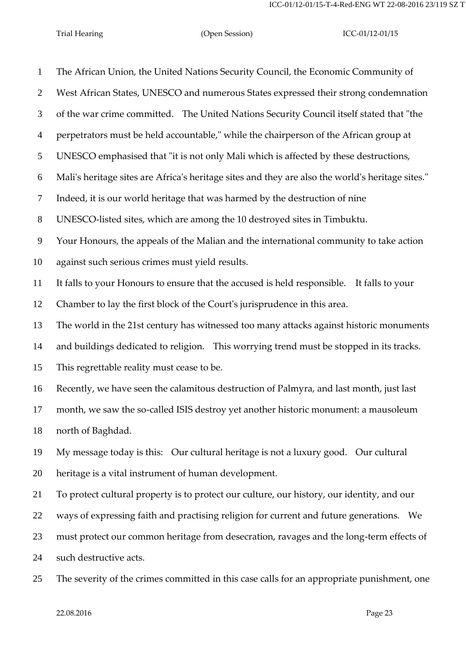The African Union, the United Nations Security Council, the Economic Community of West African States, UNESCO and numerous States expressed their strong condemnation of the war crime committed. The United Nations Security Council itself stated that "the perpetrators must be held accountable," while the chairperson of the African group at UNESCO emphasised that "it is not only Mali which is affected by these destructions, Mali's heritage sites are Africa's heritage sites and they are also the world's heritage sites." Indeed, it is our world heritage that was harmed by the destruction of nine UNESCO-listed sites, which are among the 10 destroyed sites in Timbuktu. Your Honours, the appeals of the Malian and the international community to take action against such serious crimes must yield results. It falls to your Honours to ensure that the accused is held responsible. It falls to your Chamber to lay the first block of the Court's jurisprudence in this area. The world in the 21st century has witnessed too many attacks against historic monuments and buildings dedicated to religion. This worrying trend must be stopped in its tracks. This regrettable reality must cease to be. Recently, we have seen the calamitous destruction of Palmyra, and last month, just last month, we saw the so-called ISIS destroy yet another historic monument: a mausoleum north of Baghdad. My message today is this: Our cultural heritage is not a luxury good. Our cultural heritage is a vital instrument of human development. To protect cultural property is to protect our culture, our history, our identity, and our ways of expressing faith and practising religion for current and future generations. We must protect our common heritage from desecration, ravages and the long-term effects of such destructive acts. The severity of the crimes committed in this case calls for an appropriate punishment, one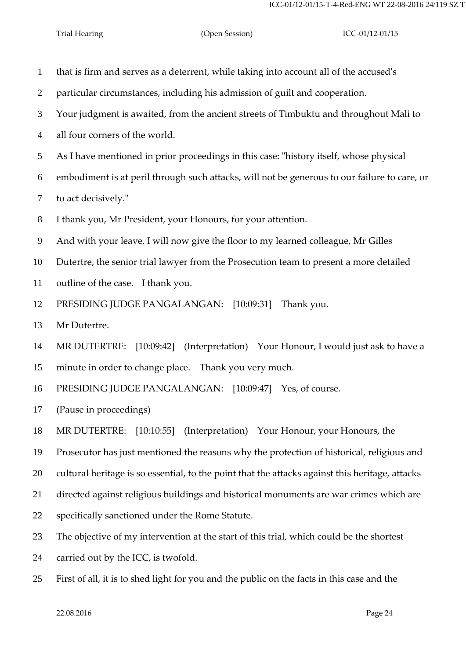| $\mathbf{1}$    | that is firm and serves as a deterrent, while taking into account all of the accused's          |
|-----------------|-------------------------------------------------------------------------------------------------|
| $\overline{2}$  | particular circumstances, including his admission of guilt and cooperation.                     |
| 3               | Your judgment is awaited, from the ancient streets of Timbuktu and throughout Mali to           |
| $\overline{4}$  | all four corners of the world.                                                                  |
| $5\overline{)}$ | As I have mentioned in prior proceedings in this case: "history itself, whose physical          |
| 6               | embodiment is at peril through such attacks, will not be generous to our failure to care, or    |
| $\tau$          | to act decisively."                                                                             |
| $8\phantom{1}$  | I thank you, Mr President, your Honours, for your attention.                                    |
| 9               | And with your leave, I will now give the floor to my learned colleague, Mr Gilles               |
| 10              | Dutertre, the senior trial lawyer from the Prosecution team to present a more detailed          |
| 11              | outline of the case. I thank you.                                                               |
| 12              | PRESIDING JUDGE PANGALANGAN: [10:09:31]<br>Thank you.                                           |
| 13              | Mr Dutertre.                                                                                    |
| 14              | MR DUTERTRE: [10:09:42] (Interpretation) Your Honour, I would just ask to have a                |
| 15              | minute in order to change place. Thank you very much.                                           |
| 16              | PRESIDING JUDGE PANGALANGAN: [10:09:47] Yes, of course.                                         |
| 17              | (Pause in proceedings)                                                                          |
| 18              | MR DUTERTRE: [10:10:55] (Interpretation) Your Honour, your Honours, the                         |
| 19              | Prosecutor has just mentioned the reasons why the protection of historical, religious and       |
| 20              | cultural heritage is so essential, to the point that the attacks against this heritage, attacks |
| 21              | directed against religious buildings and historical monuments are war crimes which are          |
| 22              | specifically sanctioned under the Rome Statute.                                                 |
| 23              | The objective of my intervention at the start of this trial, which could be the shortest        |
| 24              | carried out by the ICC, is twofold.                                                             |
| 25              | First of all, it is to shed light for you and the public on the facts in this case and the      |
|                 |                                                                                                 |

22.08.2016 Page 24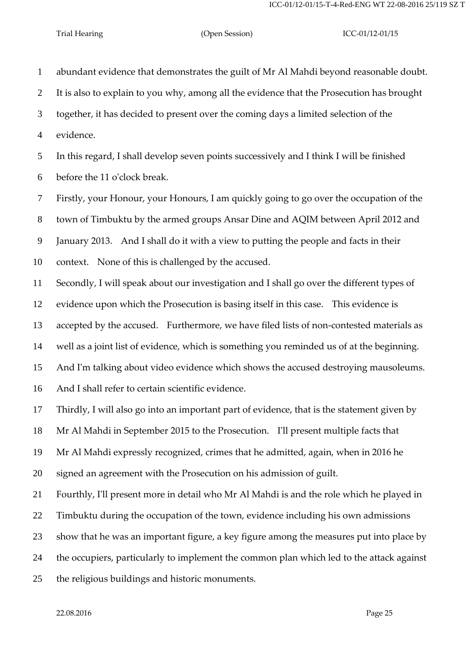abundant evidence that demonstrates the guilt of Mr Al Mahdi beyond reasonable doubt. It is also to explain to you why, among all the evidence that the Prosecution has brought together, it has decided to present over the coming days a limited selection of the

evidence.

 In this regard, I shall develop seven points successively and I think I will be finished before the 11 o'clock break.

 Firstly, your Honour, your Honours, I am quickly going to go over the occupation of the town of Timbuktu by the armed groups Ansar Dine and AQIM between April 2012 and January 2013. And I shall do it with a view to putting the people and facts in their

context. None of this is challenged by the accused.

Secondly, I will speak about our investigation and I shall go over the different types of

evidence upon which the Prosecution is basing itself in this case. This evidence is

accepted by the accused. Furthermore, we have filed lists of non-contested materials as

well as a joint list of evidence, which is something you reminded us of at the beginning.

And I'm talking about video evidence which shows the accused destroying mausoleums.

And I shall refer to certain scientific evidence.

Thirdly, I will also go into an important part of evidence, that is the statement given by

Mr Al Mahdi in September 2015 to the Prosecution. I'll present multiple facts that

Mr Al Mahdi expressly recognized, crimes that he admitted, again, when in 2016 he

signed an agreement with the Prosecution on his admission of guilt.

Fourthly, I'll present more in detail who Mr Al Mahdi is and the role which he played in

Timbuktu during the occupation of the town, evidence including his own admissions

show that he was an important figure, a key figure among the measures put into place by

the occupiers, particularly to implement the common plan which led to the attack against

the religious buildings and historic monuments.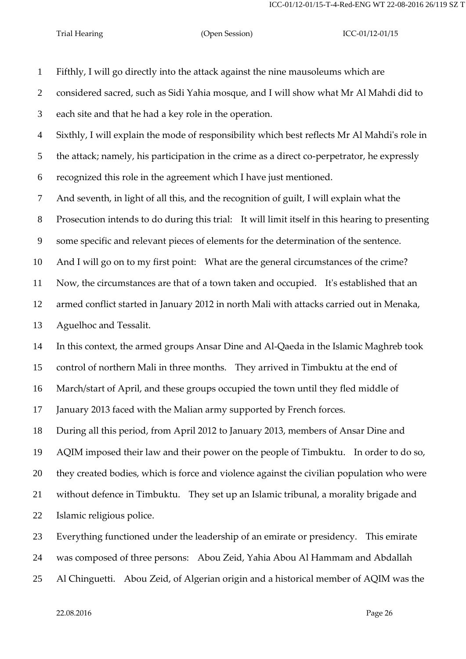Fifthly, I will go directly into the attack against the nine mausoleums which are

 considered sacred, such as Sidi Yahia mosque, and I will show what Mr Al Mahdi did to each site and that he had a key role in the operation.

Sixthly, I will explain the mode of responsibility which best reflects Mr Al Mahdi's role in

the attack; namely, his participation in the crime as a direct co-perpetrator, he expressly

recognized this role in the agreement which I have just mentioned.

And seventh, in light of all this, and the recognition of guilt, I will explain what the

Prosecution intends to do during this trial: It will limit itself in this hearing to presenting

some specific and relevant pieces of elements for the determination of the sentence.

And I will go on to my first point: What are the general circumstances of the crime?

Now, the circumstances are that of a town taken and occupied. It's established that an

armed conflict started in January 2012 in north Mali with attacks carried out in Menaka,

Aguelhoc and Tessalit.

In this context, the armed groups Ansar Dine and Al-Qaeda in the Islamic Maghreb took

control of northern Mali in three months. They arrived in Timbuktu at the end of

March/start of April, and these groups occupied the town until they fled middle of

January 2013 faced with the Malian army supported by French forces.

 During all this period, from April 2012 to January 2013, members of Ansar Dine and AQIM imposed their law and their power on the people of Timbuktu. In order to do so,

they created bodies, which is force and violence against the civilian population who were

without defence in Timbuktu. They set up an Islamic tribunal, a morality brigade and

Islamic religious police.

Everything functioned under the leadership of an emirate or presidency. This emirate

was composed of three persons: Abou Zeid, Yahia Abou Al Hammam and Abdallah

Al Chinguetti. Abou Zeid, of Algerian origin and a historical member of AQIM was the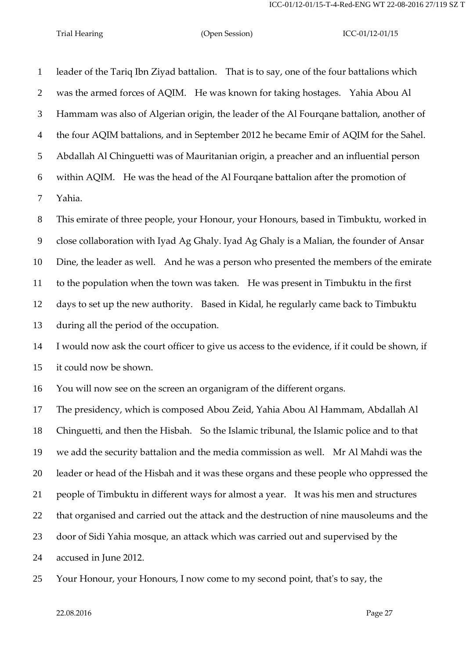leader of the Tariq Ibn Ziyad battalion. That is to say, one of the four battalions which was the armed forces of AQIM. He was known for taking hostages. Yahia Abou Al Hammam was also of Algerian origin, the leader of the Al Fourqane battalion, another of the four AQIM battalions, and in September 2012 he became Emir of AQIM for the Sahel. Abdallah Al Chinguetti was of Mauritanian origin, a preacher and an influential person within AQIM. He was the head of the Al Fourqane battalion after the promotion of Yahia.

 This emirate of three people, your Honour, your Honours, based in Timbuktu, worked in close collaboration with Iyad Ag Ghaly. Iyad Ag Ghaly is a Malian, the founder of Ansar Dine, the leader as well. And he was a person who presented the members of the emirate to the population when the town was taken. He was present in Timbuktu in the first days to set up the new authority. Based in Kidal, he regularly came back to Timbuktu during all the period of the occupation.

 I would now ask the court officer to give us access to the evidence, if it could be shown, if it could now be shown.

You will now see on the screen an organigram of the different organs.

 The presidency, which is composed Abou Zeid, Yahia Abou Al Hammam, Abdallah Al Chinguetti, and then the Hisbah. So the Islamic tribunal, the Islamic police and to that we add the security battalion and the media commission as well. Mr Al Mahdi was the leader or head of the Hisbah and it was these organs and these people who oppressed the people of Timbuktu in different ways for almost a year. It was his men and structures that organised and carried out the attack and the destruction of nine mausoleums and the door of Sidi Yahia mosque, an attack which was carried out and supervised by the accused in June 2012.

Your Honour, your Honours, I now come to my second point, that's to say, the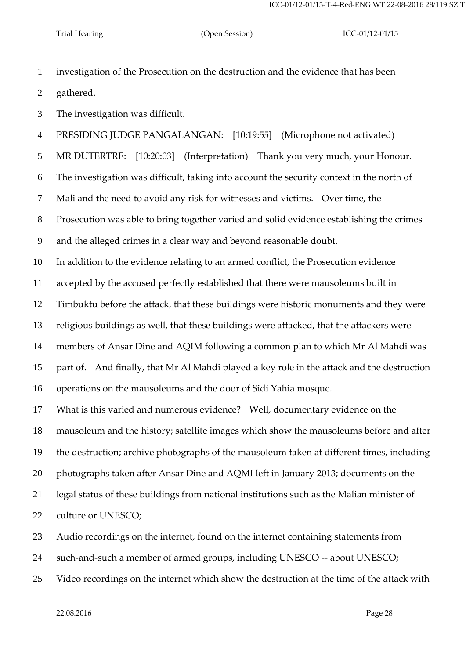investigation of the Prosecution on the destruction and the evidence that has been gathered.

The investigation was difficult.

PRESIDING JUDGE PANGALANGAN: [10:19:55] (Microphone not activated)

MR DUTERTRE: [10:20:03] (Interpretation) Thank you very much, your Honour.

The investigation was difficult, taking into account the security context in the north of

Mali and the need to avoid any risk for witnesses and victims. Over time, the

Prosecution was able to bring together varied and solid evidence establishing the crimes

and the alleged crimes in a clear way and beyond reasonable doubt.

In addition to the evidence relating to an armed conflict, the Prosecution evidence

accepted by the accused perfectly established that there were mausoleums built in

Timbuktu before the attack, that these buildings were historic monuments and they were

religious buildings as well, that these buildings were attacked, that the attackers were

members of Ansar Dine and AQIM following a common plan to which Mr Al Mahdi was

part of. And finally, that Mr Al Mahdi played a key role in the attack and the destruction

operations on the mausoleums and the door of Sidi Yahia mosque.

What is this varied and numerous evidence? Well, documentary evidence on the

mausoleum and the history; satellite images which show the mausoleums before and after

the destruction; archive photographs of the mausoleum taken at different times, including

photographs taken after Ansar Dine and AQMI left in January 2013; documents on the

legal status of these buildings from national institutions such as the Malian minister of

22 culture or UNESCO;

Audio recordings on the internet, found on the internet containing statements from

such-and-such a member of armed groups, including UNESCO -- about UNESCO;

Video recordings on the internet which show the destruction at the time of the attack with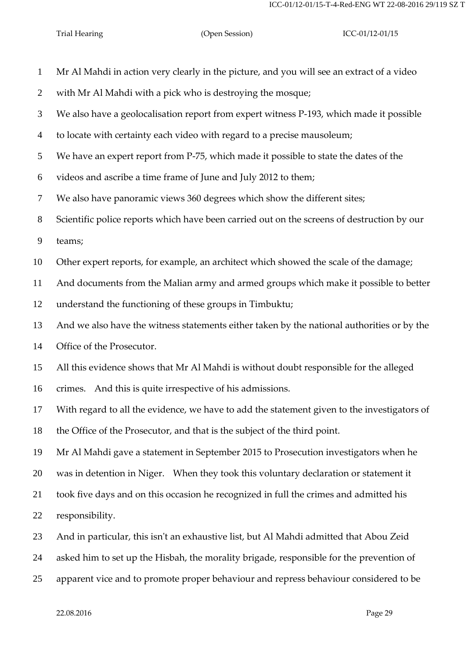Mr Al Mahdi in action very clearly in the picture, and you will see an extract of a video with Mr Al Mahdi with a pick who is destroying the mosque; We also have a geolocalisation report from expert witness P-193, which made it possible to locate with certainty each video with regard to a precise mausoleum; We have an expert report from P-75, which made it possible to state the dates of the videos and ascribe a time frame of June and July 2012 to them; We also have panoramic views 360 degrees which show the different sites; Scientific police reports which have been carried out on the screens of destruction by our teams; Other expert reports, for example, an architect which showed the scale of the damage; And documents from the Malian army and armed groups which make it possible to better understand the functioning of these groups in Timbuktu; And we also have the witness statements either taken by the national authorities or by the Office of the Prosecutor. All this evidence shows that Mr Al Mahdi is without doubt responsible for the alleged crimes. And this is quite irrespective of his admissions. With regard to all the evidence, we have to add the statement given to the investigators of the Office of the Prosecutor, and that is the subject of the third point. Mr Al Mahdi gave a statement in September 2015 to Prosecution investigators when he was in detention in Niger. When they took this voluntary declaration or statement it took five days and on this occasion he recognized in full the crimes and admitted his responsibility. And in particular, this isn't an exhaustive list, but Al Mahdi admitted that Abou Zeid asked him to set up the Hisbah, the morality brigade, responsible for the prevention of apparent vice and to promote proper behaviour and repress behaviour considered to be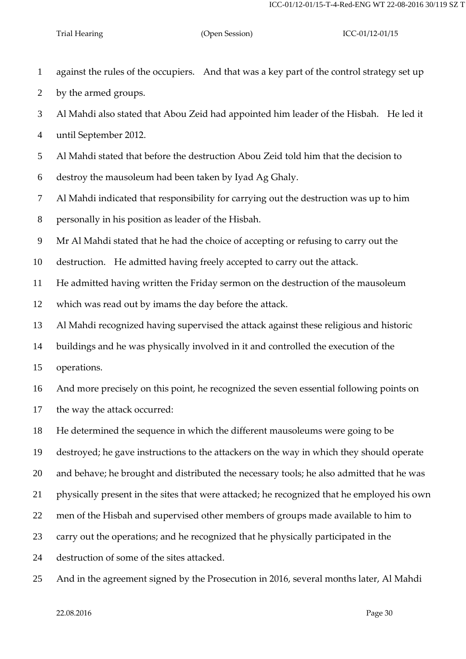against the rules of the occupiers. And that was a key part of the control strategy set up

by the armed groups.

Al Mahdi also stated that Abou Zeid had appointed him leader of the Hisbah. He led it

until September 2012.

Al Mahdi stated that before the destruction Abou Zeid told him that the decision to

destroy the mausoleum had been taken by Iyad Ag Ghaly.

Al Mahdi indicated that responsibility for carrying out the destruction was up to him

personally in his position as leader of the Hisbah.

Mr Al Mahdi stated that he had the choice of accepting or refusing to carry out the

destruction. He admitted having freely accepted to carry out the attack.

He admitted having written the Friday sermon on the destruction of the mausoleum

which was read out by imams the day before the attack.

Al Mahdi recognized having supervised the attack against these religious and historic

buildings and he was physically involved in it and controlled the execution of the

operations.

And more precisely on this point, he recognized the seven essential following points on

the way the attack occurred:

He determined the sequence in which the different mausoleums were going to be

destroyed; he gave instructions to the attackers on the way in which they should operate

and behave; he brought and distributed the necessary tools; he also admitted that he was

physically present in the sites that were attacked; he recognized that he employed his own

men of the Hisbah and supervised other members of groups made available to him to

carry out the operations; and he recognized that he physically participated in the

destruction of some of the sites attacked.

And in the agreement signed by the Prosecution in 2016, several months later, Al Mahdi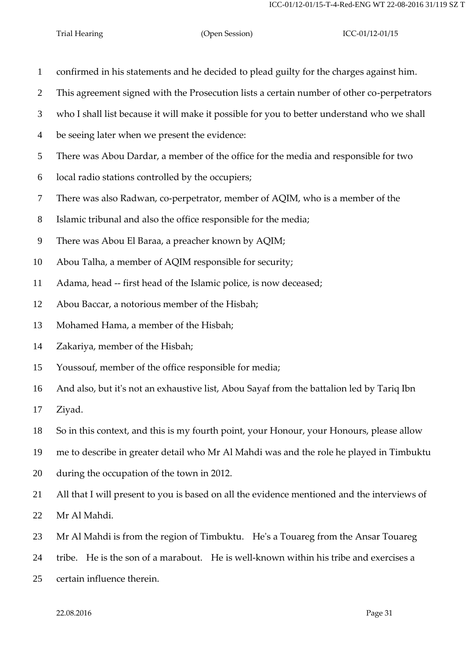- confirmed in his statements and he decided to plead guilty for the charges against him.
- This agreement signed with the Prosecution lists a certain number of other co-perpetrators
- who I shall list because it will make it possible for you to better understand who we shall
- be seeing later when we present the evidence:
- There was Abou Dardar, a member of the office for the media and responsible for two
- local radio stations controlled by the occupiers;
- There was also Radwan, co-perpetrator, member of AQIM, who is a member of the
- Islamic tribunal and also the office responsible for the media;
- There was Abou El Baraa, a preacher known by AQIM;
- Abou Talha, a member of AQIM responsible for security;
- Adama, head -- first head of the Islamic police, is now deceased;
- Abou Baccar, a notorious member of the Hisbah;
- Mohamed Hama, a member of the Hisbah;
- Zakariya, member of the Hisbah;
- Youssouf, member of the office responsible for media;
- And also, but it's not an exhaustive list, Abou Sayaf from the battalion led by Tariq Ibn
- Ziyad.
- So in this context, and this is my fourth point, your Honour, your Honours, please allow
- me to describe in greater detail who Mr Al Mahdi was and the role he played in Timbuktu
- during the occupation of the town in 2012.
- All that I will present to you is based on all the evidence mentioned and the interviews of
- Mr Al Mahdi.
- Mr Al Mahdi is from the region of Timbuktu. He's a Touareg from the Ansar Touareg
- tribe. He is the son of a marabout. He is well-known within his tribe and exercises a
- certain influence therein.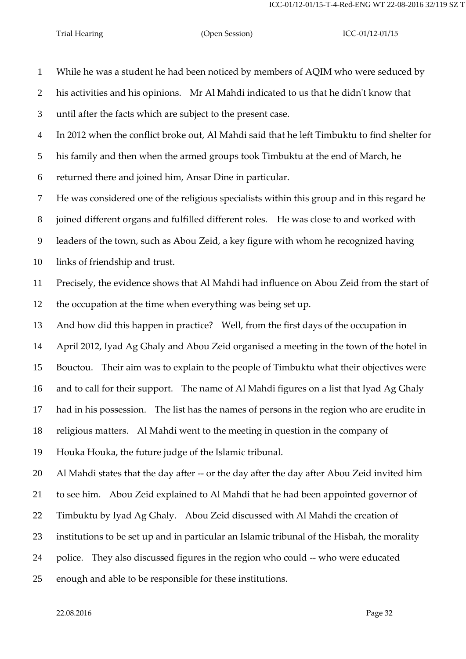While he was a student he had been noticed by members of AQIM who were seduced by his activities and his opinions. Mr Al Mahdi indicated to us that he didn't know that until after the facts which are subject to the present case. In 2012 when the conflict broke out, Al Mahdi said that he left Timbuktu to find shelter for his family and then when the armed groups took Timbuktu at the end of March, he returned there and joined him, Ansar Dine in particular. He was considered one of the religious specialists within this group and in this regard he joined different organs and fulfilled different roles. He was close to and worked with leaders of the town, such as Abou Zeid, a key figure with whom he recognized having links of friendship and trust. Precisely, the evidence shows that Al Mahdi had influence on Abou Zeid from the start of the occupation at the time when everything was being set up. And how did this happen in practice? Well, from the first days of the occupation in April 2012, Iyad Ag Ghaly and Abou Zeid organised a meeting in the town of the hotel in Bouctou. Their aim was to explain to the people of Timbuktu what their objectives were and to call for their support. The name of Al Mahdi figures on a list that Iyad Ag Ghaly had in his possession. The list has the names of persons in the region who are erudite in religious matters. Al Mahdi went to the meeting in question in the company of Houka Houka, the future judge of the Islamic tribunal. Al Mahdi states that the day after -- or the day after the day after Abou Zeid invited him to see him. Abou Zeid explained to Al Mahdi that he had been appointed governor of Timbuktu by Iyad Ag Ghaly. Abou Zeid discussed with Al Mahdi the creation of institutions to be set up and in particular an Islamic tribunal of the Hisbah, the morality police. They also discussed figures in the region who could -- who were educated enough and able to be responsible for these institutions.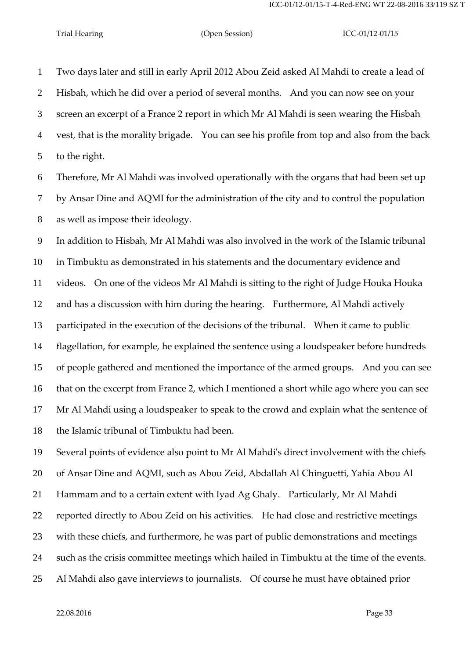Two days later and still in early April 2012 Abou Zeid asked Al Mahdi to create a lead of Hisbah, which he did over a period of several months. And you can now see on your screen an excerpt of a France 2 report in which Mr Al Mahdi is seen wearing the Hisbah vest, that is the morality brigade. You can see his profile from top and also from the back to the right.

 Therefore, Mr Al Mahdi was involved operationally with the organs that had been set up by Ansar Dine and AQMI for the administration of the city and to control the population as well as impose their ideology.

 In addition to Hisbah, Mr Al Mahdi was also involved in the work of the Islamic tribunal in Timbuktu as demonstrated in his statements and the documentary evidence and videos. On one of the videos Mr Al Mahdi is sitting to the right of Judge Houka Houka and has a discussion with him during the hearing. Furthermore, Al Mahdi actively participated in the execution of the decisions of the tribunal. When it came to public flagellation, for example, he explained the sentence using a loudspeaker before hundreds of people gathered and mentioned the importance of the armed groups. And you can see that on the excerpt from France 2, which I mentioned a short while ago where you can see Mr Al Mahdi using a loudspeaker to speak to the crowd and explain what the sentence of the Islamic tribunal of Timbuktu had been.

 Several points of evidence also point to Mr Al Mahdi's direct involvement with the chiefs of Ansar Dine and AQMI, such as Abou Zeid, Abdallah Al Chinguetti, Yahia Abou Al Hammam and to a certain extent with Iyad Ag Ghaly. Particularly, Mr Al Mahdi reported directly to Abou Zeid on his activities. He had close and restrictive meetings with these chiefs, and furthermore, he was part of public demonstrations and meetings such as the crisis committee meetings which hailed in Timbuktu at the time of the events. Al Mahdi also gave interviews to journalists. Of course he must have obtained prior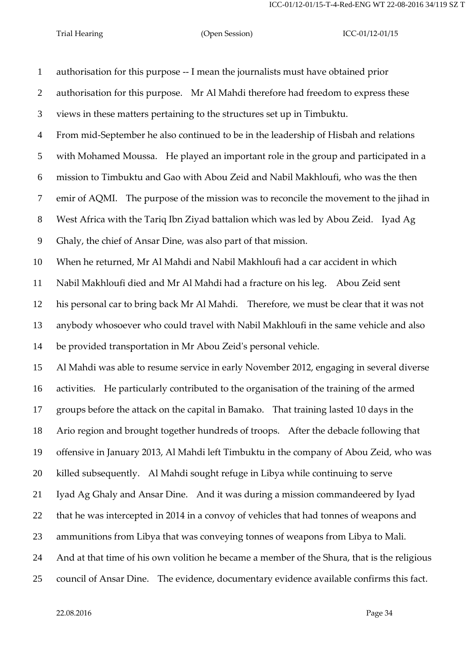authorisation for this purpose -- I mean the journalists must have obtained prior authorisation for this purpose. Mr Al Mahdi therefore had freedom to express these views in these matters pertaining to the structures set up in Timbuktu. From mid-September he also continued to be in the leadership of Hisbah and relations with Mohamed Moussa. He played an important role in the group and participated in a mission to Timbuktu and Gao with Abou Zeid and Nabil Makhloufi, who was the then emir of AQMI. The purpose of the mission was to reconcile the movement to the jihad in West Africa with the Tariq Ibn Ziyad battalion which was led by Abou Zeid. Iyad Ag Ghaly, the chief of Ansar Dine, was also part of that mission. When he returned, Mr Al Mahdi and Nabil Makhloufi had a car accident in which Nabil Makhloufi died and Mr Al Mahdi had a fracture on his leg. Abou Zeid sent his personal car to bring back Mr Al Mahdi. Therefore, we must be clear that it was not anybody whosoever who could travel with Nabil Makhloufi in the same vehicle and also be provided transportation in Mr Abou Zeid's personal vehicle. Al Mahdi was able to resume service in early November 2012, engaging in several diverse activities. He particularly contributed to the organisation of the training of the armed groups before the attack on the capital in Bamako. That training lasted 10 days in the Ario region and brought together hundreds of troops. After the debacle following that offensive in January 2013, Al Mahdi left Timbuktu in the company of Abou Zeid, who was killed subsequently. Al Mahdi sought refuge in Libya while continuing to serve Iyad Ag Ghaly and Ansar Dine. And it was during a mission commandeered by Iyad that he was intercepted in 2014 in a convoy of vehicles that had tonnes of weapons and ammunitions from Libya that was conveying tonnes of weapons from Libya to Mali. And at that time of his own volition he became a member of the Shura, that is the religious council of Ansar Dine. The evidence, documentary evidence available confirms this fact.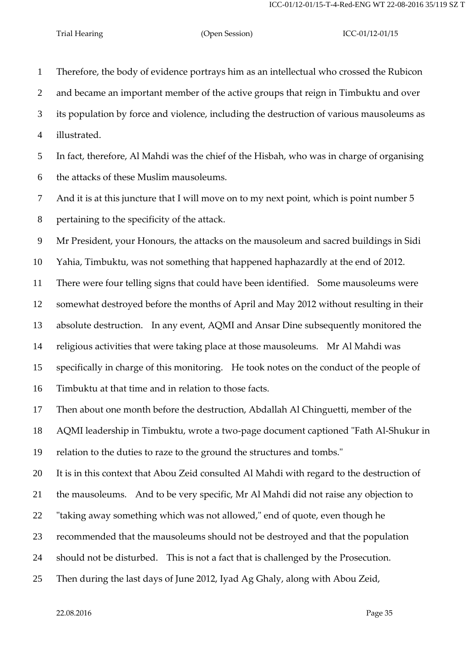Therefore, the body of evidence portrays him as an intellectual who crossed the Rubicon and became an important member of the active groups that reign in Timbuktu and over its population by force and violence, including the destruction of various mausoleums as illustrated.

 In fact, therefore, Al Mahdi was the chief of the Hisbah, who was in charge of organising the attacks of these Muslim mausoleums.

And it is at this juncture that I will move on to my next point, which is point number 5

pertaining to the specificity of the attack.

Mr President, your Honours, the attacks on the mausoleum and sacred buildings in Sidi

Yahia, Timbuktu, was not something that happened haphazardly at the end of 2012.

There were four telling signs that could have been identified. Some mausoleums were

 somewhat destroyed before the months of April and May 2012 without resulting in their absolute destruction. In any event, AQMI and Ansar Dine subsequently monitored the

religious activities that were taking place at those mausoleums. Mr Al Mahdi was

specifically in charge of this monitoring. He took notes on the conduct of the people of

Timbuktu at that time and in relation to those facts.

Then about one month before the destruction, Abdallah Al Chinguetti, member of the

AQMI leadership in Timbuktu, wrote a two-page document captioned "Fath Al-Shukur in

relation to the duties to raze to the ground the structures and tombs."

It is in this context that Abou Zeid consulted Al Mahdi with regard to the destruction of

the mausoleums. And to be very specific, Mr Al Mahdi did not raise any objection to

"taking away something which was not allowed," end of quote, even though he

recommended that the mausoleums should not be destroyed and that the population

should not be disturbed. This is not a fact that is challenged by the Prosecution.

Then during the last days of June 2012, Iyad Ag Ghaly, along with Abou Zeid,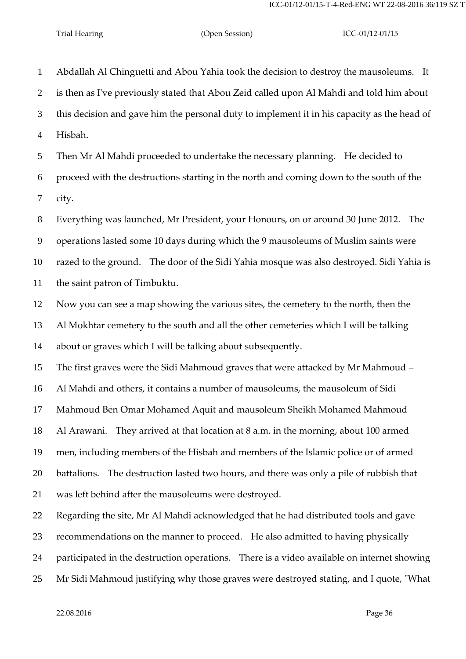Abdallah Al Chinguetti and Abou Yahia took the decision to destroy the mausoleums. It is then as I've previously stated that Abou Zeid called upon Al Mahdi and told him about this decision and gave him the personal duty to implement it in his capacity as the head of Hisbah.

 Then Mr Al Mahdi proceeded to undertake the necessary planning. He decided to proceed with the destructions starting in the north and coming down to the south of the city.

 Everything was launched, Mr President, your Honours, on or around 30 June 2012. The operations lasted some 10 days during which the 9 mausoleums of Muslim saints were razed to the ground. The door of the Sidi Yahia mosque was also destroyed. Sidi Yahia is the saint patron of Timbuktu.

 Now you can see a map showing the various sites, the cemetery to the north, then the Al Mokhtar cemetery to the south and all the other cemeteries which I will be talking about or graves which I will be talking about subsequently.

The first graves were the Sidi Mahmoud graves that were attacked by Mr Mahmoud –

Al Mahdi and others, it contains a number of mausoleums, the mausoleum of Sidi

Mahmoud Ben Omar Mohamed Aquit and mausoleum Sheikh Mohamed Mahmoud

Al Arawani. They arrived at that location at 8 a.m. in the morning, about 100 armed

men, including members of the Hisbah and members of the Islamic police or of armed

battalions. The destruction lasted two hours, and there was only a pile of rubbish that

was left behind after the mausoleums were destroyed.

Regarding the site, Mr Al Mahdi acknowledged that he had distributed tools and gave

recommendations on the manner to proceed. He also admitted to having physically

participated in the destruction operations. There is a video available on internet showing

Mr Sidi Mahmoud justifying why those graves were destroyed stating, and I quote, "What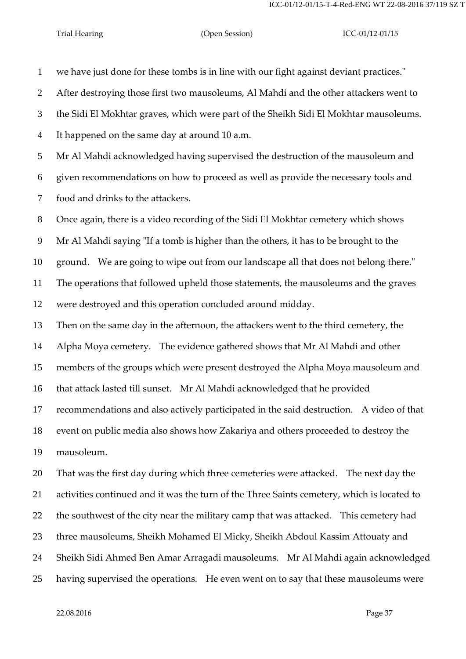we have just done for these tombs is in line with our fight against deviant practices."

After destroying those first two mausoleums, Al Mahdi and the other attackers went to

the Sidi El Mokhtar graves, which were part of the Sheikh Sidi El Mokhtar mausoleums.

It happened on the same day at around 10 a.m.

 Mr Al Mahdi acknowledged having supervised the destruction of the mausoleum and given recommendations on how to proceed as well as provide the necessary tools and food and drinks to the attackers.

Once again, there is a video recording of the Sidi El Mokhtar cemetery which shows

Mr Al Mahdi saying "If a tomb is higher than the others, it has to be brought to the

ground. We are going to wipe out from our landscape all that does not belong there."

The operations that followed upheld those statements, the mausoleums and the graves

were destroyed and this operation concluded around midday.

Then on the same day in the afternoon, the attackers went to the third cemetery, the

Alpha Moya cemetery. The evidence gathered shows that Mr Al Mahdi and other

members of the groups which were present destroyed the Alpha Moya mausoleum and

that attack lasted till sunset. Mr Al Mahdi acknowledged that he provided

recommendations and also actively participated in the said destruction. A video of that

event on public media also shows how Zakariya and others proceeded to destroy the

mausoleum.

 That was the first day during which three cemeteries were attacked. The next day the activities continued and it was the turn of the Three Saints cemetery, which is located to the southwest of the city near the military camp that was attacked. This cemetery had three mausoleums, Sheikh Mohamed El Micky, Sheikh Abdoul Kassim Attouaty and Sheikh Sidi Ahmed Ben Amar Arragadi mausoleums. Mr Al Mahdi again acknowledged having supervised the operations. He even went on to say that these mausoleums were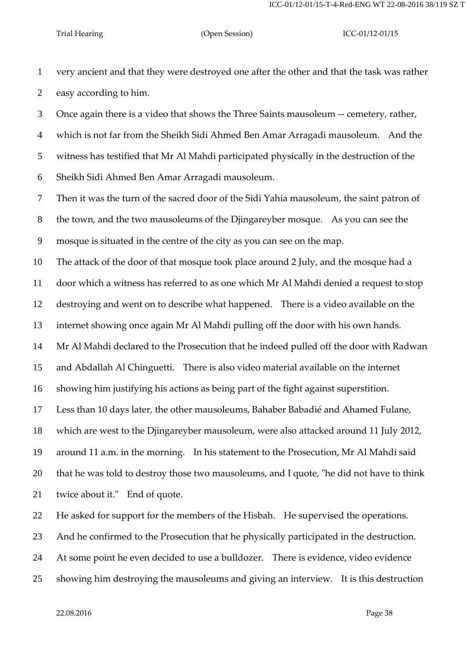very ancient and that they were destroyed one after the other and that the task was rather easy according to him.

 Once again there is a video that shows the Three Saints mausoleum -- cemetery, rather, which is not far from the Sheikh Sidi Ahmed Ben Amar Arragadi mausoleum. And the witness has testified that Mr Al Mahdi participated physically in the destruction of the Sheikh Sidi Ahmed Ben Amar Arragadi mausoleum.

Then it was the turn of the sacred door of the Sidi Yahia mausoleum, the saint patron of

the town, and the two mausoleums of the Djingareyber mosque. As you can see the

mosque is situated in the centre of the city as you can see on the map.

The attack of the door of that mosque took place around 2 July, and the mosque had a

door which a witness has referred to as one which Mr Al Mahdi denied a request to stop

destroying and went on to describe what happened. There is a video available on the

internet showing once again Mr Al Mahdi pulling off the door with his own hands.

Mr Al Mahdi declared to the Prosecution that he indeed pulled off the door with Radwan

and Abdallah Al Chinguetti. There is also video material available on the internet

showing him justifying his actions as being part of the fight against superstition.

Less than 10 days later, the other mausoleums, Bahaber Babadié and Ahamed Fulane,

which are west to the Djingareyber mausoleum, were also attacked around 11 July 2012,

around 11 a.m. in the morning. In his statement to the Prosecution, Mr Al Mahdi said

that he was told to destroy those two mausoleums, and I quote, "he did not have to think

twice about it." End of quote.

He asked for support for the members of the Hisbah. He supervised the operations.

And he confirmed to the Prosecution that he physically participated in the destruction.

At some point he even decided to use a bulldozer. There is evidence, video evidence

showing him destroying the mausoleums and giving an interview. It is this destruction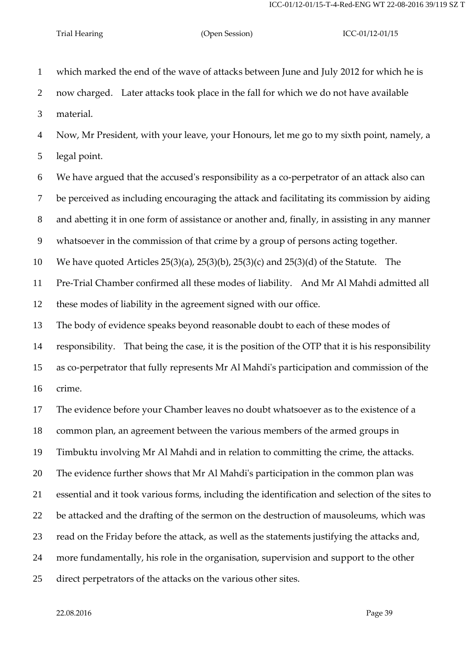which marked the end of the wave of attacks between June and July 2012 for which he is now charged. Later attacks took place in the fall for which we do not have available material. Now, Mr President, with your leave, your Honours, let me go to my sixth point, namely, a legal point. We have argued that the accused's responsibility as a co-perpetrator of an attack also can be perceived as including encouraging the attack and facilitating its commission by aiding and abetting it in one form of assistance or another and, finally, in assisting in any manner whatsoever in the commission of that crime by a group of persons acting together. We have quoted Articles 25(3)(a), 25(3)(b), 25(3)(c) and 25(3)(d) of the Statute. The Pre-Trial Chamber confirmed all these modes of liability. And Mr Al Mahdi admitted all these modes of liability in the agreement signed with our office. The body of evidence speaks beyond reasonable doubt to each of these modes of responsibility. That being the case, it is the position of the OTP that it is his responsibility as co-perpetrator that fully represents Mr Al Mahdi's participation and commission of the crime. The evidence before your Chamber leaves no doubt whatsoever as to the existence of a common plan, an agreement between the various members of the armed groups in Timbuktu involving Mr Al Mahdi and in relation to committing the crime, the attacks. The evidence further shows that Mr Al Mahdi's participation in the common plan was essential and it took various forms, including the identification and selection of the sites to be attacked and the drafting of the sermon on the destruction of mausoleums, which was read on the Friday before the attack, as well as the statements justifying the attacks and, more fundamentally, his role in the organisation, supervision and support to the other direct perpetrators of the attacks on the various other sites.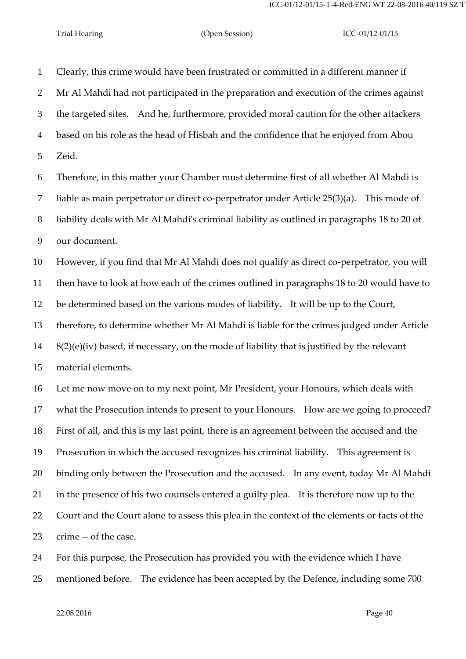Clearly, this crime would have been frustrated or committed in a different manner if Mr Al Mahdi had not participated in the preparation and execution of the crimes against the targeted sites. And he, furthermore, provided moral caution for the other attackers based on his role as the head of Hisbah and the confidence that he enjoyed from Abou Zeid. Therefore, in this matter your Chamber must determine first of all whether Al Mahdi is liable as main perpetrator or direct co-perpetrator under Article 25(3)(a). This mode of liability deals with Mr Al Mahdi's criminal liability as outlined in paragraphs 18 to 20 of our document. However, if you find that Mr Al Mahdi does not qualify as direct co-perpetrator, you will then have to look at how each of the crimes outlined in paragraphs 18 to 20 would have to be determined based on the various modes of liability. It will be up to the Court, therefore, to determine whether Mr Al Mahdi is liable for the crimes judged under Article  $8(2)(e)(iv)$  based, if necessary, on the mode of liability that is justified by the relevant material elements. Let me now move on to my next point, Mr President, your Honours, which deals with what the Prosecution intends to present to your Honours. How are we going to proceed? First of all, and this is my last point, there is an agreement between the accused and the Prosecution in which the accused recognizes his criminal liability. This agreement is binding only between the Prosecution and the accused. In any event, today Mr Al Mahdi in the presence of his two counsels entered a guilty plea. It is therefore now up to the Court and the Court alone to assess this plea in the context of the elements or facts of the crime -- of the case.

 For this purpose, the Prosecution has provided you with the evidence which I have mentioned before. The evidence has been accepted by the Defence, including some 700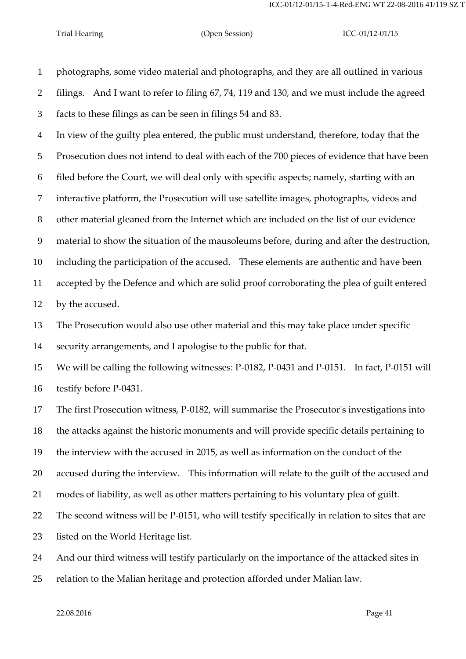photographs, some video material and photographs, and they are all outlined in various filings. And I want to refer to filing 67, 74, 119 and 130, and we must include the agreed facts to these filings as can be seen in filings 54 and 83.

 In view of the guilty plea entered, the public must understand, therefore, today that the Prosecution does not intend to deal with each of the 700 pieces of evidence that have been filed before the Court, we will deal only with specific aspects; namely, starting with an interactive platform, the Prosecution will use satellite images, photographs, videos and other material gleaned from the Internet which are included on the list of our evidence material to show the situation of the mausoleums before, during and after the destruction, including the participation of the accused. These elements are authentic and have been accepted by the Defence and which are solid proof corroborating the plea of guilt entered by the accused.

 The Prosecution would also use other material and this may take place under specific security arrangements, and I apologise to the public for that.

 We will be calling the following witnesses: P-0182, P-0431 and P-0151. In fact, P-0151 will testify before P-0431.

 The first Prosecution witness, P-0182, will summarise the Prosecutor's investigations into the attacks against the historic monuments and will provide specific details pertaining to the interview with the accused in 2015, as well as information on the conduct of the accused during the interview. This information will relate to the guilt of the accused and modes of liability, as well as other matters pertaining to his voluntary plea of guilt. The second witness will be P-0151, who will testify specifically in relation to sites that are listed on the World Heritage list.

And our third witness will testify particularly on the importance of the attacked sites in

relation to the Malian heritage and protection afforded under Malian law.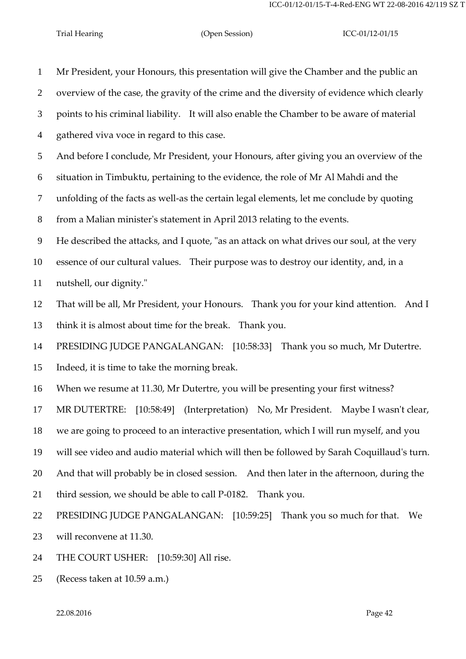Mr President, your Honours, this presentation will give the Chamber and the public an overview of the case, the gravity of the crime and the diversity of evidence which clearly points to his criminal liability. It will also enable the Chamber to be aware of material gathered viva voce in regard to this case. And before I conclude, Mr President, your Honours, after giving you an overview of the situation in Timbuktu, pertaining to the evidence, the role of Mr Al Mahdi and the unfolding of the facts as well-as the certain legal elements, let me conclude by quoting from a Malian minister's statement in April 2013 relating to the events. He described the attacks, and I quote, "as an attack on what drives our soul, at the very essence of our cultural values. Their purpose was to destroy our identity, and, in a nutshell, our dignity." That will be all, Mr President, your Honours. Thank you for your kind attention. And I think it is almost about time for the break. Thank you. PRESIDING JUDGE PANGALANGAN: [10:58:33] Thank you so much, Mr Dutertre. Indeed, it is time to take the morning break. When we resume at 11.30, Mr Dutertre, you will be presenting your first witness? MR DUTERTRE: [10:58:49] (Interpretation) No, Mr President. Maybe I wasn't clear, we are going to proceed to an interactive presentation, which I will run myself, and you will see video and audio material which will then be followed by Sarah Coquillaud's turn. And that will probably be in closed session. And then later in the afternoon, during the third session, we should be able to call P-0182. Thank you. PRESIDING JUDGE PANGALANGAN: [10:59:25] Thank you so much for that. We will reconvene at 11.30.

THE COURT USHER: [10:59:30] All rise.

(Recess taken at 10.59 a.m.)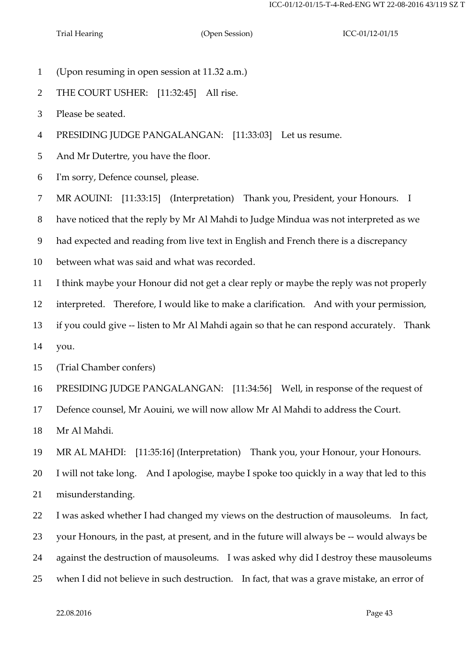- (Upon resuming in open session at 11.32 a.m.)
- THE COURT USHER: [11:32:45] All rise.
- Please be seated.
- PRESIDING JUDGE PANGALANGAN: [11:33:03] Let us resume.

And Mr Dutertre, you have the floor.

I'm sorry, Defence counsel, please.

MR AOUINI: [11:33:15] (Interpretation) Thank you, President, your Honours. I

have noticed that the reply by Mr Al Mahdi to Judge Mindua was not interpreted as we

had expected and reading from live text in English and French there is a discrepancy

between what was said and what was recorded.

I think maybe your Honour did not get a clear reply or maybe the reply was not properly

interpreted. Therefore, I would like to make a clarification. And with your permission,

if you could give -- listen to Mr Al Mahdi again so that he can respond accurately. Thank

you.

(Trial Chamber confers)

PRESIDING JUDGE PANGALANGAN: [11:34:56] Well, in response of the request of

Defence counsel, Mr Aouini, we will now allow Mr Al Mahdi to address the Court.

Mr Al Mahdi.

MR AL MAHDI: [11:35:16] (Interpretation) Thank you, your Honour, your Honours.

I will not take long. And I apologise, maybe I spoke too quickly in a way that led to this

misunderstanding.

I was asked whether I had changed my views on the destruction of mausoleums. In fact,

your Honours, in the past, at present, and in the future will always be -- would always be

against the destruction of mausoleums. I was asked why did I destroy these mausoleums

when I did not believe in such destruction. In fact, that was a grave mistake, an error of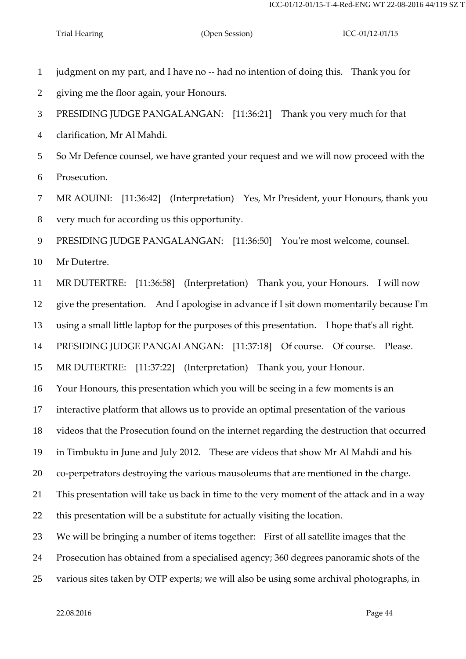judgment on my part, and I have no -- had no intention of doing this. Thank you for giving me the floor again, your Honours. PRESIDING JUDGE PANGALANGAN: [11:36:21] Thank you very much for that clarification, Mr Al Mahdi. So Mr Defence counsel, we have granted your request and we will now proceed with the Prosecution. MR AOUINI: [11:36:42] (Interpretation) Yes, Mr President, your Honours, thank you very much for according us this opportunity. PRESIDING JUDGE PANGALANGAN: [11:36:50] You're most welcome, counsel. Mr Dutertre. MR DUTERTRE: [11:36:58] (Interpretation) Thank you, your Honours. I will now give the presentation. And I apologise in advance if I sit down momentarily because I'm using a small little laptop for the purposes of this presentation. I hope that's all right. PRESIDING JUDGE PANGALANGAN: [11:37:18] Of course. Of course. Please. MR DUTERTRE: [11:37:22] (Interpretation) Thank you, your Honour. Your Honours, this presentation which you will be seeing in a few moments is an interactive platform that allows us to provide an optimal presentation of the various videos that the Prosecution found on the internet regarding the destruction that occurred in Timbuktu in June and July 2012. These are videos that show Mr Al Mahdi and his co-perpetrators destroying the various mausoleums that are mentioned in the charge. This presentation will take us back in time to the very moment of the attack and in a way this presentation will be a substitute for actually visiting the location. We will be bringing a number of items together: First of all satellite images that the Prosecution has obtained from a specialised agency; 360 degrees panoramic shots of the

various sites taken by OTP experts; we will also be using some archival photographs, in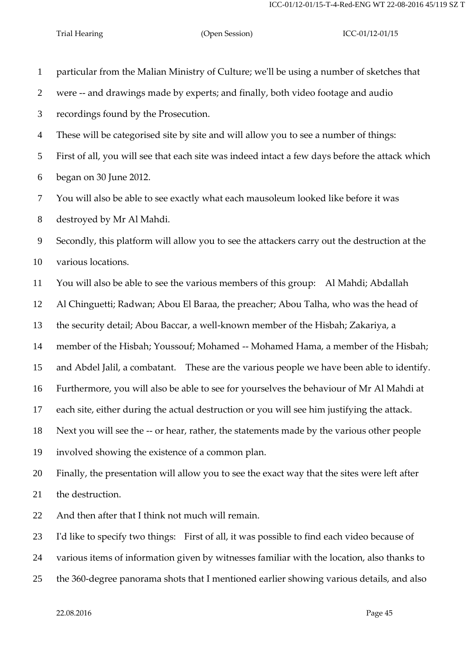particular from the Malian Ministry of Culture; we'll be using a number of sketches that were -- and drawings made by experts; and finally, both video footage and audio recordings found by the Prosecution. These will be categorised site by site and will allow you to see a number of things: First of all, you will see that each site was indeed intact a few days before the attack which began on 30 June 2012. You will also be able to see exactly what each mausoleum looked like before it was destroyed by Mr Al Mahdi. Secondly, this platform will allow you to see the attackers carry out the destruction at the various locations. You will also be able to see the various members of this group: Al Mahdi; Abdallah Al Chinguetti; Radwan; Abou El Baraa, the preacher; Abou Talha, who was the head of the security detail; Abou Baccar, a well-known member of the Hisbah; Zakariya, a member of the Hisbah; Youssouf; Mohamed -- Mohamed Hama, a member of the Hisbah; and Abdel Jalil, a combatant. These are the various people we have been able to identify. Furthermore, you will also be able to see for yourselves the behaviour of Mr Al Mahdi at each site, either during the actual destruction or you will see him justifying the attack. Next you will see the -- or hear, rather, the statements made by the various other people involved showing the existence of a common plan. Finally, the presentation will allow you to see the exact way that the sites were left after the destruction. And then after that I think not much will remain. I'd like to specify two things: First of all, it was possible to find each video because of various items of information given by witnesses familiar with the location, also thanks to the 360-degree panorama shots that I mentioned earlier showing various details, and also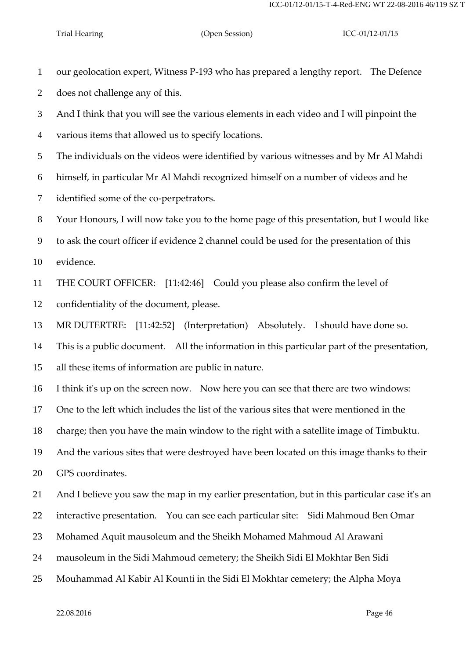our geolocation expert, Witness P-193 who has prepared a lengthy report. The Defence does not challenge any of this.

 And I think that you will see the various elements in each video and I will pinpoint the various items that allowed us to specify locations.

The individuals on the videos were identified by various witnesses and by Mr Al Mahdi

himself, in particular Mr Al Mahdi recognized himself on a number of videos and he

identified some of the co-perpetrators.

Your Honours, I will now take you to the home page of this presentation, but I would like

to ask the court officer if evidence 2 channel could be used for the presentation of this

evidence.

THE COURT OFFICER: [11:42:46] Could you please also confirm the level of

confidentiality of the document, please.

MR DUTERTRE: [11:42:52] (Interpretation) Absolutely. I should have done so.

This is a public document. All the information in this particular part of the presentation,

all these items of information are public in nature.

I think it's up on the screen now. Now here you can see that there are two windows:

One to the left which includes the list of the various sites that were mentioned in the

charge; then you have the main window to the right with a satellite image of Timbuktu.

And the various sites that were destroyed have been located on this image thanks to their

GPS coordinates.

And I believe you saw the map in my earlier presentation, but in this particular case it's an

interactive presentation. You can see each particular site: Sidi Mahmoud Ben Omar

- Mohamed Aquit mausoleum and the Sheikh Mohamed Mahmoud Al Arawani
- mausoleum in the Sidi Mahmoud cemetery; the Sheikh Sidi El Mokhtar Ben Sidi
- Mouhammad Al Kabir Al Kounti in the Sidi El Mokhtar cemetery; the Alpha Moya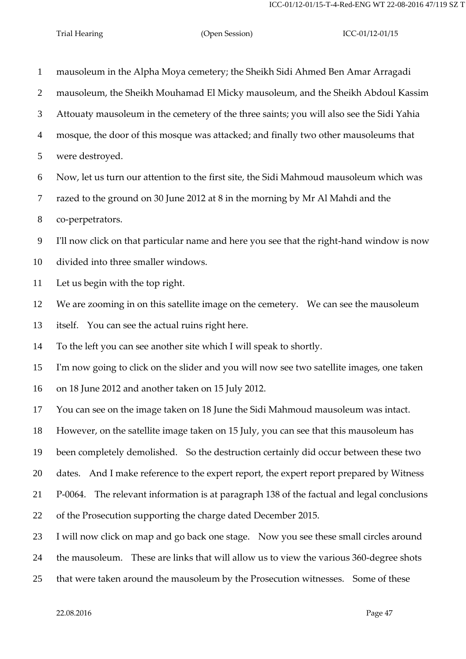mausoleum in the Alpha Moya cemetery; the Sheikh Sidi Ahmed Ben Amar Arragadi mausoleum, the Sheikh Mouhamad El Micky mausoleum, and the Sheikh Abdoul Kassim Attouaty mausoleum in the cemetery of the three saints; you will also see the Sidi Yahia mosque, the door of this mosque was attacked; and finally two other mausoleums that were destroyed. Now, let us turn our attention to the first site, the Sidi Mahmoud mausoleum which was razed to the ground on 30 June 2012 at 8 in the morning by Mr Al Mahdi and the co-perpetrators. I'll now click on that particular name and here you see that the right-hand window is now divided into three smaller windows. Let us begin with the top right. We are zooming in on this satellite image on the cemetery. We can see the mausoleum itself. You can see the actual ruins right here. To the left you can see another site which I will speak to shortly. I'm now going to click on the slider and you will now see two satellite images, one taken on 18 June 2012 and another taken on 15 July 2012. You can see on the image taken on 18 June the Sidi Mahmoud mausoleum was intact. However, on the satellite image taken on 15 July, you can see that this mausoleum has been completely demolished. So the destruction certainly did occur between these two dates. And I make reference to the expert report, the expert report prepared by Witness P-0064. The relevant information is at paragraph 138 of the factual and legal conclusions of the Prosecution supporting the charge dated December 2015. I will now click on map and go back one stage. Now you see these small circles around the mausoleum. These are links that will allow us to view the various 360-degree shots that were taken around the mausoleum by the Prosecution witnesses. Some of these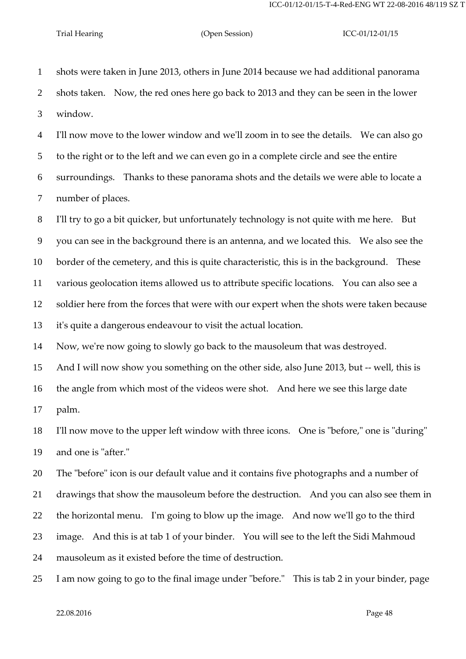shots were taken in June 2013, others in June 2014 because we had additional panorama shots taken. Now, the red ones here go back to 2013 and they can be seen in the lower window. I'll now move to the lower window and we'll zoom in to see the details. We can also go to the right or to the left and we can even go in a complete circle and see the entire surroundings. Thanks to these panorama shots and the details we were able to locate a number of places. I'll try to go a bit quicker, but unfortunately technology is not quite with me here. But you can see in the background there is an antenna, and we located this. We also see the border of the cemetery, and this is quite characteristic, this is in the background. These various geolocation items allowed us to attribute specific locations. You can also see a soldier here from the forces that were with our expert when the shots were taken because it's quite a dangerous endeavour to visit the actual location. Now, we're now going to slowly go back to the mausoleum that was destroyed. And I will now show you something on the other side, also June 2013, but -- well, this is the angle from which most of the videos were shot. And here we see this large date palm.

 I'll now move to the upper left window with three icons. One is "before," one is "during" and one is "after."

The "before" icon is our default value and it contains five photographs and a number of

drawings that show the mausoleum before the destruction. And you can also see them in

the horizontal menu. I'm going to blow up the image. And now we'll go to the third

image. And this is at tab 1 of your binder. You will see to the left the Sidi Mahmoud

mausoleum as it existed before the time of destruction.

I am now going to go to the final image under "before." This is tab 2 in your binder, page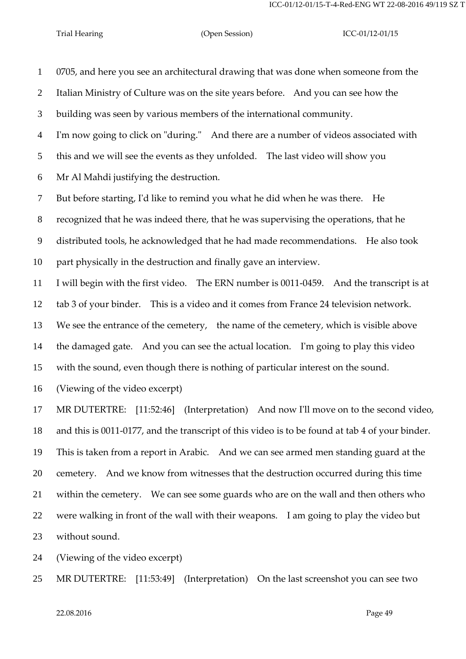0705, and here you see an architectural drawing that was done when someone from the Italian Ministry of Culture was on the site years before. And you can see how the building was seen by various members of the international community. I'm now going to click on "during." And there are a number of videos associated with this and we will see the events as they unfolded. The last video will show you Mr Al Mahdi justifying the destruction. But before starting, I'd like to remind you what he did when he was there. He recognized that he was indeed there, that he was supervising the operations, that he distributed tools, he acknowledged that he had made recommendations. He also took part physically in the destruction and finally gave an interview. I will begin with the first video. The ERN number is 0011-0459. And the transcript is at tab 3 of your binder. This is a video and it comes from France 24 television network. We see the entrance of the cemetery, the name of the cemetery, which is visible above the damaged gate. And you can see the actual location. I'm going to play this video with the sound, even though there is nothing of particular interest on the sound. (Viewing of the video excerpt) MR DUTERTRE: [11:52:46] (Interpretation) And now I'll move on to the second video, and this is 0011-0177, and the transcript of this video is to be found at tab 4 of your binder. This is taken from a report in Arabic. And we can see armed men standing guard at the cemetery. And we know from witnesses that the destruction occurred during this time within the cemetery. We can see some guards who are on the wall and then others who were walking in front of the wall with their weapons. I am going to play the video but without sound.

(Viewing of the video excerpt)

MR DUTERTRE: [11:53:49] (Interpretation) On the last screenshot you can see two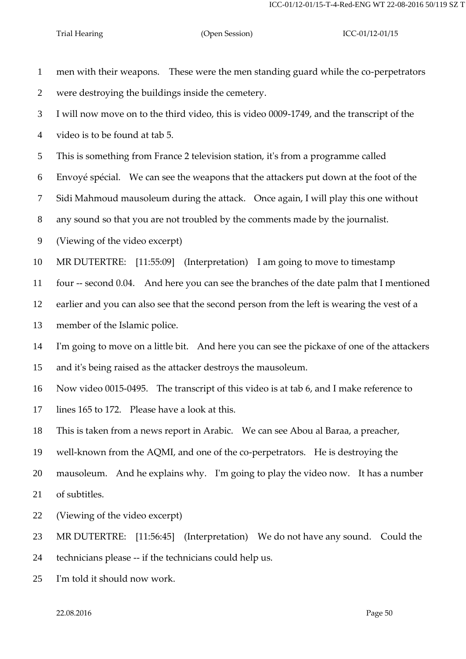| $\mathbf{1}$   | men with their weapons. These were the men standing guard while the co-perpetrators         |
|----------------|---------------------------------------------------------------------------------------------|
| 2              | were destroying the buildings inside the cemetery.                                          |
| 3              | I will now move on to the third video, this is video 0009-1749, and the transcript of the   |
| 4              | video is to be found at tab 5.                                                              |
| 5              | This is something from France 2 television station, it's from a programme called            |
| 6              | Envoyé spécial. We can see the weapons that the attackers put down at the foot of the       |
| $\overline{7}$ | Sidi Mahmoud mausoleum during the attack. Once again, I will play this one without          |
| 8              | any sound so that you are not troubled by the comments made by the journalist.              |
| 9              | (Viewing of the video excerpt)                                                              |
| 10             | MR DUTERTRE: [11:55:09] (Interpretation) I am going to move to timestamp                    |
| 11             | four -- second 0.04. And here you can see the branches of the date palm that I mentioned    |
| 12             | earlier and you can also see that the second person from the left is wearing the vest of a  |
| 13             | member of the Islamic police.                                                               |
| 14             | I'm going to move on a little bit. And here you can see the pickaxe of one of the attackers |
| 15             | and it's being raised as the attacker destroys the mausoleum.                               |
| 16             | Now video 0015-0495. The transcript of this video is at tab 6, and I make reference to      |
| 17             | lines 165 to 172. Please have a look at this.                                               |
| 18             | This is taken from a news report in Arabic. We can see Abou al Baraa, a preacher,           |
| 19             | well-known from the AQMI, and one of the co-perpetrators. He is destroying the              |
| 20             | mausoleum. And he explains why. I'm going to play the video now. It has a number            |
| 21             | of subtitles.                                                                               |
| 22             | (Viewing of the video excerpt)                                                              |
| 23             | MR DUTERTRE: [11:56:45] (Interpretation) We do not have any sound. Could the                |
| 24             | technicians please -- if the technicians could help us.                                     |
|                |                                                                                             |

I'm told it should now work.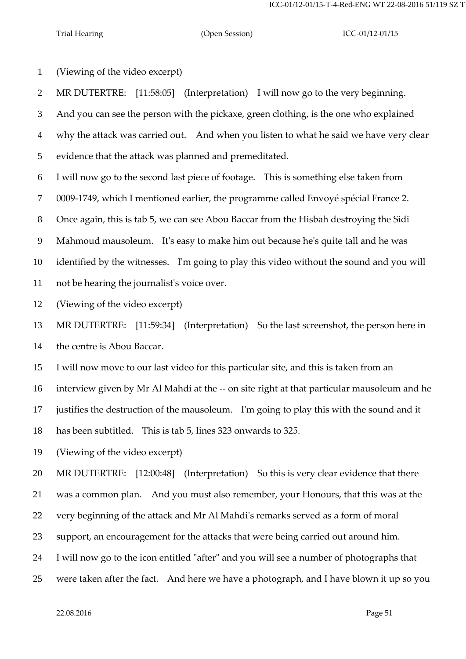(Viewing of the video excerpt)

MR DUTERTRE: [11:58:05] (Interpretation) I will now go to the very beginning.

And you can see the person with the pickaxe, green clothing, is the one who explained

why the attack was carried out. And when you listen to what he said we have very clear

evidence that the attack was planned and premeditated.

I will now go to the second last piece of footage. This is something else taken from

0009-1749, which I mentioned earlier, the programme called Envoyé spécial France 2.

Once again, this is tab 5, we can see Abou Baccar from the Hisbah destroying the Sidi

Mahmoud mausoleum. It's easy to make him out because he's quite tall and he was

identified by the witnesses. I'm going to play this video without the sound and you will

not be hearing the journalist's voice over.

(Viewing of the video excerpt)

 MR DUTERTRE: [11:59:34] (Interpretation) So the last screenshot, the person here in the centre is Abou Baccar.

I will now move to our last video for this particular site, and this is taken from an

interview given by Mr Al Mahdi at the -- on site right at that particular mausoleum and he

justifies the destruction of the mausoleum. I'm going to play this with the sound and it

has been subtitled. This is tab 5, lines 323 onwards to 325.

(Viewing of the video excerpt)

MR DUTERTRE: [12:00:48] (Interpretation) So this is very clear evidence that there

was a common plan. And you must also remember, your Honours, that this was at the

very beginning of the attack and Mr Al Mahdi's remarks served as a form of moral

support, an encouragement for the attacks that were being carried out around him.

I will now go to the icon entitled "after" and you will see a number of photographs that

were taken after the fact. And here we have a photograph, and I have blown it up so you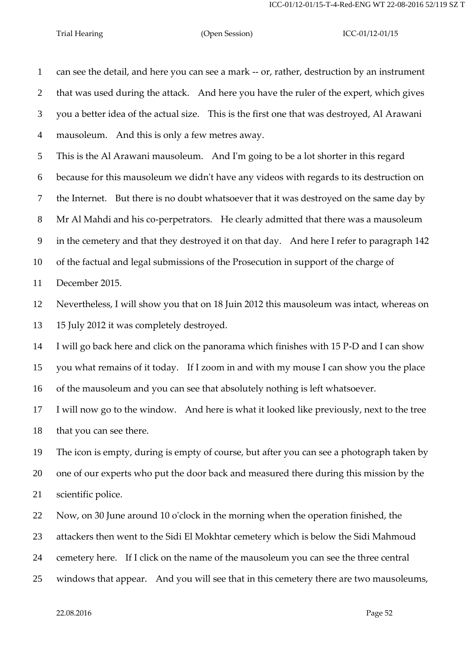can see the detail, and here you can see a mark -- or, rather, destruction by an instrument that was used during the attack. And here you have the ruler of the expert, which gives you a better idea of the actual size. This is the first one that was destroyed, Al Arawani mausoleum. And this is only a few metres away.

This is the Al Arawani mausoleum. And I'm going to be a lot shorter in this regard

because for this mausoleum we didn't have any videos with regards to its destruction on

the Internet. But there is no doubt whatsoever that it was destroyed on the same day by

Mr Al Mahdi and his co-perpetrators. He clearly admitted that there was a mausoleum

in the cemetery and that they destroyed it on that day. And here I refer to paragraph 142

of the factual and legal submissions of the Prosecution in support of the charge of

December 2015.

 Nevertheless, I will show you that on 18 Juin 2012 this mausoleum was intact, whereas on 15 July 2012 it was completely destroyed.

 I will go back here and click on the panorama which finishes with 15 P-D and I can show you what remains of it today. If I zoom in and with my mouse I can show you the place of the mausoleum and you can see that absolutely nothing is left whatsoever.

 I will now go to the window. And here is what it looked like previously, next to the tree that you can see there.

 The icon is empty, during is empty of course, but after you can see a photograph taken by one of our experts who put the door back and measured there during this mission by the scientific police.

Now, on 30 June around 10 o'clock in the morning when the operation finished, the

attackers then went to the Sidi El Mokhtar cemetery which is below the Sidi Mahmoud

cemetery here. If I click on the name of the mausoleum you can see the three central

windows that appear. And you will see that in this cemetery there are two mausoleums,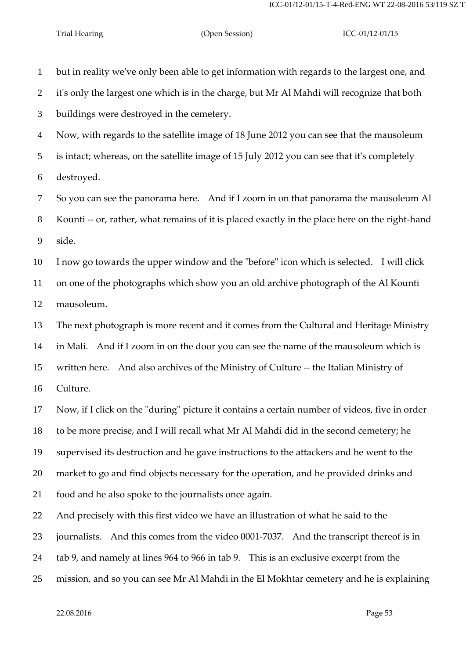but in reality we've only been able to get information with regards to the largest one, and it's only the largest one which is in the charge, but Mr Al Mahdi will recognize that both buildings were destroyed in the cemetery. Now, with regards to the satellite image of 18 June 2012 you can see that the mausoleum is intact; whereas, on the satellite image of 15 July 2012 you can see that it's completely destroyed. So you can see the panorama here. And if I zoom in on that panorama the mausoleum Al Kounti -- or, rather, what remains of it is placed exactly in the place here on the right-hand side. I now go towards the upper window and the "before" icon which is selected. I will click on one of the photographs which show you an old archive photograph of the Al Kounti

mausoleum.

 The next photograph is more recent and it comes from the Cultural and Heritage Ministry in Mali. And if I zoom in on the door you can see the name of the mausoleum which is written here. And also archives of the Ministry of Culture -- the Italian Ministry of Culture.

 Now, if I click on the "during" picture it contains a certain number of videos, five in order to be more precise, and I will recall what Mr Al Mahdi did in the second cemetery; he supervised its destruction and he gave instructions to the attackers and he went to the market to go and find objects necessary for the operation, and he provided drinks and food and he also spoke to the journalists once again.

And precisely with this first video we have an illustration of what he said to the

journalists. And this comes from the video 0001-7037. And the transcript thereof is in

tab 9, and namely at lines 964 to 966 in tab 9. This is an exclusive excerpt from the

mission, and so you can see Mr Al Mahdi in the El Mokhtar cemetery and he is explaining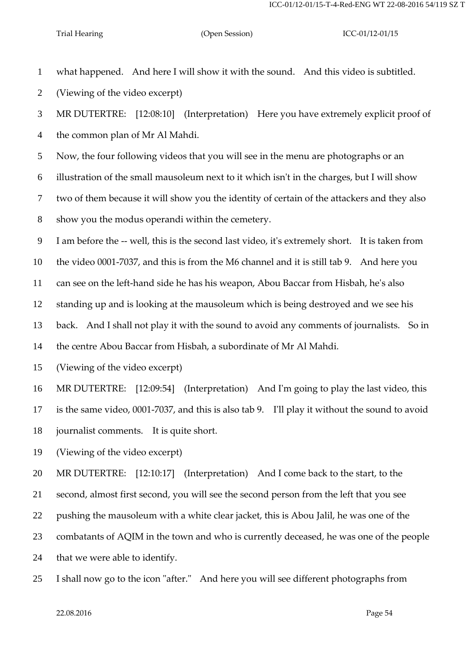what happened. And here I will show it with the sound. And this video is subtitled.

(Viewing of the video excerpt)

 MR DUTERTRE: [12:08:10] (Interpretation) Here you have extremely explicit proof of the common plan of Mr Al Mahdi.

Now, the four following videos that you will see in the menu are photographs or an

illustration of the small mausoleum next to it which isn't in the charges, but I will show

two of them because it will show you the identity of certain of the attackers and they also

show you the modus operandi within the cemetery.

I am before the -- well, this is the second last video, it's extremely short. It is taken from

the video 0001-7037, and this is from the M6 channel and it is still tab 9. And here you

can see on the left-hand side he has his weapon, Abou Baccar from Hisbah, he's also

standing up and is looking at the mausoleum which is being destroyed and we see his

back. And I shall not play it with the sound to avoid any comments of journalists. So in

the centre Abou Baccar from Hisbah, a subordinate of Mr Al Mahdi.

(Viewing of the video excerpt)

MR DUTERTRE: [12:09:54] (Interpretation) And I'm going to play the last video, this

is the same video, 0001-7037, and this is also tab 9. I'll play it without the sound to avoid

journalist comments. It is quite short.

(Viewing of the video excerpt)

MR DUTERTRE: [12:10:17] (Interpretation) And I come back to the start, to the

second, almost first second, you will see the second person from the left that you see

pushing the mausoleum with a white clear jacket, this is Abou Jalil, he was one of the

combatants of AQIM in the town and who is currently deceased, he was one of the people

that we were able to identify.

I shall now go to the icon "after." And here you will see different photographs from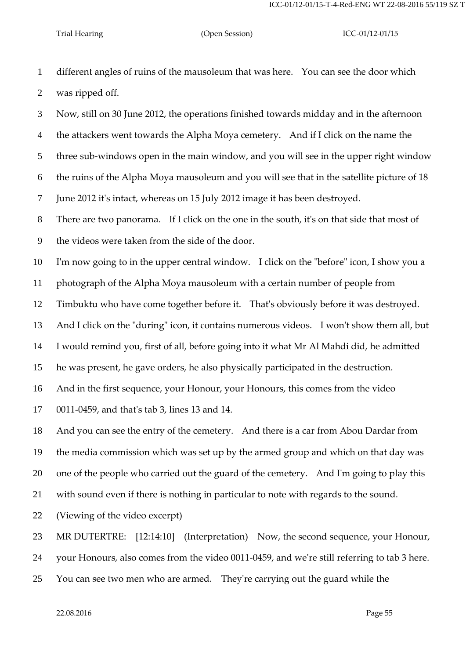different angles of ruins of the mausoleum that was here. You can see the door which was ripped off.

 Now, still on 30 June 2012, the operations finished towards midday and in the afternoon the attackers went towards the Alpha Moya cemetery. And if I click on the name the three sub-windows open in the main window, and you will see in the upper right window the ruins of the Alpha Moya mausoleum and you will see that in the satellite picture of 18 June 2012 it's intact, whereas on 15 July 2012 image it has been destroyed.

There are two panorama. If I click on the one in the south, it's on that side that most of

the videos were taken from the side of the door.

I'm now going to in the upper central window. I click on the "before" icon, I show you a

photograph of the Alpha Moya mausoleum with a certain number of people from

Timbuktu who have come together before it. That's obviously before it was destroyed.

And I click on the "during" icon, it contains numerous videos. I won't show them all, but

I would remind you, first of all, before going into it what Mr Al Mahdi did, he admitted

he was present, he gave orders, he also physically participated in the destruction.

And in the first sequence, your Honour, your Honours, this comes from the video

0011-0459, and that's tab 3, lines 13 and 14.

And you can see the entry of the cemetery. And there is a car from Abou Dardar from

the media commission which was set up by the armed group and which on that day was

one of the people who carried out the guard of the cemetery. And I'm going to play this

with sound even if there is nothing in particular to note with regards to the sound.

(Viewing of the video excerpt)

MR DUTERTRE: [12:14:10] (Interpretation) Now, the second sequence, your Honour,

your Honours, also comes from the video 0011-0459, and we're still referring to tab 3 here.

You can see two men who are armed. They're carrying out the guard while the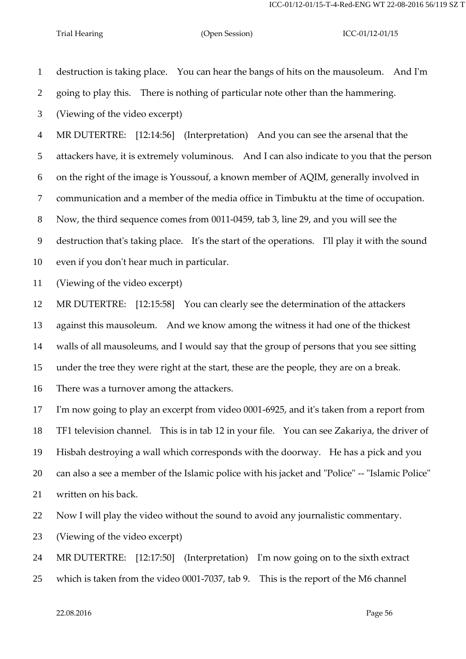destruction is taking place. You can hear the bangs of hits on the mausoleum. And I'm

going to play this. There is nothing of particular note other than the hammering.

(Viewing of the video excerpt)

MR DUTERTRE: [12:14:56] (Interpretation) And you can see the arsenal that the

attackers have, it is extremely voluminous. And I can also indicate to you that the person

on the right of the image is Youssouf, a known member of AQIM, generally involved in

communication and a member of the media office in Timbuktu at the time of occupation.

Now, the third sequence comes from 0011-0459, tab 3, line 29, and you will see the

destruction that's taking place. It's the start of the operations. I'll play it with the sound

even if you don't hear much in particular.

(Viewing of the video excerpt)

MR DUTERTRE: [12:15:58] You can clearly see the determination of the attackers

against this mausoleum. And we know among the witness it had one of the thickest

walls of all mausoleums, and I would say that the group of persons that you see sitting

under the tree they were right at the start, these are the people, they are on a break.

There was a turnover among the attackers.

 I'm now going to play an excerpt from video 0001-6925, and it's taken from a report from TF1 television channel. This is in tab 12 in your file. You can see Zakariya, the driver of Hisbah destroying a wall which corresponds with the doorway. He has a pick and you can also a see a member of the Islamic police with his jacket and "Police" -- "Islamic Police" written on his back.

Now I will play the video without the sound to avoid any journalistic commentary.

(Viewing of the video excerpt)

MR DUTERTRE: [12:17:50] (Interpretation) I'm now going on to the sixth extract

which is taken from the video 0001-7037, tab 9. This is the report of the M6 channel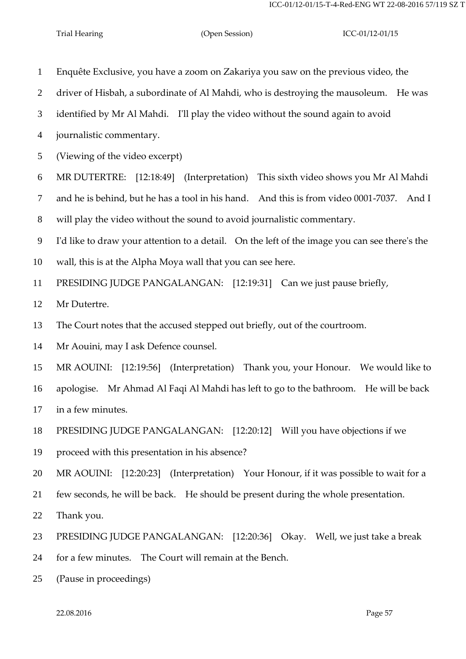- Enquête Exclusive, you have a zoom on Zakariya you saw on the previous video, the driver of Hisbah, a subordinate of Al Mahdi, who is destroying the mausoleum. He was identified by Mr Al Mahdi. I'll play the video without the sound again to avoid journalistic commentary. (Viewing of the video excerpt) MR DUTERTRE: [12:18:49] (Interpretation) This sixth video shows you Mr Al Mahdi and he is behind, but he has a tool in his hand. And this is from video 0001-7037. And I will play the video without the sound to avoid journalistic commentary. I'd like to draw your attention to a detail. On the left of the image you can see there's the wall, this is at the Alpha Moya wall that you can see here. PRESIDING JUDGE PANGALANGAN: [12:19:31] Can we just pause briefly, Mr Dutertre. The Court notes that the accused stepped out briefly, out of the courtroom. Mr Aouini, may I ask Defence counsel. MR AOUINI: [12:19:56] (Interpretation) Thank you, your Honour. We would like to apologise. Mr Ahmad Al Faqi Al Mahdi has left to go to the bathroom. He will be back in a few minutes. PRESIDING JUDGE PANGALANGAN: [12:20:12] Will you have objections if we proceed with this presentation in his absence? MR AOUINI: [12:20:23] (Interpretation) Your Honour, if it was possible to wait for a few seconds, he will be back. He should be present during the whole presentation. Thank you. PRESIDING JUDGE PANGALANGAN: [12:20:36] Okay. Well, we just take a break for a few minutes. The Court will remain at the Bench.
- (Pause in proceedings)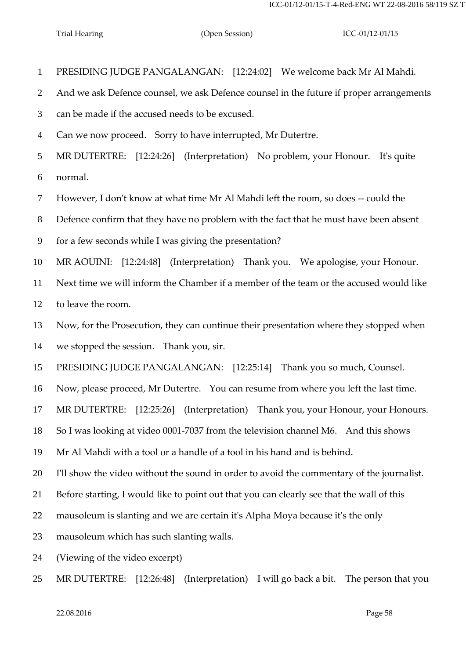PRESIDING JUDGE PANGALANGAN: [12:24:02] We welcome back Mr Al Mahdi.

And we ask Defence counsel, we ask Defence counsel in the future if proper arrangements

can be made if the accused needs to be excused.

Can we now proceed. Sorry to have interrupted, Mr Dutertre.

 MR DUTERTRE: [12:24:26] (Interpretation) No problem, your Honour. It's quite normal.

However, I don't know at what time Mr Al Mahdi left the room, so does -- could the

Defence confirm that they have no problem with the fact that he must have been absent

for a few seconds while I was giving the presentation?

MR AOUINI: [12:24:48] (Interpretation) Thank you. We apologise, your Honour.

 Next time we will inform the Chamber if a member of the team or the accused would like to leave the room.

 Now, for the Prosecution, they can continue their presentation where they stopped when we stopped the session. Thank you, sir.

PRESIDING JUDGE PANGALANGAN: [12:25:14] Thank you so much, Counsel.

Now, please proceed, Mr Dutertre. You can resume from where you left the last time.

MR DUTERTRE: [12:25:26] (Interpretation) Thank you, your Honour, your Honours.

So I was looking at video 0001-7037 from the television channel M6. And this shows

Mr Al Mahdi with a tool or a handle of a tool in his hand and is behind.

I'll show the video without the sound in order to avoid the commentary of the journalist.

Before starting, I would like to point out that you can clearly see that the wall of this

mausoleum is slanting and we are certain it's Alpha Moya because it's the only

mausoleum which has such slanting walls.

(Viewing of the video excerpt)

MR DUTERTRE: [12:26:48] (Interpretation) I will go back a bit. The person that you

 $22.08.2016$  Page 58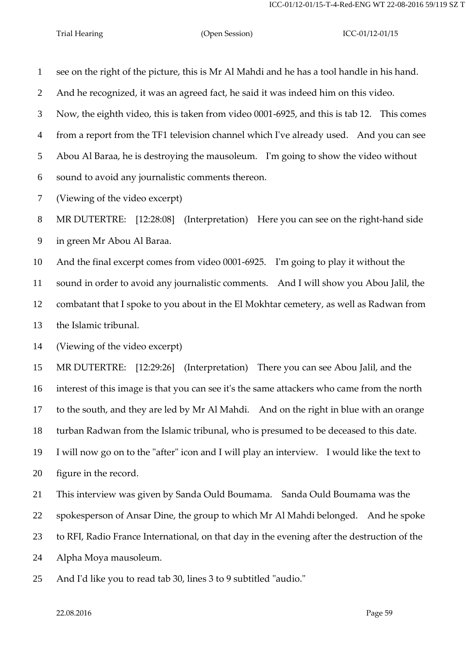see on the right of the picture, this is Mr Al Mahdi and he has a tool handle in his hand.

And he recognized, it was an agreed fact, he said it was indeed him on this video.

 Now, the eighth video, this is taken from video 0001-6925, and this is tab 12. This comes from a report from the TF1 television channel which I've already used. And you can see

Abou Al Baraa, he is destroying the mausoleum. I'm going to show the video without

sound to avoid any journalistic comments thereon.

(Viewing of the video excerpt)

 MR DUTERTRE: [12:28:08] (Interpretation) Here you can see on the right-hand side in green Mr Abou Al Baraa.

 And the final excerpt comes from video 0001-6925. I'm going to play it without the sound in order to avoid any journalistic comments. And I will show you Abou Jalil, the combatant that I spoke to you about in the El Mokhtar cemetery, as well as Radwan from the Islamic tribunal.

(Viewing of the video excerpt)

MR DUTERTRE: [12:29:26] (Interpretation) There you can see Abou Jalil, and the

interest of this image is that you can see it's the same attackers who came from the north

to the south, and they are led by Mr Al Mahdi. And on the right in blue with an orange

turban Radwan from the Islamic tribunal, who is presumed to be deceased to this date.

 I will now go on to the "after" icon and I will play an interview. I would like the text to figure in the record.

This interview was given by Sanda Ould Boumama. Sanda Ould Boumama was the

spokesperson of Ansar Dine, the group to which Mr Al Mahdi belonged. And he spoke

to RFI, Radio France International, on that day in the evening after the destruction of the

Alpha Moya mausoleum.

And I'd like you to read tab 30, lines 3 to 9 subtitled "audio."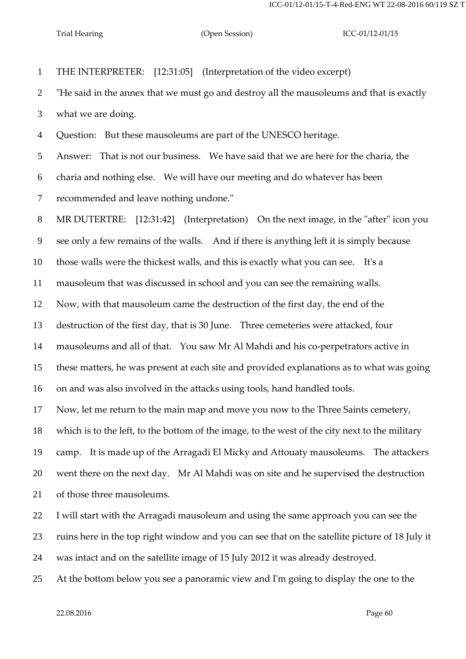THE INTERPRETER: [12:31:05] (Interpretation of the video excerpt) "He said in the annex that we must go and destroy all the mausoleums and that is exactly what we are doing. Question: But these mausoleums are part of the UNESCO heritage. Answer: That is not our business. We have said that we are here for the charia, the charia and nothing else. We will have our meeting and do whatever has been recommended and leave nothing undone." MR DUTERTRE: [12:31:42] (Interpretation) On the next image, in the "after" icon you see only a few remains of the walls. And if there is anything left it is simply because those walls were the thickest walls, and this is exactly what you can see. It's a mausoleum that was discussed in school and you can see the remaining walls. Now, with that mausoleum came the destruction of the first day, the end of the destruction of the first day, that is 30 June. Three cemeteries were attacked, four mausoleums and all of that. You saw Mr Al Mahdi and his co-perpetrators active in these matters, he was present at each site and provided explanations as to what was going on and was also involved in the attacks using tools, hand handled tools. Now, let me return to the main map and move you now to the Three Saints cemetery, which is to the left, to the bottom of the image, to the west of the city next to the military camp. It is made up of the Arragadi El Micky and Attouaty mausoleums. The attackers went there on the next day. Mr Al Mahdi was on site and he supervised the destruction of those three mausoleums. I will start with the Arragadi mausoleum and using the same approach you can see the ruins here in the top right window and you can see that on the satellite picture of 18 July it was intact and on the satellite image of 15 July 2012 it was already destroyed.

At the bottom below you see a panoramic view and I'm going to display the one to the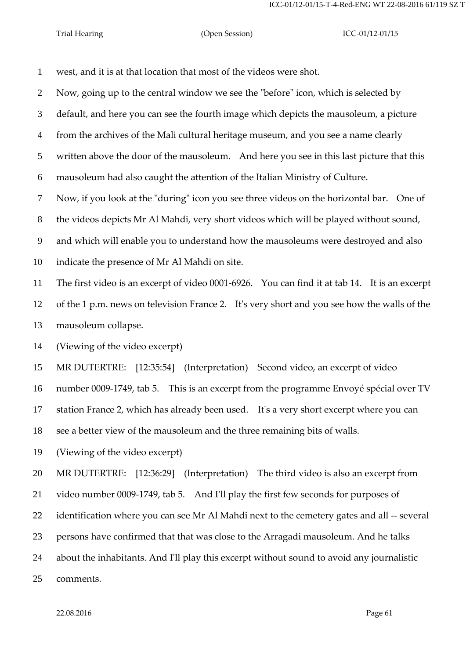west, and it is at that location that most of the videos were shot.

Now, going up to the central window we see the "before" icon, which is selected by

default, and here you can see the fourth image which depicts the mausoleum, a picture

from the archives of the Mali cultural heritage museum, and you see a name clearly

written above the door of the mausoleum. And here you see in this last picture that this

mausoleum had also caught the attention of the Italian Ministry of Culture.

Now, if you look at the "during" icon you see three videos on the horizontal bar. One of

the videos depicts Mr Al Mahdi, very short videos which will be played without sound,

and which will enable you to understand how the mausoleums were destroyed and also

indicate the presence of Mr Al Mahdi on site.

The first video is an excerpt of video 0001-6926. You can find it at tab 14. It is an excerpt

 of the 1 p.m. news on television France 2. It's very short and you see how the walls of the mausoleum collapse.

(Viewing of the video excerpt)

MR DUTERTRE: [12:35:54] (Interpretation) Second video, an excerpt of video

number 0009-1749, tab 5. This is an excerpt from the programme Envoyé spécial over TV

station France 2, which has already been used. It's a very short excerpt where you can

see a better view of the mausoleum and the three remaining bits of walls.

(Viewing of the video excerpt)

MR DUTERTRE: [12:36:29] (Interpretation) The third video is also an excerpt from

video number 0009-1749, tab 5. And I'll play the first few seconds for purposes of

identification where you can see Mr Al Mahdi next to the cemetery gates and all -- several

persons have confirmed that that was close to the Arragadi mausoleum. And he talks

about the inhabitants. And I'll play this excerpt without sound to avoid any journalistic

comments.

 $22.08.2016$  Page 61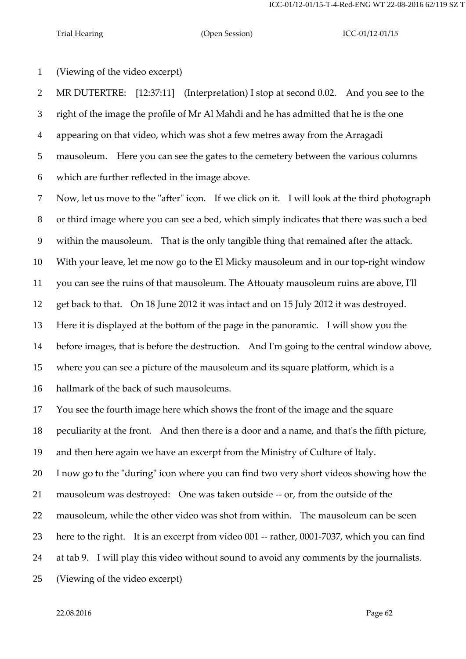ICC-01/12-01/15-T-4-Red-ENG WT 22-08-2016 62/119 SZ T

(Viewing of the video excerpt)

 MR DUTERTRE: [12:37:11] (Interpretation) I stop at second 0.02. And you see to the right of the image the profile of Mr Al Mahdi and he has admitted that he is the one appearing on that video, which was shot a few metres away from the Arragadi mausoleum. Here you can see the gates to the cemetery between the various columns which are further reflected in the image above.

 Now, let us move to the "after" icon. If we click on it. I will look at the third photograph or third image where you can see a bed, which simply indicates that there was such a bed within the mausoleum. That is the only tangible thing that remained after the attack. With your leave, let me now go to the El Micky mausoleum and in our top-right window you can see the ruins of that mausoleum. The Attouaty mausoleum ruins are above, I'll get back to that. On 18 June 2012 it was intact and on 15 July 2012 it was destroyed. Here it is displayed at the bottom of the page in the panoramic. I will show you the before images, that is before the destruction. And I'm going to the central window above, where you can see a picture of the mausoleum and its square platform, which is a hallmark of the back of such mausoleums.

You see the fourth image here which shows the front of the image and the square

peculiarity at the front. And then there is a door and a name, and that's the fifth picture,

and then here again we have an excerpt from the Ministry of Culture of Italy.

I now go to the "during" icon where you can find two very short videos showing how the

mausoleum was destroyed: One was taken outside -- or, from the outside of the

mausoleum, while the other video was shot from within. The mausoleum can be seen

here to the right. It is an excerpt from video 001 -- rather, 0001-7037, which you can find

at tab 9. I will play this video without sound to avoid any comments by the journalists.

(Viewing of the video excerpt)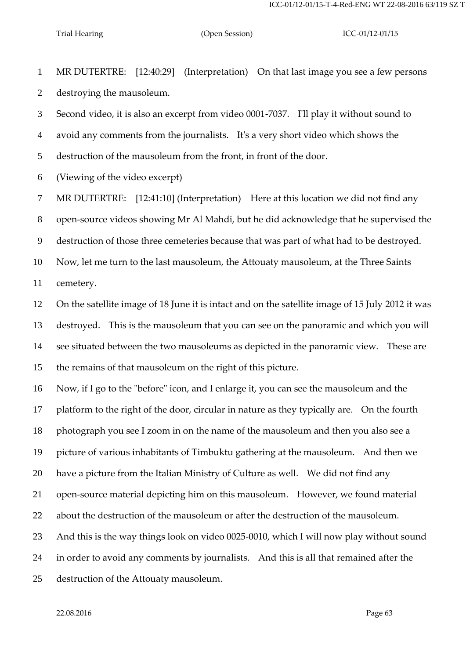MR DUTERTRE: [12:40:29] (Interpretation) On that last image you see a few persons destroying the mausoleum.

 Second video, it is also an excerpt from video 0001-7037. I'll play it without sound to avoid any comments from the journalists. It's a very short video which shows the destruction of the mausoleum from the front, in front of the door.

(Viewing of the video excerpt)

MR DUTERTRE: [12:41:10] (Interpretation) Here at this location we did not find any

open-source videos showing Mr Al Mahdi, but he did acknowledge that he supervised the

destruction of those three cemeteries because that was part of what had to be destroyed.

Now, let me turn to the last mausoleum, the Attouaty mausoleum, at the Three Saints

cemetery.

 On the satellite image of 18 June it is intact and on the satellite image of 15 July 2012 it was destroyed. This is the mausoleum that you can see on the panoramic and which you will see situated between the two mausoleums as depicted in the panoramic view. These are the remains of that mausoleum on the right of this picture.

Now, if I go to the "before" icon, and I enlarge it, you can see the mausoleum and the

platform to the right of the door, circular in nature as they typically are. On the fourth

photograph you see I zoom in on the name of the mausoleum and then you also see a

picture of various inhabitants of Timbuktu gathering at the mausoleum. And then we

have a picture from the Italian Ministry of Culture as well. We did not find any

open-source material depicting him on this mausoleum. However, we found material

about the destruction of the mausoleum or after the destruction of the mausoleum.

And this is the way things look on video 0025-0010, which I will now play without sound

in order to avoid any comments by journalists. And this is all that remained after the

destruction of the Attouaty mausoleum.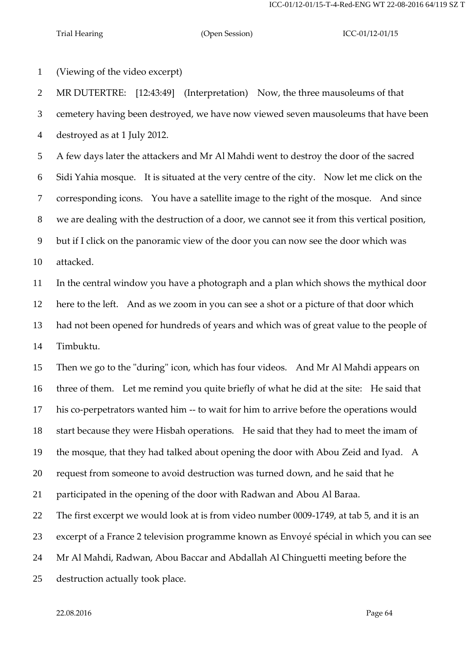(Viewing of the video excerpt)

MR DUTERTRE: [12:43:49] (Interpretation) Now, the three mausoleums of that

cemetery having been destroyed, we have now viewed seven mausoleums that have been

destroyed as at 1 July 2012.

 A few days later the attackers and Mr Al Mahdi went to destroy the door of the sacred Sidi Yahia mosque. It is situated at the very centre of the city. Now let me click on the corresponding icons. You have a satellite image to the right of the mosque. And since we are dealing with the destruction of a door, we cannot see it from this vertical position, but if I click on the panoramic view of the door you can now see the door which was attacked.

 In the central window you have a photograph and a plan which shows the mythical door here to the left. And as we zoom in you can see a shot or a picture of that door which had not been opened for hundreds of years and which was of great value to the people of Timbuktu.

 Then we go to the "during" icon, which has four videos. And Mr Al Mahdi appears on three of them. Let me remind you quite briefly of what he did at the site: He said that his co-perpetrators wanted him -- to wait for him to arrive before the operations would start because they were Hisbah operations. He said that they had to meet the imam of the mosque, that they had talked about opening the door with Abou Zeid and Iyad. A request from someone to avoid destruction was turned down, and he said that he

participated in the opening of the door with Radwan and Abou Al Baraa.

The first excerpt we would look at is from video number 0009-1749, at tab 5, and it is an

excerpt of a France 2 television programme known as Envoyé spécial in which you can see

Mr Al Mahdi, Radwan, Abou Baccar and Abdallah Al Chinguetti meeting before the

destruction actually took place.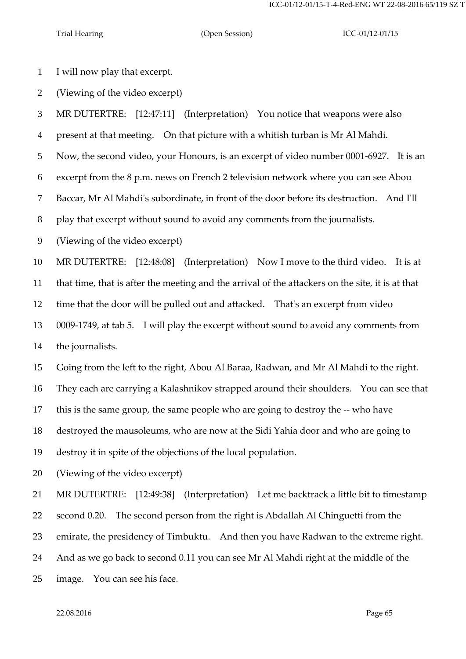I will now play that excerpt.

(Viewing of the video excerpt)

MR DUTERTRE: [12:47:11] (Interpretation) You notice that weapons were also

present at that meeting. On that picture with a whitish turban is Mr Al Mahdi.

Now, the second video, your Honours, is an excerpt of video number 0001-6927. It is an

excerpt from the 8 p.m. news on French 2 television network where you can see Abou

Baccar, Mr Al Mahdi's subordinate, in front of the door before its destruction. And I'll

play that excerpt without sound to avoid any comments from the journalists.

(Viewing of the video excerpt)

MR DUTERTRE: [12:48:08] (Interpretation) Now I move to the third video. It is at

that time, that is after the meeting and the arrival of the attackers on the site, it is at that

time that the door will be pulled out and attacked. That's an excerpt from video

0009-1749, at tab 5. I will play the excerpt without sound to avoid any comments from

the journalists.

Going from the left to the right, Abou Al Baraa, Radwan, and Mr Al Mahdi to the right.

They each are carrying a Kalashnikov strapped around their shoulders. You can see that

this is the same group, the same people who are going to destroy the -- who have

destroyed the mausoleums, who are now at the Sidi Yahia door and who are going to

destroy it in spite of the objections of the local population.

(Viewing of the video excerpt)

MR DUTERTRE: [12:49:38] (Interpretation) Let me backtrack a little bit to timestamp

second 0.20. The second person from the right is Abdallah Al Chinguetti from the

emirate, the presidency of Timbuktu. And then you have Radwan to the extreme right.

And as we go back to second 0.11 you can see Mr Al Mahdi right at the middle of the

image. You can see his face.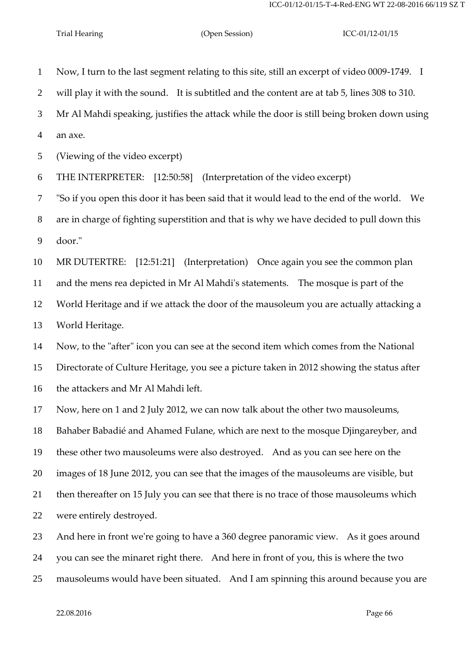Now, I turn to the last segment relating to this site, still an excerpt of video 0009-1749. I will play it with the sound. It is subtitled and the content are at tab 5, lines 308 to 310. Mr Al Mahdi speaking, justifies the attack while the door is still being broken down using an axe. (Viewing of the video excerpt) THE INTERPRETER: [12:50:58] (Interpretation of the video excerpt) "So if you open this door it has been said that it would lead to the end of the world. We are in charge of fighting superstition and that is why we have decided to pull down this door." MR DUTERTRE: [12:51:21] (Interpretation) Once again you see the common plan and the mens rea depicted in Mr Al Mahdi's statements. The mosque is part of the World Heritage and if we attack the door of the mausoleum you are actually attacking a World Heritage. Now, to the "after" icon you can see at the second item which comes from the National Directorate of Culture Heritage, you see a picture taken in 2012 showing the status after the attackers and Mr Al Mahdi left. Now, here on 1 and 2 July 2012, we can now talk about the other two mausoleums, Bahaber Babadié and Ahamed Fulane, which are next to the mosque Djingareyber, and these other two mausoleums were also destroyed. And as you can see here on the images of 18 June 2012, you can see that the images of the mausoleums are visible, but then thereafter on 15 July you can see that there is no trace of those mausoleums which were entirely destroyed. And here in front we're going to have a 360 degree panoramic view. As it goes around

you can see the minaret right there. And here in front of you, this is where the two

mausoleums would have been situated. And I am spinning this around because you are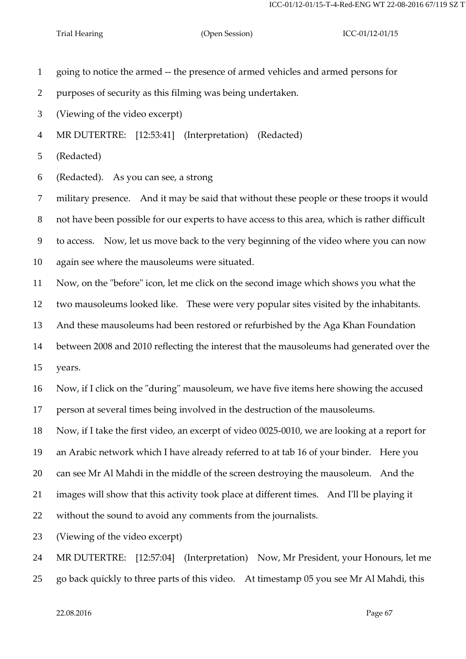- going to notice the armed -- the presence of armed vehicles and armed persons for
- purposes of security as this filming was being undertaken.
- (Viewing of the video excerpt)
- MR DUTERTRE: [12:53:41] (Interpretation) (Redacted)

(Redacted)

(Redacted). As you can see, a strong

 military presence. And it may be said that without these people or these troops it would not have been possible for our experts to have access to this area, which is rather difficult

to access. Now, let us move back to the very beginning of the video where you can now

again see where the mausoleums were situated.

Now, on the "before" icon, let me click on the second image which shows you what the

two mausoleums looked like. These were very popular sites visited by the inhabitants.

And these mausoleums had been restored or refurbished by the Aga Khan Foundation

between 2008 and 2010 reflecting the interest that the mausoleums had generated over the

years.

Now, if I click on the "during" mausoleum, we have five items here showing the accused

person at several times being involved in the destruction of the mausoleums.

Now, if I take the first video, an excerpt of video 0025-0010, we are looking at a report for

an Arabic network which I have already referred to at tab 16 of your binder. Here you

can see Mr Al Mahdi in the middle of the screen destroying the mausoleum. And the

images will show that this activity took place at different times. And I'll be playing it

without the sound to avoid any comments from the journalists.

(Viewing of the video excerpt)

MR DUTERTRE: [12:57:04] (Interpretation) Now, Mr President, your Honours, let me

go back quickly to three parts of this video. At timestamp 05 you see Mr Al Mahdi, this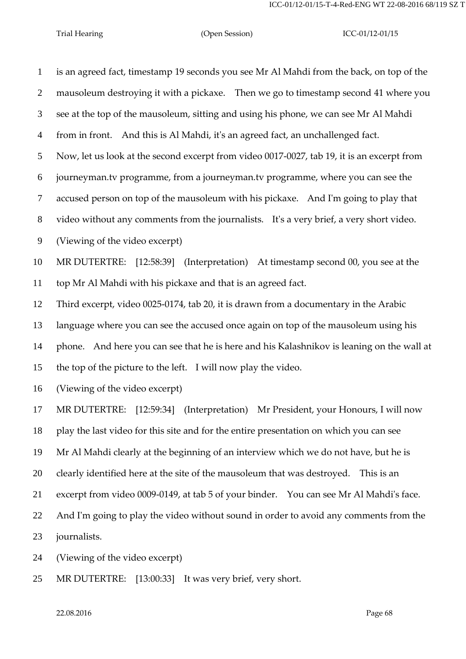is an agreed fact, timestamp 19 seconds you see Mr Al Mahdi from the back, on top of the mausoleum destroying it with a pickaxe. Then we go to timestamp second 41 where you see at the top of the mausoleum, sitting and using his phone, we can see Mr Al Mahdi from in front. And this is Al Mahdi, it's an agreed fact, an unchallenged fact. Now, let us look at the second excerpt from video 0017-0027, tab 19, it is an excerpt from journeyman.tv programme, from a journeyman.tv programme, where you can see the accused person on top of the mausoleum with his pickaxe. And I'm going to play that video without any comments from the journalists. It's a very brief, a very short video. (Viewing of the video excerpt) MR DUTERTRE: [12:58:39] (Interpretation) At timestamp second 00, you see at the top Mr Al Mahdi with his pickaxe and that is an agreed fact. Third excerpt, video 0025-0174, tab 20, it is drawn from a documentary in the Arabic language where you can see the accused once again on top of the mausoleum using his phone. And here you can see that he is here and his Kalashnikov is leaning on the wall at the top of the picture to the left. I will now play the video. (Viewing of the video excerpt) MR DUTERTRE: [12:59:34] (Interpretation) Mr President, your Honours, I will now play the last video for this site and for the entire presentation on which you can see Mr Al Mahdi clearly at the beginning of an interview which we do not have, but he is clearly identified here at the site of the mausoleum that was destroyed. This is an excerpt from video 0009-0149, at tab 5 of your binder. You can see Mr Al Mahdi's face. And I'm going to play the video without sound in order to avoid any comments from the journalists. (Viewing of the video excerpt)

MR DUTERTRE: [13:00:33] It was very brief, very short.

 $22.08.2016$  Page 68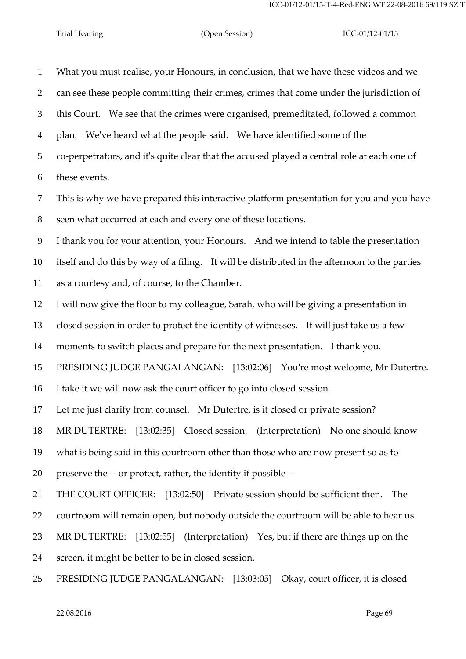What you must realise, your Honours, in conclusion, that we have these videos and we can see these people committing their crimes, crimes that come under the jurisdiction of this Court. We see that the crimes were organised, premeditated, followed a common plan. We've heard what the people said. We have identified some of the co-perpetrators, and it's quite clear that the accused played a central role at each one of these events.

 This is why we have prepared this interactive platform presentation for you and you have seen what occurred at each and every one of these locations.

I thank you for your attention, your Honours. And we intend to table the presentation

itself and do this by way of a filing. It will be distributed in the afternoon to the parties

as a courtesy and, of course, to the Chamber.

I will now give the floor to my colleague, Sarah, who will be giving a presentation in

closed session in order to protect the identity of witnesses. It will just take us a few

moments to switch places and prepare for the next presentation. I thank you.

PRESIDING JUDGE PANGALANGAN: [13:02:06] You're most welcome, Mr Dutertre.

I take it we will now ask the court officer to go into closed session.

Let me just clarify from counsel. Mr Dutertre, is it closed or private session?

MR DUTERTRE: [13:02:35] Closed session. (Interpretation) No one should know

what is being said in this courtroom other than those who are now present so as to

preserve the -- or protect, rather, the identity if possible --

THE COURT OFFICER: [13:02:50] Private session should be sufficient then. The

courtroom will remain open, but nobody outside the courtroom will be able to hear us.

MR DUTERTRE: [13:02:55] (Interpretation) Yes, but if there are things up on the

screen, it might be better to be in closed session.

PRESIDING JUDGE PANGALANGAN: [13:03:05] Okay, court officer, it is closed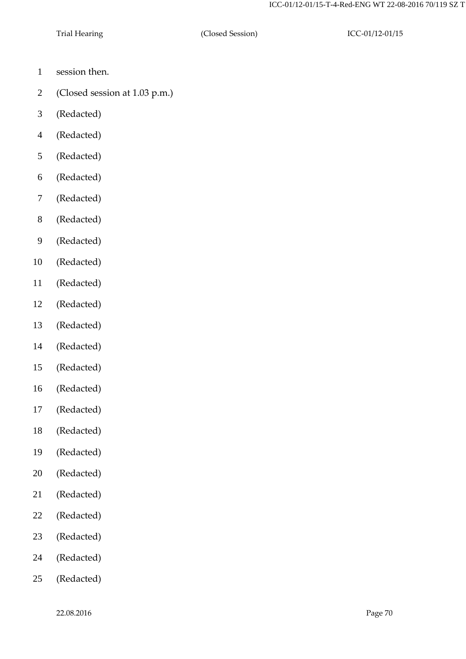- session then.
- (Closed session at 1.03 p.m.)
- (Redacted)
- (Redacted)
- (Redacted)
- (Redacted)
- (Redacted)
- (Redacted)
- (Redacted)
- (Redacted)
- (Redacted)
- (Redacted)
- (Redacted)
- (Redacted)
- (Redacted)
- (Redacted)
- (Redacted)
- (Redacted)
- (Redacted)
- (Redacted)
- (Redacted)
- (Redacted)
- (Redacted)
- (Redacted)
- (Redacted)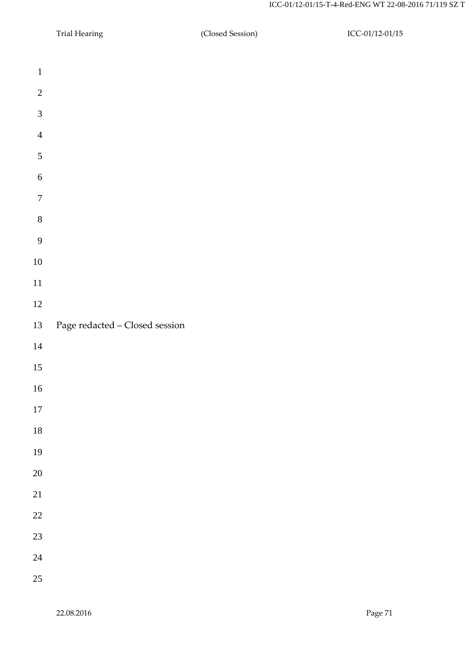- Trial Hearing (Closed Session) ICC-01/12-01/15 Page redacted –Closed session
- 
- 
- 
- 
-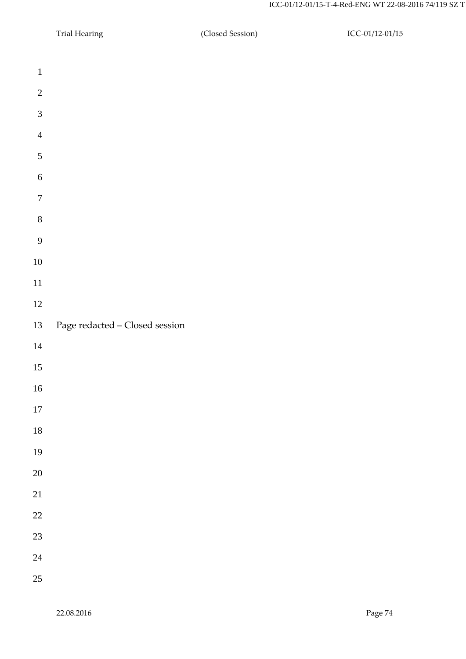- Trial Hearing (Closed Session) ICC-01/12-01/15 Page redacted –Closed session
- 
- 
- 
- 
- 
-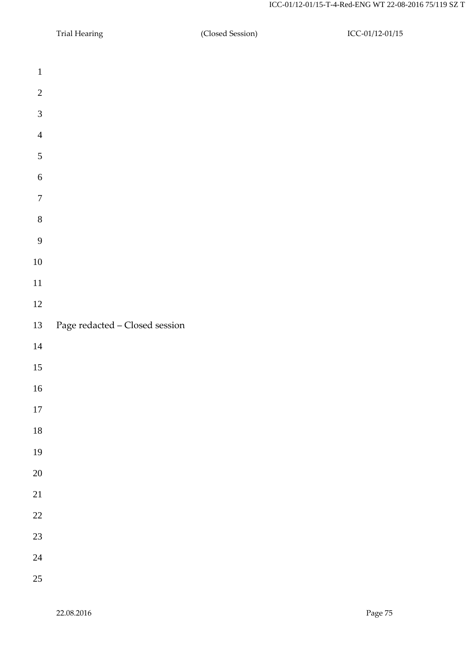- Trial Hearing (Closed Session) ICC-01/12-01/15 Page redacted –Closed session
- 
- 
- 
- 
- 
-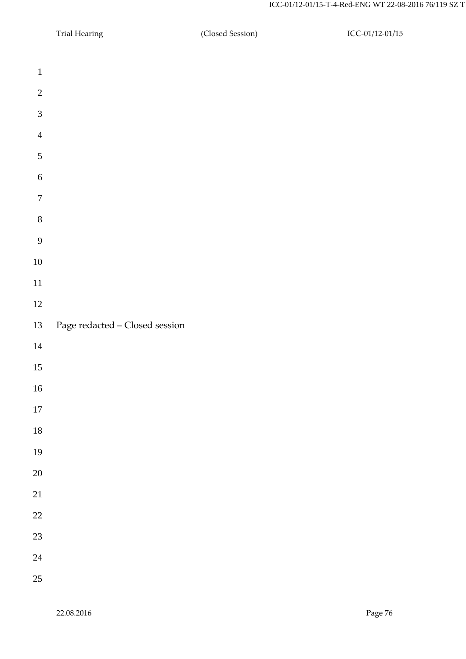- Trial Hearing (Closed Session) ICC-01/12-01/15 Page redacted –Closed session
- 
-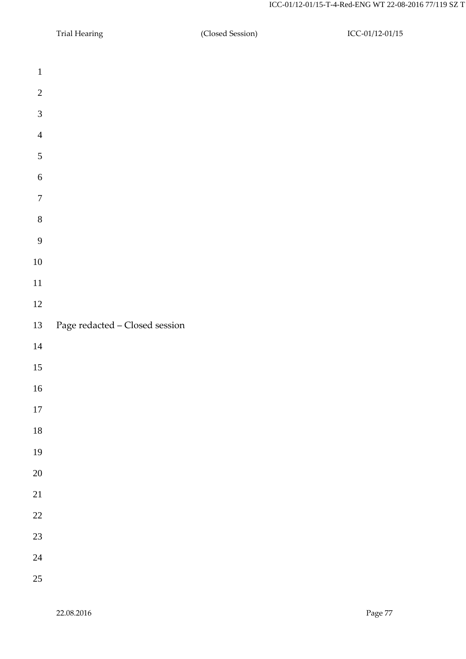- Trial Hearing (Closed Session) ICC-01/12-01/15 Page redacted –Closed session
- 
-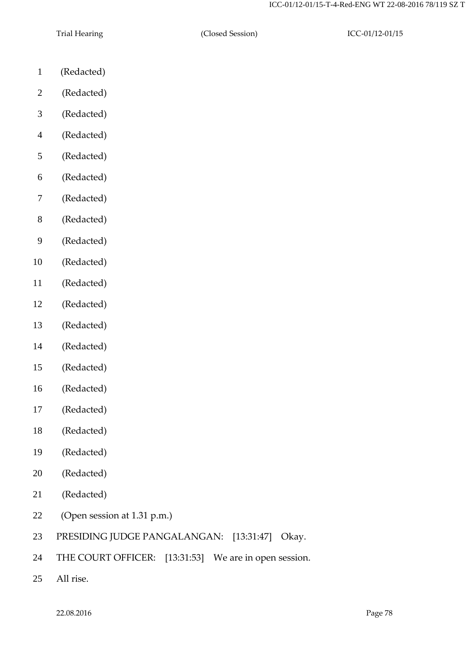- (Redacted)
- (Redacted)
- (Redacted)
- (Redacted)
- (Redacted)
- (Redacted)
- (Redacted)
- (Redacted)
- (Redacted)
- (Redacted)
- (Redacted)
- (Redacted)
- (Redacted)
- (Redacted)
- (Redacted)
- (Redacted)
- (Redacted)
- (Redacted)
- (Redacted)
- (Redacted)
- (Redacted)
- (Open session at 1.31 p.m.)
- PRESIDING JUDGE PANGALANGAN: [13:31:47] Okay.
- THE COURT OFFICER: [13:31:53] We are in open session.
- All rise.

22.08.2016 Page 78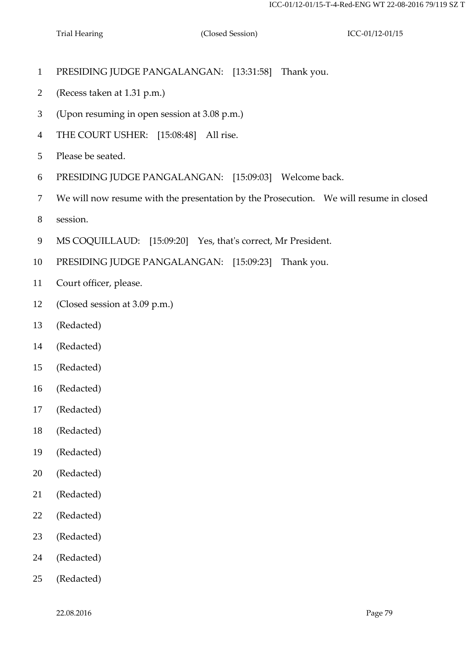- PRESIDING JUDGE PANGALANGAN: [13:31:58] Thank you.
- (Recess taken at 1.31 p.m.)
- (Upon resuming in open session at 3.08 p.m.)
- THE COURT USHER: [15:08:48] All rise.
- Please be seated.
- PRESIDING JUDGE PANGALANGAN: [15:09:03] Welcome back.
- We will now resume with the presentation by the Prosecution. We will resume in closed
- session.
- MS COQUILLAUD: [15:09:20] Yes, that's correct, Mr President.
- PRESIDING JUDGE PANGALANGAN: [15:09:23] Thank you.
- Court officer, please.
- (Closed session at 3.09 p.m.)
- (Redacted)
- (Redacted)
- (Redacted)
- (Redacted)
- (Redacted)
- (Redacted)
- (Redacted)
- (Redacted)
- (Redacted)
- (Redacted)
- (Redacted)
- (Redacted)
- (Redacted)

22.08.2016 Page 79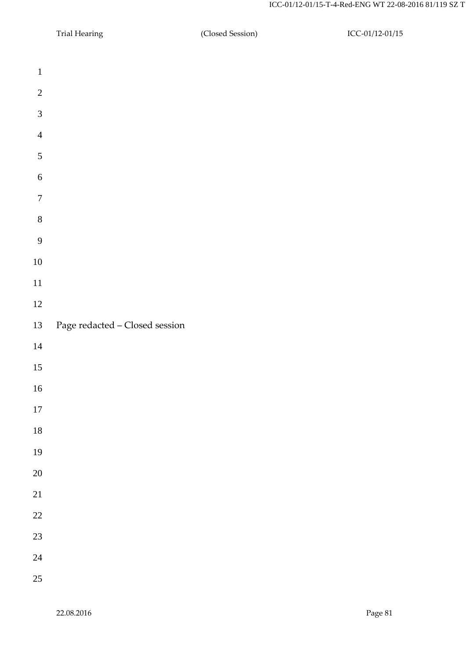- Trial Hearing (Closed Session) ICC-01/12-01/15 Page redacted –Closed session
- 
- 
- 
- 
-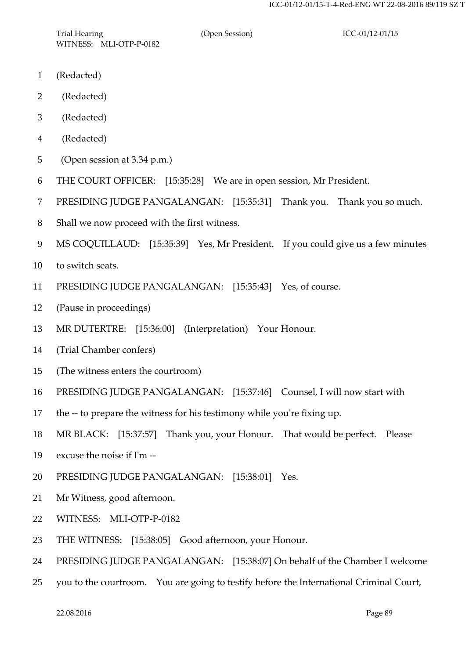- (Redacted)
- (Redacted)
- (Redacted)
- (Redacted)
- (Open session at 3.34 p.m.)
- THE COURT OFFICER: [15:35:28] We are in open session, Mr President.
- PRESIDING JUDGE PANGALANGAN: [15:35:31] Thank you. Thank you so much.
- Shall we now proceed with the first witness.
- MS COQUILLAUD: [15:35:39] Yes, Mr President. If you could give us a few minutes
- to switch seats.
- PRESIDING JUDGE PANGALANGAN: [15:35:43] Yes, of course.
- (Pause in proceedings)
- MR DUTERTRE: [15:36:00] (Interpretation) Your Honour.
- (Trial Chamber confers)
- (The witness enters the courtroom)
- PRESIDING JUDGE PANGALANGAN: [15:37:46] Counsel, I will now start with
- the -- to prepare the witness for his testimony while you're fixing up.
- MR BLACK: [15:37:57] Thank you, your Honour. That would be perfect. Please
- excuse the noise if I'm --
- PRESIDING JUDGE PANGALANGAN: [15:38:01] Yes.
- Mr Witness, good afternoon.
- WITNESS: MLI-OTP-P-0182
- THE WITNESS: [15:38:05] Good afternoon, your Honour.
- PRESIDING JUDGE PANGALANGAN: [15:38:07] On behalf of the Chamber I welcome
- you to the courtroom. You are going to testify before the International Criminal Court,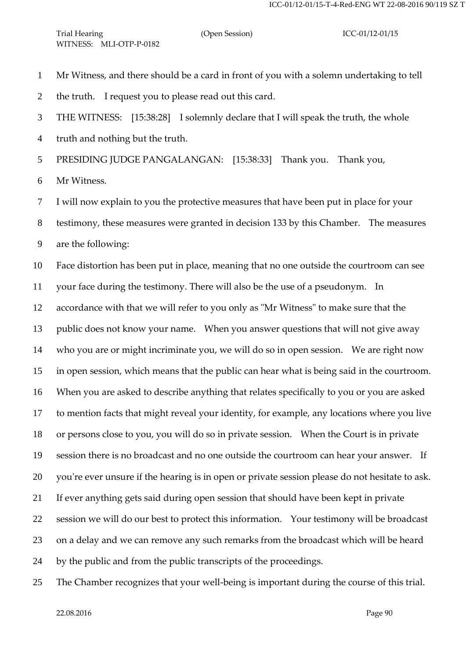- Mr Witness, and there should be a card in front of you with a solemn undertaking to tell
- the truth. I request you to please read out this card.
- THE WITNESS: [15:38:28] I solemnly declare that I will speak the truth, the whole
- truth and nothing but the truth.

PRESIDING JUDGE PANGALANGAN: [15:38:33] Thank you. Thank you,

- Mr Witness.
- I will now explain to you the protective measures that have been put in place for your
- testimony, these measures were granted in decision 133 by this Chamber. The measures
- are the following:

Face distortion has been put in place, meaning that no one outside the courtroom can see

your face during the testimony. There will also be the use of a pseudonym. In

accordance with that we will refer to you only as "Mr Witness" to make sure that the

public does not know your name. When you answer questions that will not give away

who you are or might incriminate you, we will do so in open session. We are right now

in open session, which means that the public can hear what is being said in the courtroom.

When you are asked to describe anything that relates specifically to you or you are asked

to mention facts that might reveal your identity, for example, any locations where you live

or persons close to you, you will do so in private session. When the Court is in private

session there is no broadcast and no one outside the courtroom can hear your answer. If

you're ever unsure if the hearing is in open or private session please do not hesitate to ask.

If ever anything gets said during open session that should have been kept in private

session we will do our best to protect this information. Your testimony will be broadcast

on a delay and we can remove any such remarks from the broadcast which will be heard

by the public and from the public transcripts of the proceedings.

The Chamber recognizes that your well-being is important during the course of this trial.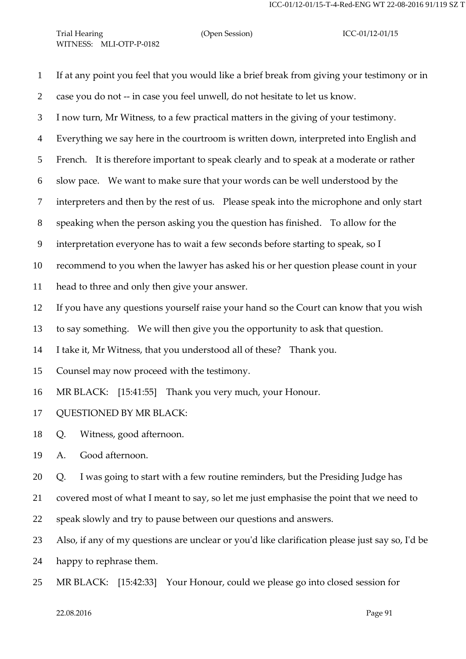- If at any point you feel that you would like a brief break from giving your testimony or in case you do not -- in case you feel unwell, do not hesitate to let us know. I now turn, Mr Witness, to a few practical matters in the giving of your testimony. Everything we say here in the courtroom is written down, interpreted into English and French. It is therefore important to speak clearly and to speak at a moderate or rather slow pace. We want to make sure that your words can be well understood by the interpreters and then by the rest of us. Please speak into the microphone and only start speaking when the person asking you the question has finished. To allow for the interpretation everyone has to wait a few seconds before starting to speak, so I recommend to you when the lawyer has asked his or her question please count in your head to three and only then give your answer. If you have any questions yourself raise your hand so the Court can know that you wish to say something. We will then give you the opportunity to ask that question. I take it, Mr Witness, that you understood all of these? Thank you. Counsel may now proceed with the testimony. MR BLACK: [15:41:55] Thank you very much, your Honour. QUESTIONED BY MR BLACK: Q. Witness, good afternoon. A. Good afternoon. Q. I was going to start with a few routine reminders, but the Presiding Judge has covered most of what I meant to say, so let me just emphasise the point that we need to speak slowly and try to pause between our questions and answers. Also, if any of my questions are unclear or you'd like clarification please just say so, I'd be happy to rephrase them.
- MR BLACK: [15:42:33] Your Honour, could we please go into closed session for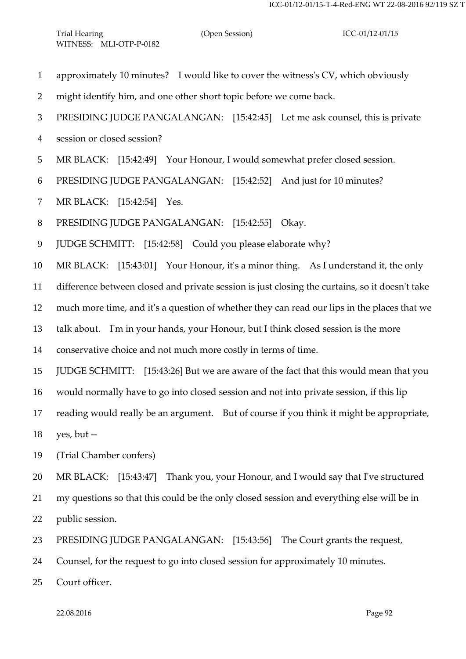- approximately 10 minutes? I would like to cover the witness's CV, which obviously
- might identify him, and one other short topic before we come back.
- PRESIDING JUDGE PANGALANGAN: [15:42:45] Let me ask counsel, this is private
- session or closed session?
- MR BLACK: [15:42:49] Your Honour, I would somewhat prefer closed session.
- PRESIDING JUDGE PANGALANGAN: [15:42:52] And just for 10 minutes?
- MR BLACK: [15:42:54] Yes.
- PRESIDING JUDGE PANGALANGAN: [15:42:55] Okay.
- JUDGE SCHMITT: [15:42:58] Could you please elaborate why?

MR BLACK: [15:43:01] Your Honour, it's a minor thing. As I understand it, the only

difference between closed and private session is just closing the curtains, so it doesn't take

much more time, and it's a question of whether they can read our lips in the places that we

talk about. I'm in your hands, your Honour, but I think closed session is the more

conservative choice and not much more costly in terms of time.

JUDGE SCHMITT: [15:43:26] But we are aware of the fact that this would mean that you

would normally have to go into closed session and not into private session, if this lip

reading would really be an argument. But of course if you think it might be appropriate,

yes, but --

(Trial Chamber confers)

MR BLACK: [15:43:47] Thank you, your Honour, and I would say that I've structured

my questions so that this could be the only closed session and everything else will be in

public session.

PRESIDING JUDGE PANGALANGAN: [15:43:56] The Court grants the request,

Counsel, for the request to go into closed session for approximately 10 minutes.

Court officer.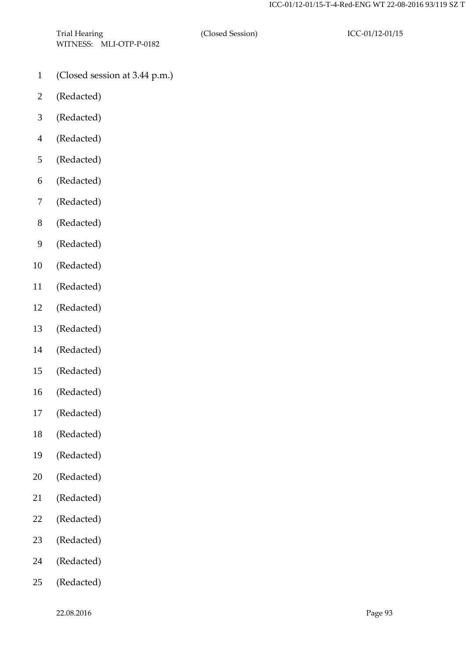- (Closed session at 3.44 p.m.)
- (Redacted)
- (Redacted)
- (Redacted)
- (Redacted)
- (Redacted)
- (Redacted)
- (Redacted)
- (Redacted)
- (Redacted)
- (Redacted)
- (Redacted)
- (Redacted)
- (Redacted)
- (Redacted)
- (Redacted)
- (Redacted)
- (Redacted)
- (Redacted)
- (Redacted)
- (Redacted)
- (Redacted)
- (Redacted)
- (Redacted)
- (Redacted)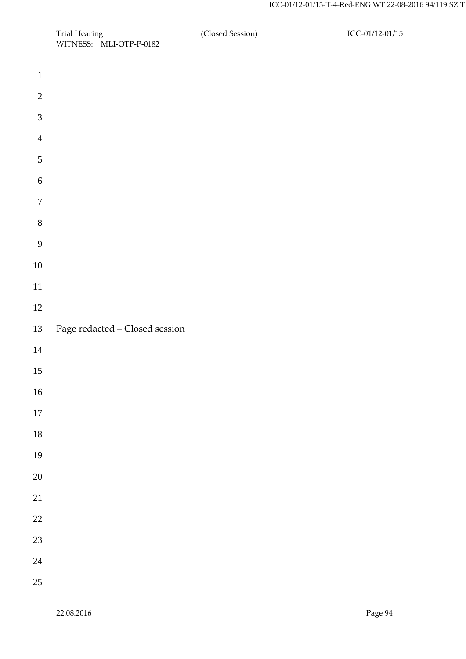| Trial Hearing           | (Closed Session) | ICC-01/12-01/15 |
|-------------------------|------------------|-----------------|
| WITNESS: MLI-OTP-P-0182 |                  |                 |

| $\mathbf{1}$     |                                |
|------------------|--------------------------------|
| $\overline{c}$   |                                |
| 3                |                                |
| $\overline{4}$   |                                |
| 5                |                                |
| 6                |                                |
| $\boldsymbol{7}$ |                                |
| 8                |                                |
| 9                |                                |
| 10               |                                |
| 11               |                                |
| 12               |                                |
| 13               | Page redacted - Closed session |
|                  |                                |
| 14               |                                |
| 15               |                                |
| 16               |                                |
| 17               |                                |
| $18\,$           |                                |
| 19               |                                |
| <b>20</b>        |                                |
| 21               |                                |
| 22               |                                |
| 23               |                                |
| 24               |                                |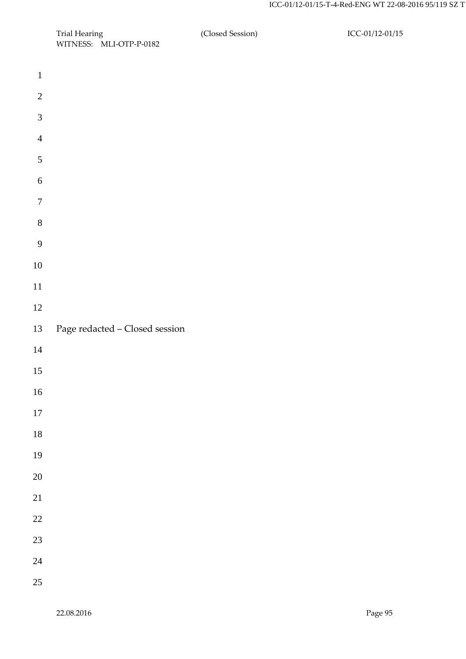| Trial Hearing           | (Closed Session) | ICC-01/12-01/15 |
|-------------------------|------------------|-----------------|
| WITNESS: MLI-OTP-P-0182 |                  |                 |

| $\mathbf{1}$     |                                |
|------------------|--------------------------------|
| $\overline{c}$   |                                |
| 3                |                                |
| $\overline{4}$   |                                |
| 5                |                                |
| 6                |                                |
| $\boldsymbol{7}$ |                                |
| $\,8$            |                                |
| 9                |                                |
| $10\,$           |                                |
| 11               |                                |
| 12               |                                |
| 13               | Page redacted - Closed session |
| 14               |                                |
| 15               |                                |
| 16               |                                |
| $17\,$           |                                |
| 18               |                                |
| 19               |                                |
| <b>20</b>        |                                |
| 21               |                                |
| 22               |                                |
| 23               |                                |
| 24               |                                |
| 25               |                                |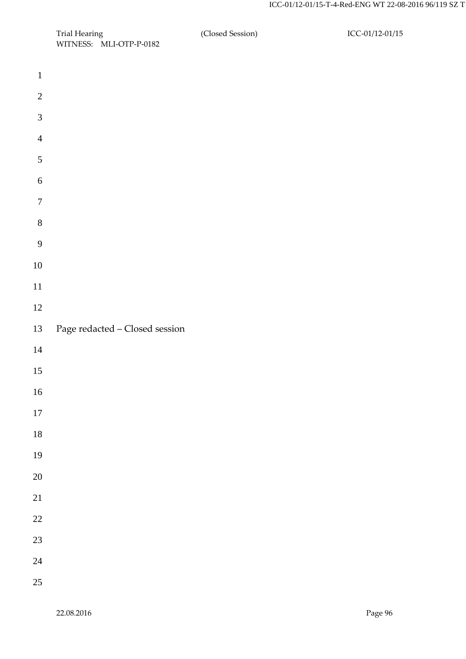| Trial Hearing           | (Closed Session) | ICC-01/12-01/15 |
|-------------------------|------------------|-----------------|
| WITNESS: MLI-OTP-P-0182 |                  |                 |

| $\mathbf{1}$   |                                |
|----------------|--------------------------------|
| $\overline{c}$ |                                |
| $\overline{3}$ |                                |
| $\overline{4}$ |                                |
| 5              |                                |
| 6              |                                |
| $\overline{7}$ |                                |
| 8              |                                |
| 9              |                                |
| 10             |                                |
| 11             |                                |
| 12             |                                |
| 13             | Page redacted - Closed session |
| 14             |                                |
| 15             |                                |
| 16             |                                |
| $17\,$         |                                |
| 18             |                                |
| 19             |                                |
| 20             |                                |
| 21             |                                |
| 22             |                                |
| 23             |                                |
| 24             |                                |
| 25             |                                |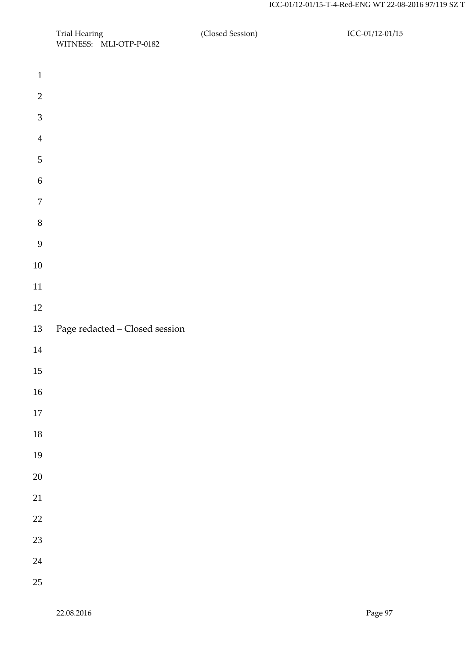| Trial Hearing           | (Closed Session) | ICC-01/12-01/15 |
|-------------------------|------------------|-----------------|
| WITNESS: MLI-OTP-P-0182 |                  |                 |

| $\mathbf{1}$     |                                |
|------------------|--------------------------------|
| $\overline{c}$   |                                |
| $\mathfrak{Z}$   |                                |
| $\overline{4}$   |                                |
| 5                |                                |
| 6                |                                |
| $\boldsymbol{7}$ |                                |
| 8                |                                |
| 9                |                                |
| 10               |                                |
| 11               |                                |
| 12               |                                |
| 13               | Page redacted - Closed session |
|                  |                                |
| 14               |                                |
| 15               |                                |
| 16               |                                |
| 17               |                                |
| $18\,$           |                                |
| 19               |                                |
| 20               |                                |
| 21               |                                |
| $22\,$           |                                |
| 23               |                                |
| 24               |                                |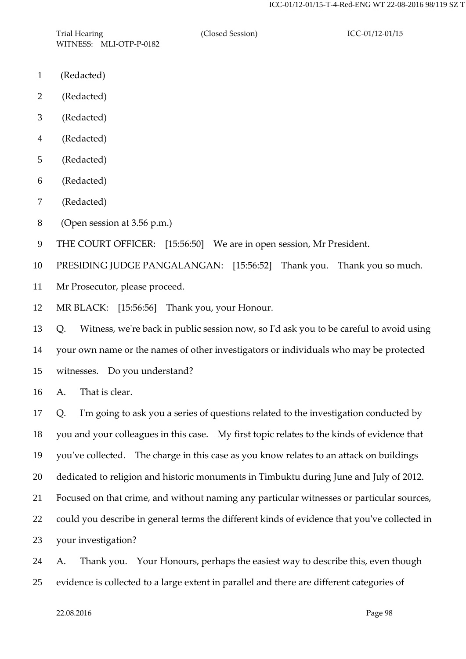Trial Hearing **ICC-01/12-01/15** (Closed Session) **ICC-01/12-01/15** WITNESS: MLI-OTP-P-0182

- (Redacted)
- (Redacted)
- (Redacted)
- (Redacted)
- (Redacted)
- (Redacted)
- (Redacted)
- (Open session at 3.56 p.m.)
- THE COURT OFFICER: [15:56:50] We are in open session, Mr President.

PRESIDING JUDGE PANGALANGAN: [15:56:52] Thank you. Thank you so much.

- Mr Prosecutor, please proceed.
- MR BLACK: [15:56:56] Thank you, your Honour.

 Q. Witness, we're back in public session now, so I'd ask you to be careful to avoid using your own name or the names of other investigators or individuals who may be protected witnesses. Do you understand?

A. That is clear.

 Q. I'm going to ask you a series of questions related to the investigation conducted by you and your colleagues in this case. My first topic relates to the kinds of evidence that you've collected. The charge in this case as you know relates to an attack on buildings dedicated to religion and historic monuments in Timbuktu during June and July of 2012. Focused on that crime, and without naming any particular witnesses or particular sources, could you describe in general terms the different kinds of evidence that you've collected in your investigation?

 A. Thank you. Your Honours, perhaps the easiest way to describe this, even though evidence is collected to a large extent in parallel and there are different categories of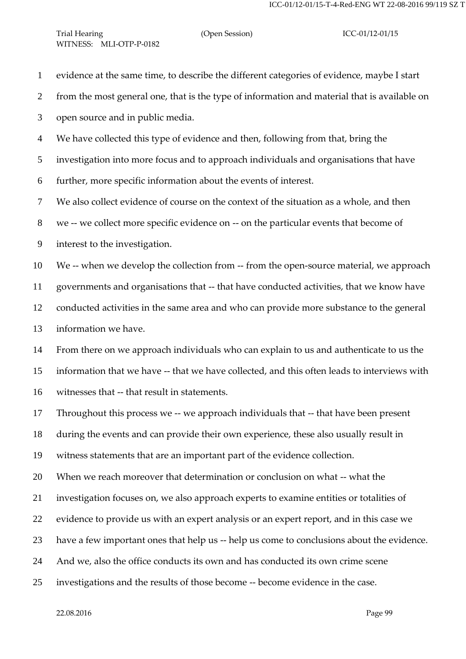evidence at the same time, to describe the different categories of evidence, maybe I start from the most general one, that is the type of information and material that is available on open source and in public media. We have collected this type of evidence and then, following from that, bring the investigation into more focus and to approach individuals and organisations that have further, more specific information about the events of interest. We also collect evidence of course on the context of the situation as a whole, and then we -- we collect more specific evidence on -- on the particular events that become of interest to the investigation. We -- when we develop the collection from -- from the open-source material, we approach governments and organisations that -- that have conducted activities, that we know have conducted activities in the same area and who can provide more substance to the general information we have. From there on we approach individuals who can explain to us and authenticate to us the information that we have -- that we have collected, and this often leads to interviews with witnesses that -- that result in statements. Throughout this process we -- we approach individuals that -- that have been present during the events and can provide their own experience, these also usually result in witness statements that are an important part of the evidence collection. When we reach moreover that determination or conclusion on what -- what the investigation focuses on, we also approach experts to examine entities or totalities of evidence to provide us with an expert analysis or an expert report, and in this case we have a few important ones that help us -- help us come to conclusions about the evidence. And we, also the office conducts its own and has conducted its own crime scene investigations and the results of those become -- become evidence in the case.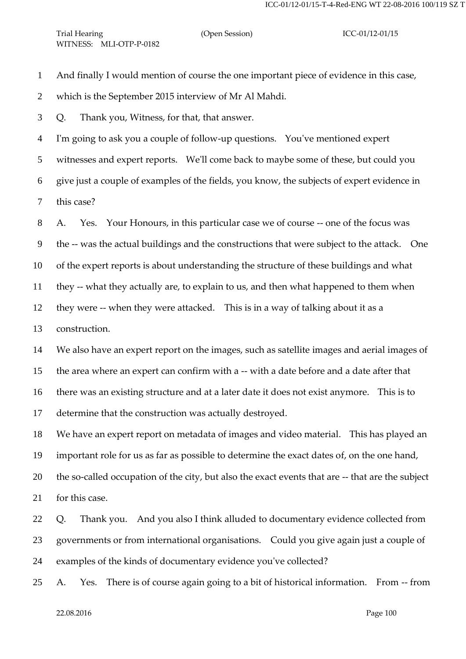And finally I would mention of course the one important piece of evidence in this case,

which is the September 2015 interview of Mr Al Mahdi.

Q. Thank you, Witness, for that, that answer.

I'm going to ask you a couple of follow-up questions. You've mentioned expert

witnesses and expert reports. We'll come back to maybe some of these, but could you

give just a couple of examples of the fields, you know, the subjects of expert evidence in

this case?

A. Yes. Your Honours, in this particular case we of course -- one of the focus was

the -- was the actual buildings and the constructions that were subject to the attack. One

of the expert reports is about understanding the structure of these buildings and what

they -- what they actually are, to explain to us, and then what happened to them when

they were -- when they were attacked. This is in a way of talking about it as a

construction.

 We also have an expert report on the images, such as satellite images and aerial images of the area where an expert can confirm with a -- with a date before and a date after that there was an existing structure and at a later date it does not exist anymore. This is to determine that the construction was actually destroyed.

We have an expert report on metadata of images and video material. This has played an

important role for us as far as possible to determine the exact dates of, on the one hand,

20 the so-called occupation of the city, but also the exact events that are -- that are the subject

for this case.

 Q. Thank you. And you also I think alluded to documentary evidence collected from governments or from international organisations. Could you give again just a couple of examples of the kinds of documentary evidence you've collected?

A. Yes. There is of course again going to a bit of historical information. From -- from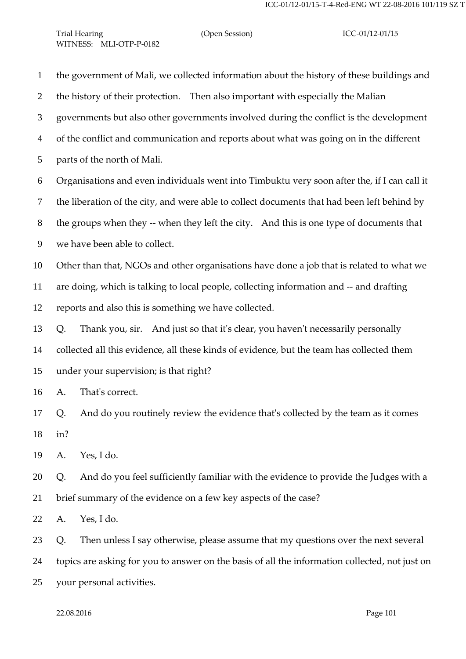| $\mathbf{1}$   | the government of Mali, we collected information about the history of these buildings and      |
|----------------|------------------------------------------------------------------------------------------------|
| $\overline{2}$ | the history of their protection. Then also important with especially the Malian                |
| 3              | governments but also other governments involved during the conflict is the development         |
| $\overline{4}$ | of the conflict and communication and reports about what was going on in the different         |
| 5              | parts of the north of Mali.                                                                    |
| 6              | Organisations and even individuals went into Timbuktu very soon after the, if I can call it    |
| $\tau$         | the liberation of the city, and were able to collect documents that had been left behind by    |
| 8              | the groups when they -- when they left the city. And this is one type of documents that        |
| 9              | we have been able to collect.                                                                  |
| 10             | Other than that, NGOs and other organisations have done a job that is related to what we       |
| 11             | are doing, which is talking to local people, collecting information and -- and drafting        |
| 12             | reports and also this is something we have collected.                                          |
| 13             | Thank you, sir. And just so that it's clear, you haven't necessarily personally<br>Q.          |
| 14             | collected all this evidence, all these kinds of evidence, but the team has collected them      |
| 15             | under your supervision; is that right?                                                         |
| 16             | That's correct.<br>A.                                                                          |
| 17             | And do you routinely review the evidence that's collected by the team as it comes<br>Q.        |
| 18             | in?                                                                                            |
| 19             | Yes, I do.<br>A.                                                                               |
| 20             | And do you feel sufficiently familiar with the evidence to provide the Judges with a<br>Q.     |
| 21             | brief summary of the evidence on a few key aspects of the case?                                |
| 22             | Yes, I do.<br>A.                                                                               |
| 23             | Then unless I say otherwise, please assume that my questions over the next several<br>Q.       |
| 24             | topics are asking for you to answer on the basis of all the information collected, not just on |

your personal activities.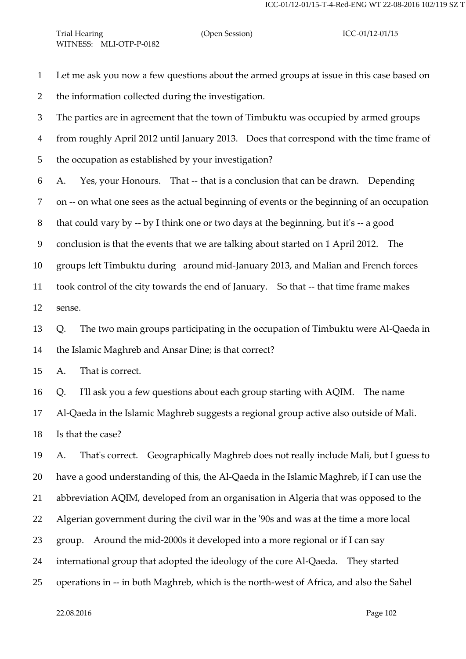- Let me ask you now a few questions about the armed groups at issue in this case based on
- the information collected during the investigation.
- The parties are in agreement that the town of Timbuktu was occupied by armed groups
- from roughly April 2012 until January 2013. Does that correspond with the time frame of
- the occupation as established by your investigation?
- A. Yes, your Honours. That -- that is a conclusion that can be drawn. Depending
- on -- on what one sees as the actual beginning of events or the beginning of an occupation
- that could vary by -- by I think one or two days at the beginning, but it's -- a good
- conclusion is that the events that we are talking about started on 1 April 2012. The
- groups left Timbuktu during around mid-January 2013, and Malian and French forces
- took control of the city towards the end of January. So that -- that time frame makes sense.
- 
- Q. The two main groups participating in the occupation of Timbuktu were Al-Qaeda in the Islamic Maghreb and Ansar Dine; is that correct?
- A. That is correct.
- Q. I'll ask you a few questions about each group starting with AQIM. The name
- Al-Qaeda in the Islamic Maghreb suggests a regional group active also outside of Mali.
- Is that the case?

 A. That's correct. Geographically Maghreb does not really include Mali, but I guess to have a good understanding of this, the Al-Qaeda in the Islamic Maghreb, if I can use the abbreviation AQIM, developed from an organisation in Algeria that was opposed to the Algerian government during the civil war in the '90s and was at the time a more local group. Around the mid-2000s it developed into a more regional or if I can say international group that adopted the ideology of the core Al-Qaeda. They started operations in -- in both Maghreb, which is the north-west of Africa, and also the Sahel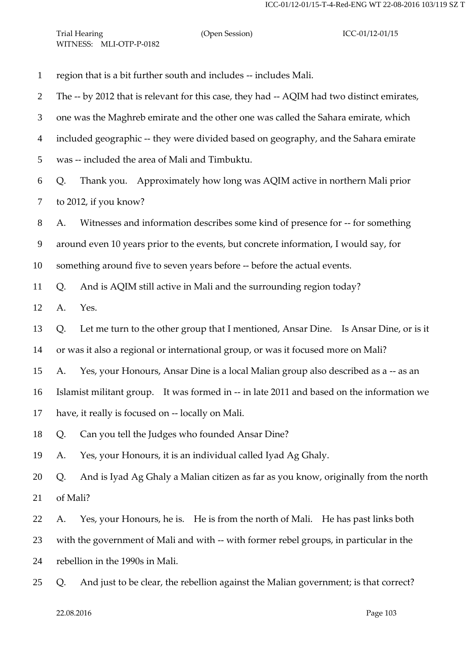region that is a bit further south and includes -- includes Mali. The -- by 2012 that is relevant for this case, they had -- AQIM had two distinct emirates, one was the Maghreb emirate and the other one was called the Sahara emirate, which included geographic -- they were divided based on geography, and the Sahara emirate was -- included the area of Mali and Timbuktu. Q. Thank you. Approximately how long was AQIM active in northern Mali prior to 2012, if you know? A. Witnesses and information describes some kind of presence for -- for something around even 10 years prior to the events, but concrete information, I would say, for something around five to seven years before -- before the actual events. Q. And is AQIM still active in Mali and the surrounding region today? A. Yes. Q. Let me turn to the other group that I mentioned, Ansar Dine. Is Ansar Dine, or is it or was it also a regional or international group, or was it focused more on Mali? A. Yes, your Honours, Ansar Dine is a local Malian group also described as a -- as an Islamist militant group. It was formed in -- in late 2011 and based on the information we have, it really is focused on -- locally on Mali. Q. Can you tell the Judges who founded Ansar Dine? A. Yes, your Honours, it is an individual called Iyad Ag Ghaly. Q. And is Iyad Ag Ghaly a Malian citizen as far as you know, originally from the north of Mali? A. Yes, your Honours, he is. He is from the north of Mali. He has past links both with the government of Mali and with -- with former rebel groups, in particular in the rebellion in the 1990s in Mali. Q. And just to be clear, the rebellion against the Malian government; is that correct?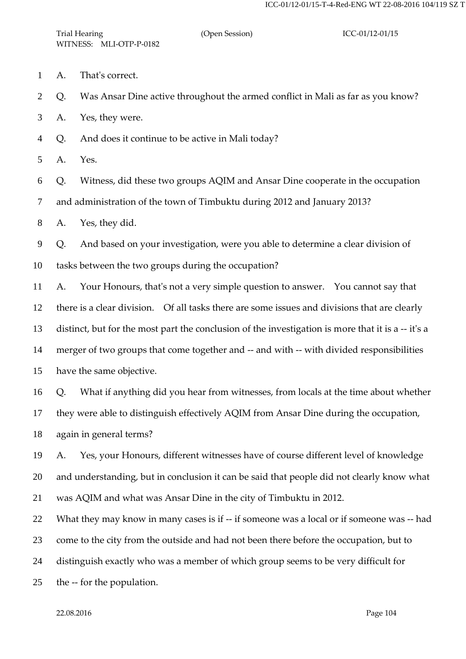- A. That's correct.
- Q. Was Ansar Dine active throughout the armed conflict in Mali as far as you know?

A. Yes, they were.

Q. And does it continue to be active in Mali today?

A. Yes.

Q. Witness, did these two groups AQIM and Ansar Dine cooperate in the occupation

and administration of the town of Timbuktu during 2012 and January 2013?

A. Yes, they did.

Q. And based on your investigation, were you able to determine a clear division of

tasks between the two groups during the occupation?

 A. Your Honours, that's not a very simple question to answer. You cannot say that there is a clear division. Of all tasks there are some issues and divisions that are clearly distinct, but for the most part the conclusion of the investigation is more that it is a -- it's a merger of two groups that come together and -- and with -- with divided responsibilities have the same objective.

 Q. What if anything did you hear from witnesses, from locals at the time about whether they were able to distinguish effectively AQIM from Ansar Dine during the occupation, again in general terms?

 A. Yes, your Honours, different witnesses have of course different level of knowledge and understanding, but in conclusion it can be said that people did not clearly know what was AQIM and what was Ansar Dine in the city of Timbuktu in 2012.

 What they may know in many cases is if -- if someone was a local or if someone was -- had come to the city from the outside and had not been there before the occupation, but to

distinguish exactly who was a member of which group seems to be very difficult for

the -- for the population.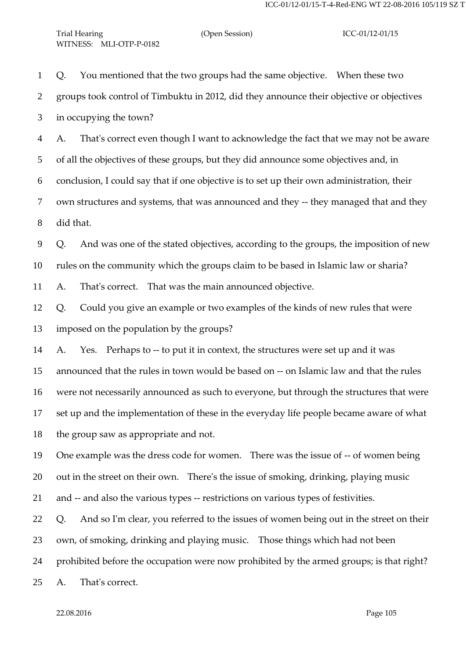Q. You mentioned that the two groups had the same objective. When these two groups took control of Timbuktu in 2012, did they announce their objective or objectives in occupying the town?

 A. That's correct even though I want to acknowledge the fact that we may not be aware of all the objectives of these groups, but they did announce some objectives and, in conclusion, I could say that if one objective is to set up their own administration, their own structures and systems, that was announced and they -- they managed that and they did that.

 Q. And was one of the stated objectives, according to the groups, the imposition of new rules on the community which the groups claim to be based in Islamic law or sharia?

A. That's correct. That was the main announced objective.

 Q. Could you give an example or two examples of the kinds of new rules that were imposed on the population by the groups?

 A. Yes. Perhaps to -- to put it in context, the structures were set up and it was announced that the rules in town would be based on -- on Islamic law and that the rules were not necessarily announced as such to everyone, but through the structures that were set up and the implementation of these in the everyday life people became aware of what the group saw as appropriate and not.

 One example was the dress code for women. There was the issue of -- of women being out in the street on their own. There's the issue of smoking, drinking, playing music

and -- and also the various types -- restrictions on various types of festivities.

Q. And so I'm clear, you referred to the issues of women being out in the street on their

own, of smoking, drinking and playing music. Those things which had not been

prohibited before the occupation were now prohibited by the armed groups; is that right?

A. That's correct.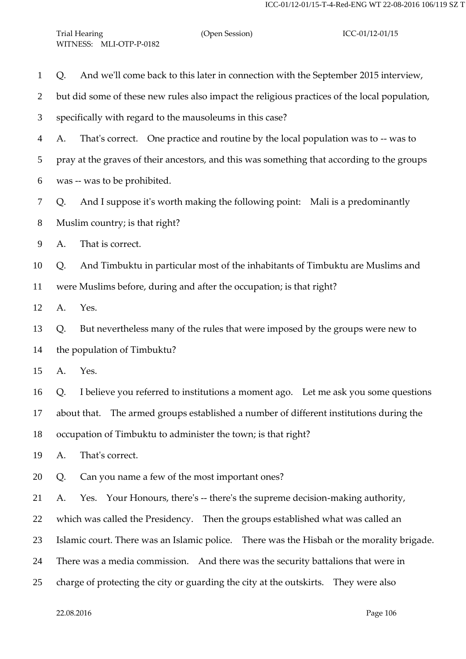| And we'll come back to this later in connection with the September 2015 interview,<br>Q.     |
|----------------------------------------------------------------------------------------------|
| but did some of these new rules also impact the religious practices of the local population, |
| specifically with regard to the mausoleums in this case?                                     |
| That's correct. One practice and routine by the local population was to -- was to<br>A.      |
| pray at the graves of their ancestors, and this was something that according to the groups   |
| was -- was to be prohibited.                                                                 |
| And I suppose it's worth making the following point: Mali is a predominantly<br>Q.           |
| Muslim country; is that right?                                                               |
| That is correct.<br>A.                                                                       |
| And Timbuktu in particular most of the inhabitants of Timbuktu are Muslims and<br>Q.         |
| were Muslims before, during and after the occupation; is that right?                         |
| Yes.<br>A.                                                                                   |
| But nevertheless many of the rules that were imposed by the groups were new to<br>Q.         |
| the population of Timbuktu?                                                                  |
| Yes.<br>A.                                                                                   |
| I believe you referred to institutions a moment ago. Let me ask you some questions<br>Q.     |
| about that. The armed groups established a number of different institutions during the       |
| occupation of Timbuktu to administer the town; is that right?                                |
| That's correct.<br>A.                                                                        |
| Can you name a few of the most important ones?<br>Q.                                         |
| Yes. Your Honours, there's -- there's the supreme decision-making authority,<br>А.           |
| which was called the Presidency. Then the groups established what was called an              |
| Islamic court. There was an Islamic police. There was the Hisbah or the morality brigade.    |
| There was a media commission. And there was the security battalions that were in             |
| charge of protecting the city or guarding the city at the outskirts. They were also          |
|                                                                                              |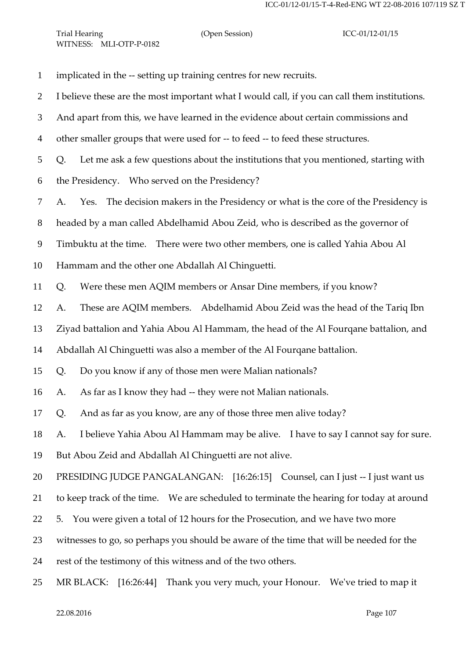implicated in the -- setting up training centres for new recruits. I believe these are the most important what I would call, if you can call them institutions. And apart from this, we have learned in the evidence about certain commissions and other smaller groups that were used for -- to feed -- to feed these structures. Q. Let me ask a few questions about the institutions that you mentioned, starting with the Presidency. Who served on the Presidency? A. Yes. The decision makers in the Presidency or what is the core of the Presidency is headed by a man called Abdelhamid Abou Zeid, who is described as the governor of Timbuktu at the time. There were two other members, one is called Yahia Abou Al Hammam and the other one Abdallah Al Chinguetti. Q. Were these men AQIM members or Ansar Dine members, if you know? A. These are AQIM members. Abdelhamid Abou Zeid was the head of the Tariq Ibn Ziyad battalion and Yahia Abou Al Hammam, the head of the Al Fourqane battalion, and Abdallah Al Chinguetti was also a member of the Al Fourqane battalion. Q. Do you know if any of those men were Malian nationals? A. As far as I know they had -- they were not Malian nationals. Q. And as far as you know, are any of those three men alive today? A. I believe Yahia Abou Al Hammam may be alive. I have to say I cannot say for sure. But Abou Zeid and Abdallah Al Chinguetti are not alive. PRESIDING JUDGE PANGALANGAN: [16:26:15] Counsel, can I just -- I just want us to keep track of the time. We are scheduled to terminate the hearing for today at around 5. You were given a total of 12 hours for the Prosecution, and we have two more witnesses to go, so perhaps you should be aware of the time that will be needed for the rest of the testimony of this witness and of the two others. MR BLACK: [16:26:44] Thank you very much, your Honour. We've tried to map it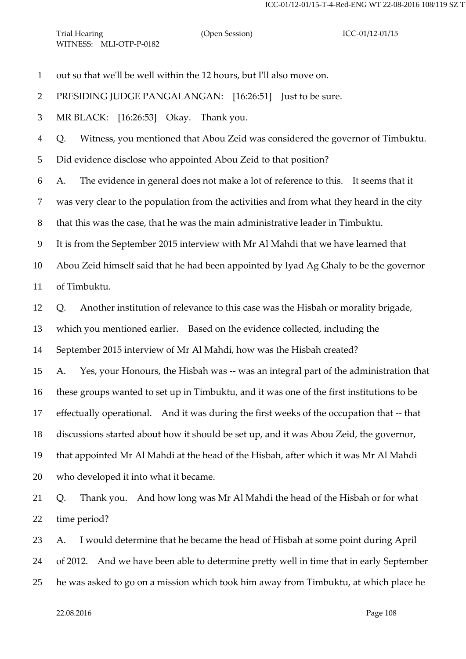out so that we'll be well within the 12 hours, but I'll also move on.

PRESIDING JUDGE PANGALANGAN: [16:26:51] Just to be sure.

MR BLACK: [16:26:53] Okay. Thank you.

Q. Witness, you mentioned that Abou Zeid was considered the governor of Timbuktu.

Did evidence disclose who appointed Abou Zeid to that position?

A. The evidence in general does not make a lot of reference to this. It seems that it

was very clear to the population from the activities and from what they heard in the city

that this was the case, that he was the main administrative leader in Timbuktu.

It is from the September 2015 interview with Mr Al Mahdi that we have learned that

 Abou Zeid himself said that he had been appointed by Iyad Ag Ghaly to be the governor of Timbuktu.

Q. Another institution of relevance to this case was the Hisbah or morality brigade,

which you mentioned earlier. Based on the evidence collected, including the

September 2015 interview of Mr Al Mahdi, how was the Hisbah created?

A. Yes, your Honours, the Hisbah was -- was an integral part of the administration that

these groups wanted to set up in Timbuktu, and it was one of the first institutions to be

effectually operational. And it was during the first weeks of the occupation that -- that

discussions started about how it should be set up, and it was Abou Zeid, the governor,

 that appointed Mr Al Mahdi at the head of the Hisbah, after which it was Mr Al Mahdi who developed it into what it became.

 Q. Thank you. And how long was Mr Al Mahdi the head of the Hisbah or for what time period?

A. I would determine that he became the head of Hisbah at some point during April

of 2012. And we have been able to determine pretty well in time that in early September

he was asked to go on a mission which took him away from Timbuktu, at which place he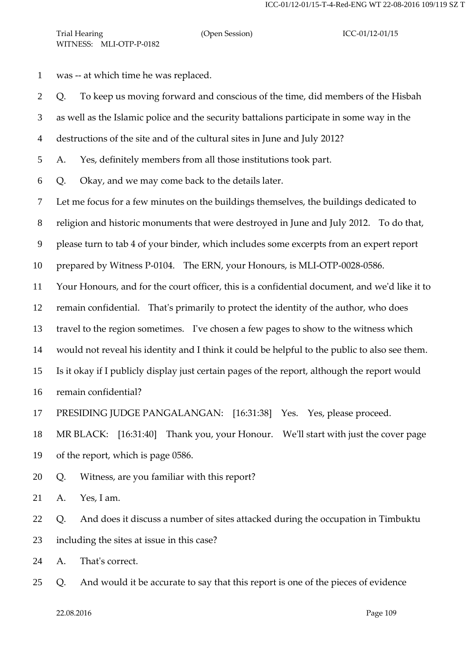was -- at which time he was replaced.

Q. To keep us moving forward and conscious of the time, did members of the Hisbah

as well as the Islamic police and the security battalions participate in some way in the

destructions of the site and of the cultural sites in June and July 2012?

A. Yes, definitely members from all those institutions took part.

Q. Okay, and we may come back to the details later.

Let me focus for a few minutes on the buildings themselves, the buildings dedicated to

religion and historic monuments that were destroyed in June and July 2012. To do that,

please turn to tab 4 of your binder, which includes some excerpts from an expert report

prepared by Witness P-0104. The ERN, your Honours, is MLI-OTP-0028-0586.

Your Honours, and for the court officer, this is a confidential document, and we'd like it to

remain confidential. That's primarily to protect the identity of the author, who does

travel to the region sometimes. I've chosen a few pages to show to the witness which

would not reveal his identity and I think it could be helpful to the public to also see them.

- Is it okay if I publicly display just certain pages of the report, although the report would
- remain confidential?

PRESIDING JUDGE PANGALANGAN: [16:31:38] Yes. Yes, please proceed.

MR BLACK: [16:31:40] Thank you, your Honour. We'll start with just the cover page

- of the report, which is page 0586.
- Q. Witness, are you familiar with this report?

A. Yes, I am.

 Q. And does it discuss a number of sites attacked during the occupation in Timbuktu including the sites at issue in this case?

A. That's correct.

Q. And would it be accurate to say that this report is one of the pieces of evidence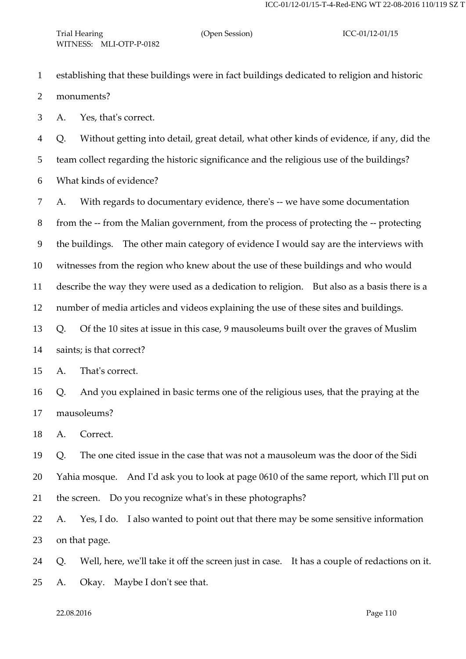- establishing that these buildings were in fact buildings dedicated to religion and historic
- monuments?

A. Yes, that's correct.

 Q. Without getting into detail, great detail, what other kinds of evidence, if any, did the team collect regarding the historic significance and the religious use of the buildings? What kinds of evidence?

 A. With regards to documentary evidence, there's -- we have some documentation from the -- from the Malian government, from the process of protecting the -- protecting the buildings. The other main category of evidence I would say are the interviews with witnesses from the region who knew about the use of these buildings and who would describe the way they were used as a dedication to religion. But also as a basis there is a number of media articles and videos explaining the use of these sites and buildings. Q. Of the 10 sites at issue in this case, 9 mausoleums built over the graves of Muslim

saints; is that correct?

A. That's correct.

 Q. And you explained in basic terms one of the religious uses, that the praying at the mausoleums?

A. Correct.

 Q. The one cited issue in the case that was not a mausoleum was the door of the Sidi Yahia mosque. And I'd ask you to look at page 0610 of the same report, which I'll put on the screen. Do you recognize what's in these photographs?

 A. Yes, I do. I also wanted to point out that there may be some sensitive information on that page.

 Q. Well, here, we'll take it off the screen just in case. It has a couple of redactions on it. A. Okay. Maybe I don't see that.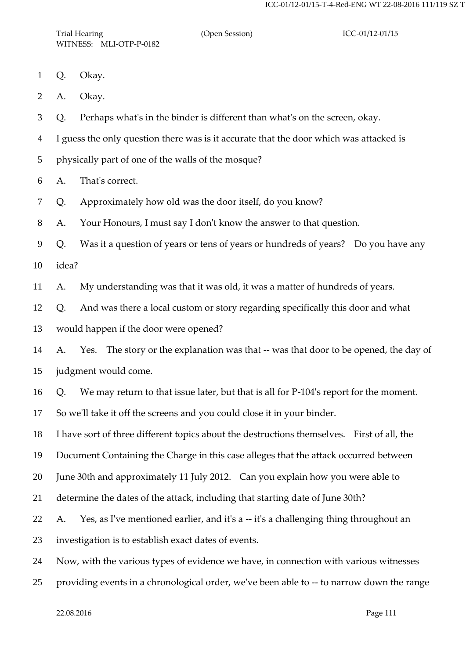Trial Hearing (Open Session) ICC-01/12-01/15 WITNESS: MLI-OTP-P-0182

- Q. Okay.
- A. Okay.

Q. Perhaps what's in the binder is different than what's on the screen, okay.

I guess the only question there was is it accurate that the door which was attacked is

physically part of one of the walls of the mosque?

A. That's correct.

Q. Approximately how old was the door itself, do you know?

A. Your Honours, I must say I don't know the answer to that question.

 Q. Was it a question of years or tens of years or hundreds of years? Do you have any idea?

A. My understanding was that it was old, it was a matter of hundreds of years.

Q. And was there a local custom or story regarding specifically this door and what

would happen if the door were opened?

 A. Yes. The story or the explanation was that -- was that door to be opened, the day of judgment would come.

Q. We may return to that issue later, but that is all for P-104's report for the moment.

So we'll take it off the screens and you could close it in your binder.

I have sort of three different topics about the destructions themselves. First of all, the

Document Containing the Charge in this case alleges that the attack occurred between

June 30th and approximately 11 July 2012. Can you explain how you were able to

determine the dates of the attack, including that starting date of June 30th?

22 A. Yes, as I've mentioned earlier, and it's a -- it's a challenging thing throughout an

investigation is to establish exact dates of events.

Now, with the various types of evidence we have, in connection with various witnesses

providing events in a chronological order, we've been able to -- to narrow down the range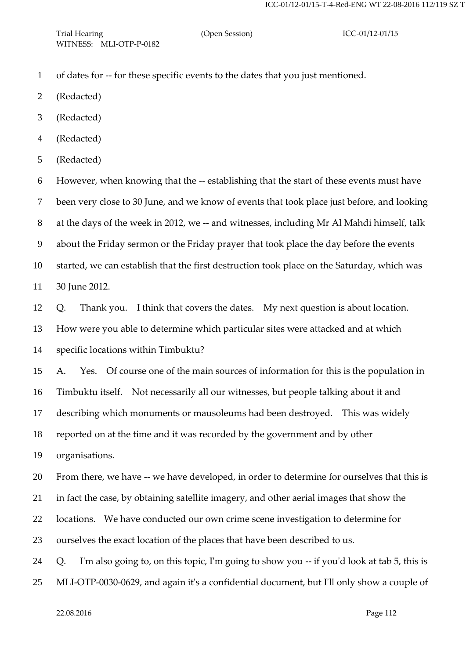- of dates for -- for these specific events to the dates that you just mentioned.
- (Redacted)
- (Redacted)
- (Redacted)
- (Redacted)

 However, when knowing that the -- establishing that the start of these events must have been very close to 30 June, and we know of events that took place just before, and looking at the days of the week in 2012, we -- and witnesses, including Mr Al Mahdi himself, talk about the Friday sermon or the Friday prayer that took place the day before the events started, we can establish that the first destruction took place on the Saturday, which was 30 June 2012.

Q. Thank you. I think that covers the dates. My next question is about location.

How were you able to determine which particular sites were attacked and at which

specific locations within Timbuktu?

A. Yes. Of course one of the main sources of information for this is the population in

Timbuktu itself. Not necessarily all our witnesses, but people talking about it and

describing which monuments or mausoleums had been destroyed. This was widely

reported on at the time and it was recorded by the government and by other

organisations.

From there, we have -- we have developed, in order to determine for ourselves that this is

in fact the case, by obtaining satellite imagery, and other aerial images that show the

locations. We have conducted our own crime scene investigation to determine for

ourselves the exact location of the places that have been described to us.

Q. I'm also going to, on this topic, I'm going to show you -- if you'd look at tab 5, this is

MLI-OTP-0030-0629, and again it's a confidential document, but I'll only show a couple of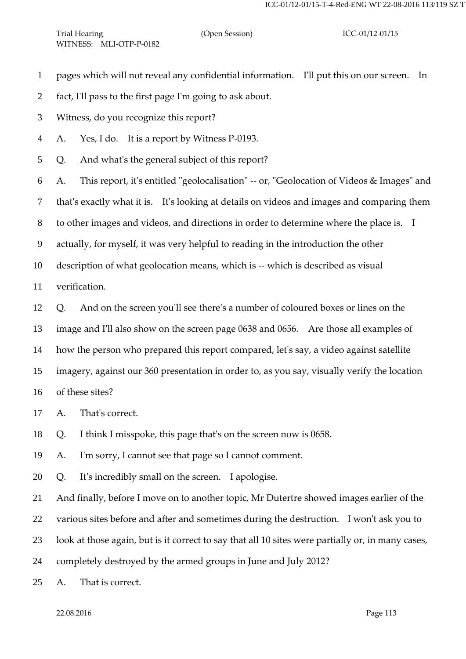pages which will not reveal any confidential information. I'll put this on our screen. In

- fact, I'll pass to the first page I'm going to ask about.
- Witness, do you recognize this report?
- A. Yes, I do. It is a report by Witness P-0193.

Q. And what's the general subject of this report?

A. This report, it's entitled "geolocalisation" -- or, "Geolocation of Videos & Images" and

that's exactly what it is. It's looking at details on videos and images and comparing them

to other images and videos, and directions in order to determine where the place is. I

actually, for myself, it was very helpful to reading in the introduction the other

description of what geolocation means, which is -- which is described as visual

verification.

Q. And on the screen you'll see there's a number of coloured boxes or lines on the

image and I'll also show on the screen page 0638 and 0656. Are those all examples of

how the person who prepared this report compared, let's say, a video against satellite

imagery, against our 360 presentation in order to, as you say, visually verify the location

of these sites?

A. That's correct.

Q. I think I misspoke, this page that's on the screen now is 0658.

A. I'm sorry, I cannot see that page so I cannot comment.

Q. It's incredibly small on the screen. I apologise.

And finally, before I move on to another topic, Mr Dutertre showed images earlier of the

various sites before and after and sometimes during the destruction. I won't ask you to

look at those again, but is it correct to say that all 10 sites were partially or, in many cases,

completely destroyed by the armed groups in June and July 2012?

A. That is correct.

22.08.2016 Page 113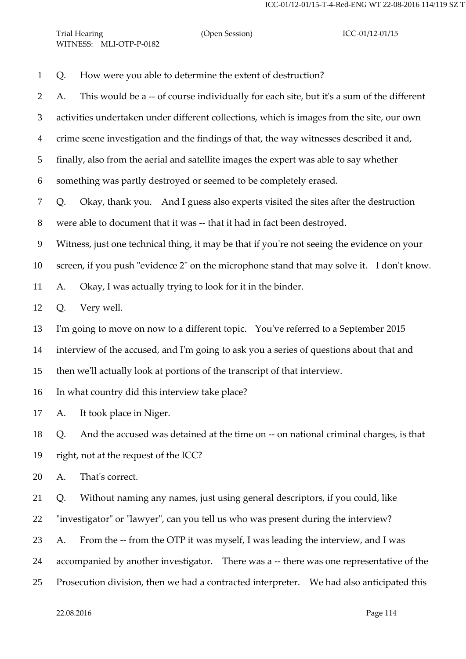| Trial Hearing |                         |  |  |
|---------------|-------------------------|--|--|
|               | WITNESS: MLI-OTP-P-0182 |  |  |

# (Open Session) ICC-01/12-01/15

| $\mathbf{1}$   | How were you able to determine the extent of destruction?<br>Q.                                |
|----------------|------------------------------------------------------------------------------------------------|
| $\overline{c}$ | This would be a -- of course individually for each site, but it's a sum of the different<br>А. |
| 3              | activities undertaken under different collections, which is images from the site, our own      |
| 4              | crime scene investigation and the findings of that, the way witnesses described it and,        |
| 5              | finally, also from the aerial and satellite images the expert was able to say whether          |
| 6              | something was partly destroyed or seemed to be completely erased.                              |
| 7              | Okay, thank you. And I guess also experts visited the sites after the destruction<br>Q.        |
| $8\,$          | were able to document that it was -- that it had in fact been destroyed.                       |
| 9              | Witness, just one technical thing, it may be that if you're not seeing the evidence on your    |
| 10             | screen, if you push "evidence 2" on the microphone stand that may solve it. I don't know.      |
| 11             | Okay, I was actually trying to look for it in the binder.<br>A.                                |
| 12             | Very well.<br>Q.                                                                               |
| 13             | I'm going to move on now to a different topic. You've referred to a September 2015             |
| 14             | interview of the accused, and I'm going to ask you a series of questions about that and        |
| 15             | then we'll actually look at portions of the transcript of that interview.                      |
| 16             | In what country did this interview take place?                                                 |
|                | 17 A. It took place in Niger.                                                                  |
| 18             | And the accused was detained at the time on -- on national criminal charges, is that<br>Q.     |
| 19             | right, not at the request of the ICC?                                                          |
| 20             | That's correct.<br>A.                                                                          |
| 21             | Without naming any names, just using general descriptors, if you could, like<br>Q.             |
| 22             | "investigator" or "lawyer", can you tell us who was present during the interview?              |
| 23             | From the -- from the OTP it was myself, I was leading the interview, and I was<br>A.           |
| 24             | accompanied by another investigator. There was a -- there was one representative of the        |
| 25             | Prosecution division, then we had a contracted interpreter. We had also anticipated this       |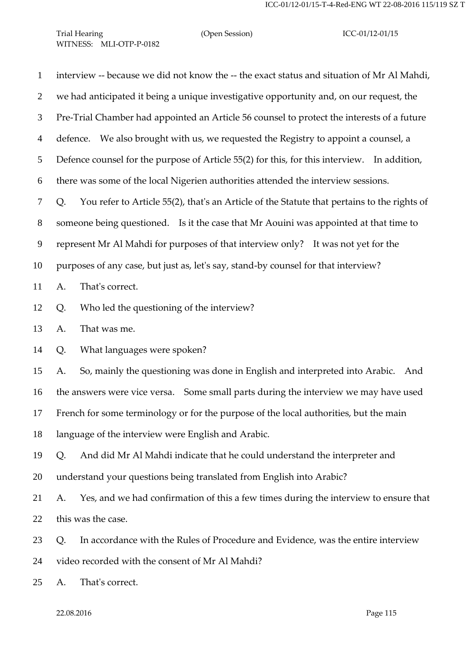Trial Hearing (Open Session) ICC-01/12-01/15 WITNESS: MLI-OTP-P-0182

 interview -- because we did not know the -- the exact status and situation of Mr Al Mahdi, we had anticipated it being a unique investigative opportunity and, on our request, the Pre-Trial Chamber had appointed an Article 56 counsel to protect the interests of a future defence. We also brought with us, we requested the Registry to appoint a counsel, a Defence counsel for the purpose of Article 55(2) for this, for this interview. In addition, there was some of the local Nigerien authorities attended the interview sessions. Q. You refer to Article 55(2), that's an Article of the Statute that pertains to the rights of someone being questioned. Is it the case that Mr Aouini was appointed at that time to represent Mr Al Mahdi for purposes of that interview only? It was not yet for the purposes of any case, but just as, let's say, stand-by counsel for that interview? A. That's correct. Q. Who led the questioning of the interview? A. That was me. Q. What languages were spoken? A. So, mainly the questioning was done in English and interpreted into Arabic. And the answers were vice versa. Some small parts during the interview we may have used French for some terminology or for the purpose of the local authorities, but the main language of the interview were English and Arabic. Q. And did Mr Al Mahdi indicate that he could understand the interpreter and understand your questions being translated from English into Arabic? A. Yes, and we had confirmation of this a few times during the interview to ensure that this was the case. Q. In accordance with the Rules of Procedure and Evidence, was the entire interview video recorded with the consent of Mr Al Mahdi? A. That's correct.

22.08.2016 Page 115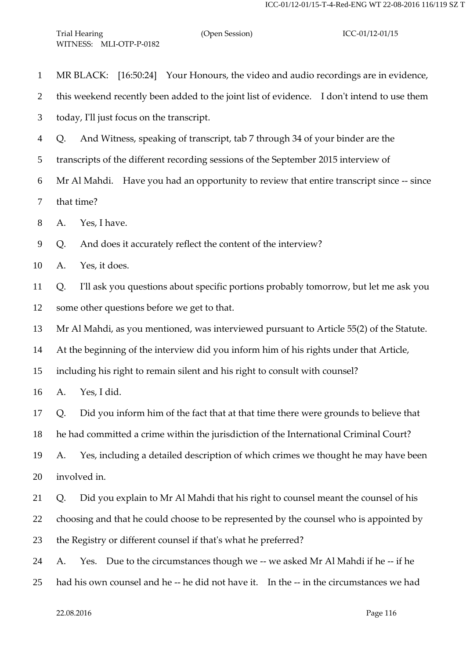| $\mathbf{1}$   | MR BLACK: [16:50:24] Your Honours, the video and audio recordings are in evidence,         |  |
|----------------|--------------------------------------------------------------------------------------------|--|
| $\overline{2}$ | this weekend recently been added to the joint list of evidence. I don't intend to use them |  |
| 3              | today, I'll just focus on the transcript.                                                  |  |
| $\overline{4}$ | And Witness, speaking of transcript, tab 7 through 34 of your binder are the<br>Q.         |  |
| 5              | transcripts of the different recording sessions of the September 2015 interview of         |  |
| 6              | Mr Al Mahdi. Have you had an opportunity to review that entire transcript since -- since   |  |
| $\tau$         | that time?                                                                                 |  |
| 8              | Yes, I have.<br>A.                                                                         |  |
| 9              | And does it accurately reflect the content of the interview?<br>Q.                         |  |
| 10             | Yes, it does.<br>A.                                                                        |  |
| 11             | I'll ask you questions about specific portions probably tomorrow, but let me ask you<br>Q. |  |
| 12             | some other questions before we get to that.                                                |  |
| 13             | Mr Al Mahdi, as you mentioned, was interviewed pursuant to Article 55(2) of the Statute.   |  |
| 14             | At the beginning of the interview did you inform him of his rights under that Article,     |  |
| 15             | including his right to remain silent and his right to consult with counsel?                |  |
| 16             | Yes, I did.<br>A.                                                                          |  |
| 17             | Did you inform him of the fact that at that time there were grounds to believe that<br>Q.  |  |
| 18             | he had committed a crime within the jurisdiction of the International Criminal Court?      |  |
| 19             | Yes, including a detailed description of which crimes we thought he may have been<br>A.    |  |
| 20             | involved in.                                                                               |  |
| 21             | Did you explain to Mr Al Mahdi that his right to counsel meant the counsel of his<br>Q.    |  |
| 22             | choosing and that he could choose to be represented by the counsel who is appointed by     |  |
| 23             | the Registry or different counsel if that's what he preferred?                             |  |
| 24             | Yes. Due to the circumstances though we -- we asked Mr Al Mahdi if he -- if he<br>A.       |  |
| 25             | had his own counsel and he -- he did not have it. In the -- in the circumstances we had    |  |
|                |                                                                                            |  |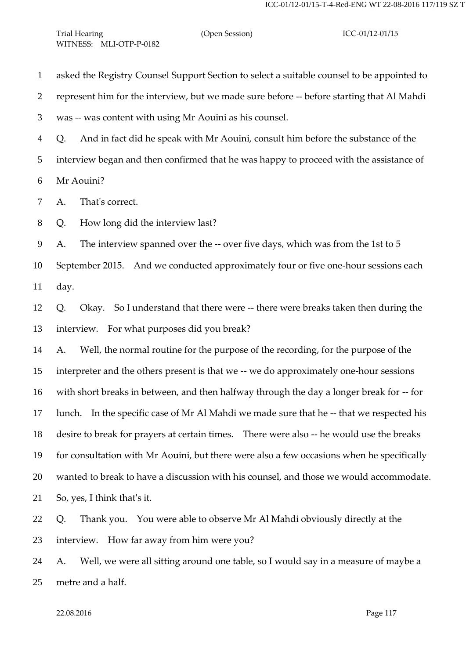asked the Registry Counsel Support Section to select a suitable counsel to be appointed to

represent him for the interview, but we made sure before -- before starting that Al Mahdi

was -- was content with using Mr Aouini as his counsel.

Q. And in fact did he speak with Mr Aouini, consult him before the substance of the

interview began and then confirmed that he was happy to proceed with the assistance of

Mr Aouini?

A. That's correct.

Q. How long did the interview last?

A. The interview spanned over the -- over five days, which was from the 1st to 5

 September 2015. And we conducted approximately four or five one-hour sessions each day.

 Q. Okay. So I understand that there were -- there were breaks taken then during the interview. For what purposes did you break?

 A. Well, the normal routine for the purpose of the recording, for the purpose of the interpreter and the others present is that we -- we do approximately one-hour sessions with short breaks in between, and then halfway through the day a longer break for -- for lunch. In the specific case of Mr Al Mahdi we made sure that he -- that we respected his desire to break for prayers at certain times. There were also -- he would use the breaks for consultation with Mr Aouini, but there were also a few occasions when he specifically wanted to break to have a discussion with his counsel, and those we would accommodate. So, yes, I think that's it.

 Q. Thank you. You were able to observe Mr Al Mahdi obviously directly at the interview. How far away from him were you?

 A. Well, we were all sitting around one table, so I would say in a measure of maybe a metre and a half.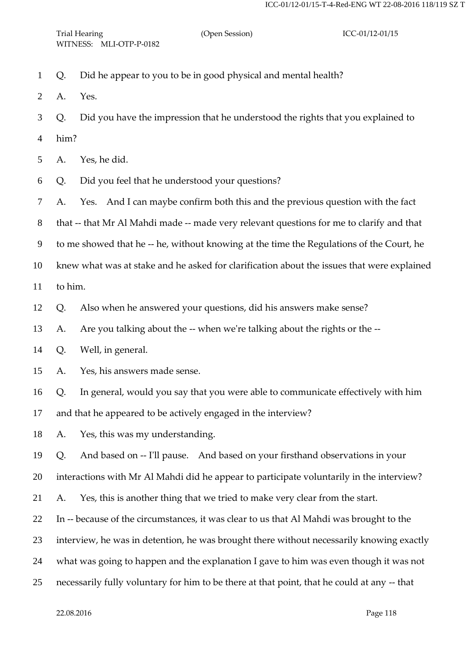- Q. Did he appear to you to be in good physical and mental health?
- A. Yes.
- Q. Did you have the impression that he understood the rights that you explained to
- him?
- A. Yes, he did.
- Q. Did you feel that he understood your questions?
- A. Yes. And I can maybe confirm both this and the previous question with the fact

that -- that Mr Al Mahdi made -- made very relevant questions for me to clarify and that

to me showed that he -- he, without knowing at the time the Regulations of the Court, he

knew what was at stake and he asked for clarification about the issues that were explained

to him.

Q. Also when he answered your questions, did his answers make sense?

A. Are you talking about the -- when we're talking about the rights or the --

Q. Well, in general.

Q. In general, would you say that you were able to communicate effectively with him

and that he appeared to be actively engaged in the interview?

A. Yes, this was my understanding.

Q. And based on -- I'll pause. And based on your firsthand observations in your

interactions with Mr Al Mahdi did he appear to participate voluntarily in the interview?

A. Yes, this is another thing that we tried to make very clear from the start.

- In -- because of the circumstances, it was clear to us that Al Mahdi was brought to the
- interview, he was in detention, he was brought there without necessarily knowing exactly
- what was going to happen and the explanation I gave to him was even though it was not
- necessarily fully voluntary for him to be there at that point, that he could at any -- that

A. Yes, his answers made sense.